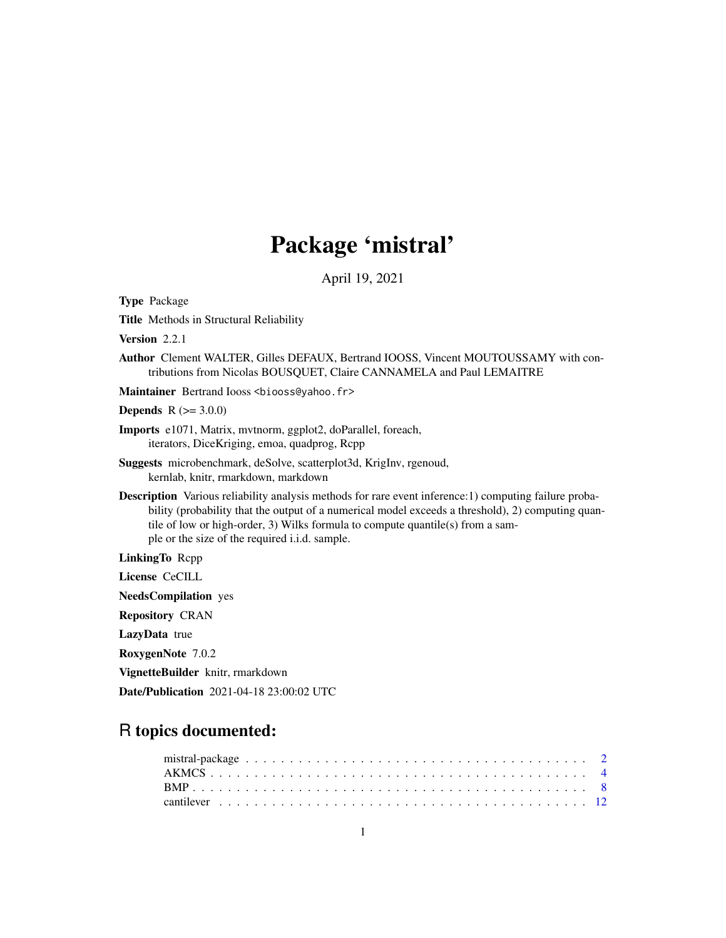# Package 'mistral'

April 19, 2021

<span id="page-0-0"></span>Type Package

Title Methods in Structural Reliability

Version 2.2.1

Author Clement WALTER, Gilles DEFAUX, Bertrand IOOSS, Vincent MOUTOUSSAMY with contributions from Nicolas BOUSQUET, Claire CANNAMELA and Paul LEMAITRE

Maintainer Bertrand Iooss <br />biooss@yahoo.fr>

**Depends**  $R (= 3.0.0)$ 

Imports e1071, Matrix, mvtnorm, ggplot2, doParallel, foreach, iterators, DiceKriging, emoa, quadprog, Rcpp

- Suggests microbenchmark, deSolve, scatterplot3d, KrigInv, rgenoud, kernlab, knitr, rmarkdown, markdown
- Description Various reliability analysis methods for rare event inference:1) computing failure probability (probability that the output of a numerical model exceeds a threshold), 2) computing quantile of low or high-order, 3) Wilks formula to compute quantile(s) from a sample or the size of the required i.i.d. sample.

LinkingTo Rcpp

License CeCILL

NeedsCompilation yes

Repository CRAN

LazyData true

RoxygenNote 7.0.2

VignetteBuilder knitr, rmarkdown

Date/Publication 2021-04-18 23:00:02 UTC

# R topics documented: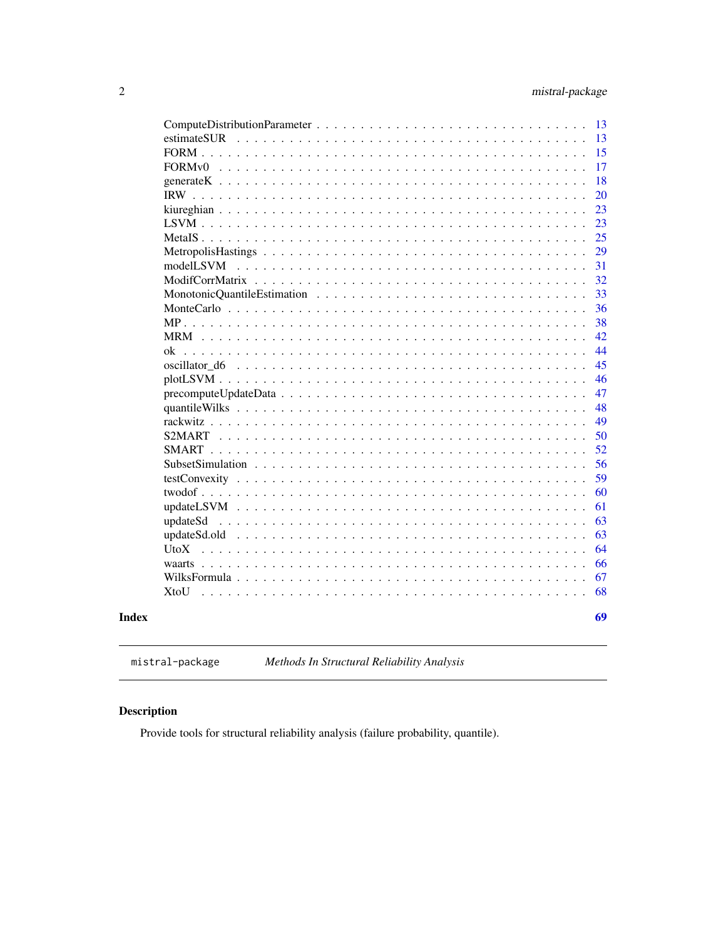<span id="page-1-0"></span>

|                                                                                                      | 13 |
|------------------------------------------------------------------------------------------------------|----|
| estimateSUR                                                                                          | 13 |
|                                                                                                      | 15 |
|                                                                                                      | 17 |
|                                                                                                      | 18 |
|                                                                                                      | 20 |
|                                                                                                      | 23 |
|                                                                                                      | 23 |
|                                                                                                      | 25 |
|                                                                                                      | 29 |
| modelLSVM                                                                                            | 31 |
|                                                                                                      | 32 |
|                                                                                                      | 33 |
|                                                                                                      | 36 |
|                                                                                                      | 38 |
|                                                                                                      | 42 |
|                                                                                                      | 44 |
|                                                                                                      | 45 |
|                                                                                                      | 46 |
| $precomputeUpdateData \dots \dots \dots \dots \dots \dots \dots \dots \dots \dots \dots \dots \dots$ | 47 |
|                                                                                                      | 48 |
|                                                                                                      | 49 |
|                                                                                                      | 50 |
|                                                                                                      | 52 |
|                                                                                                      | 56 |
|                                                                                                      | 59 |
|                                                                                                      | 60 |
|                                                                                                      | 61 |
| updateSd                                                                                             | 63 |
|                                                                                                      | 63 |
| UtoX                                                                                                 | 64 |
|                                                                                                      | 66 |
|                                                                                                      | 67 |
| XtoU                                                                                                 | 68 |
|                                                                                                      |    |
|                                                                                                      | 69 |
|                                                                                                      |    |

# **Index**

mistral-package

Methods In Structural Reliability Analysis

# **Description**

Provide tools for structural reliability analysis (failure probability, quantile).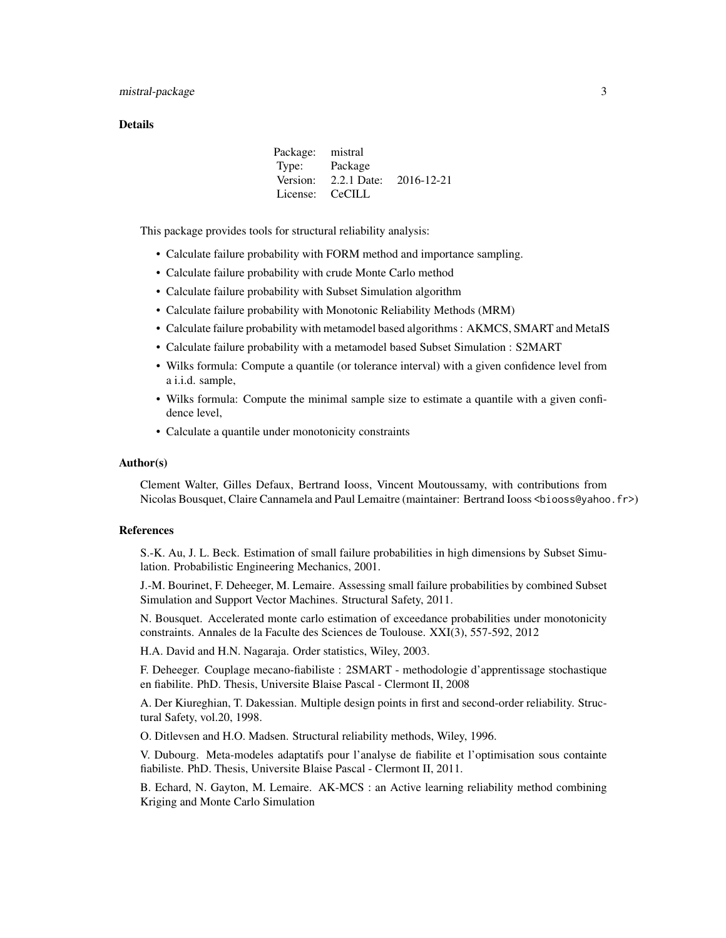#### **Details**

| Package: mistral |                                 |  |
|------------------|---------------------------------|--|
| Type:            | Package                         |  |
|                  | Version: 2.2.1 Date: 2016-12-21 |  |
| License: CeCILL  |                                 |  |

This package provides tools for structural reliability analysis:

- Calculate failure probability with FORM method and importance sampling.
- Calculate failure probability with crude Monte Carlo method
- Calculate failure probability with Subset Simulation algorithm
- Calculate failure probability with Monotonic Reliability Methods (MRM)
- Calculate failure probability with metamodel based algorithms : AKMCS, SMART and MetaIS
- Calculate failure probability with a metamodel based Subset Simulation : S2MART
- Wilks formula: Compute a quantile (or tolerance interval) with a given confidence level from a i.i.d. sample,
- Wilks formula: Compute the minimal sample size to estimate a quantile with a given confidence level,
- Calculate a quantile under monotonicity constraints

#### Author(s)

Clement Walter, Gilles Defaux, Bertrand Iooss, Vincent Moutoussamy, with contributions from Nicolas Bousquet, Claire Cannamela and Paul Lemaitre (maintainer: Bertrand Iooss <biooss@yahoo.fr>)

#### References

S.-K. Au, J. L. Beck. Estimation of small failure probabilities in high dimensions by Subset Simulation. Probabilistic Engineering Mechanics, 2001.

J.-M. Bourinet, F. Deheeger, M. Lemaire. Assessing small failure probabilities by combined Subset Simulation and Support Vector Machines. Structural Safety, 2011.

N. Bousquet. Accelerated monte carlo estimation of exceedance probabilities under monotonicity constraints. Annales de la Faculte des Sciences de Toulouse. XXI(3), 557-592, 2012

H.A. David and H.N. Nagaraja. Order statistics, Wiley, 2003.

F. Deheeger. Couplage mecano-fiabiliste : 2SMART - methodologie d'apprentissage stochastique en fiabilite. PhD. Thesis, Universite Blaise Pascal - Clermont II, 2008

A. Der Kiureghian, T. Dakessian. Multiple design points in first and second-order reliability. Structural Safety, vol.20, 1998.

O. Ditlevsen and H.O. Madsen. Structural reliability methods, Wiley, 1996.

V. Dubourg. Meta-modeles adaptatifs pour l'analyse de fiabilite et l'optimisation sous containte fiabiliste. PhD. Thesis, Universite Blaise Pascal - Clermont II, 2011.

B. Echard, N. Gayton, M. Lemaire. AK-MCS : an Active learning reliability method combining Kriging and Monte Carlo Simulation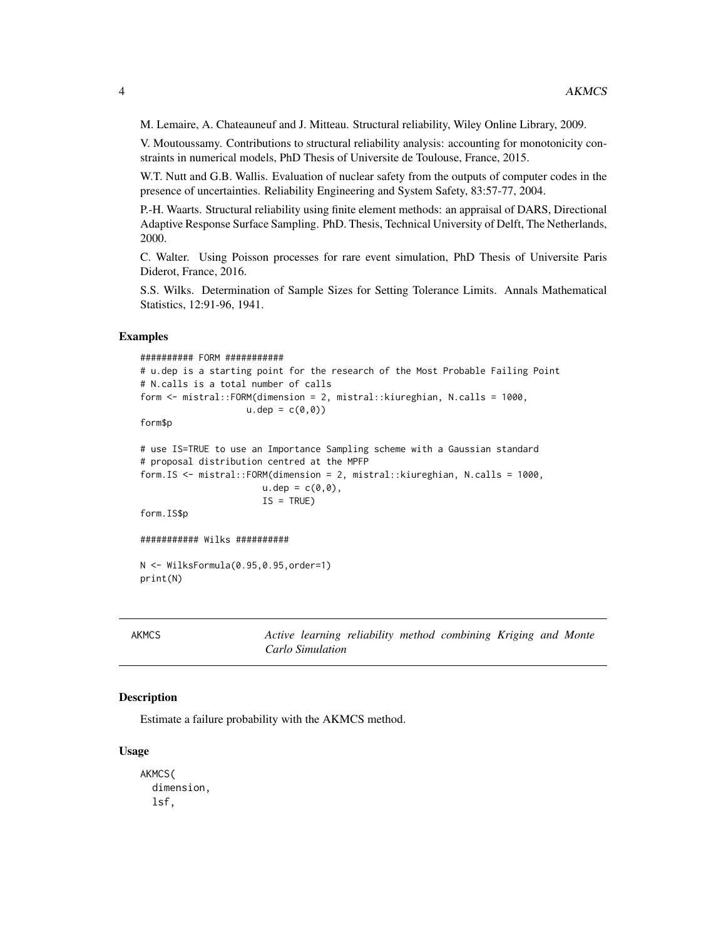<span id="page-3-0"></span>M. Lemaire, A. Chateauneuf and J. Mitteau. Structural reliability, Wiley Online Library, 2009.

V. Moutoussamy. Contributions to structural reliability analysis: accounting for monotonicity constraints in numerical models, PhD Thesis of Universite de Toulouse, France, 2015.

W.T. Nutt and G.B. Wallis. Evaluation of nuclear safety from the outputs of computer codes in the presence of uncertainties. Reliability Engineering and System Safety, 83:57-77, 2004.

P.-H. Waarts. Structural reliability using finite element methods: an appraisal of DARS, Directional Adaptive Response Surface Sampling. PhD. Thesis, Technical University of Delft, The Netherlands, 2000.

C. Walter. Using Poisson processes for rare event simulation, PhD Thesis of Universite Paris Diderot, France, 2016.

S.S. Wilks. Determination of Sample Sizes for Setting Tolerance Limits. Annals Mathematical Statistics, 12:91-96, 1941.

#### Examples

```
########## FORM ###########
# u.dep is a starting point for the research of the Most Probable Failing Point
# N.calls is a total number of calls
form <- mistral::FORM(dimension = 2, mistral::kiureghian, N.calls = 1000,
                    u.dep = c(0,0)form$p
```

```
# use IS=TRUE to use an Importance Sampling scheme with a Gaussian standard
# proposal distribution centred at the MPFP
form.IS <- mistral::FORM(dimension = 2, mistral::kiureghian, N.calls = 1000,
                      u.dep = c(0,0),
                      IS = TRUE
```
form.IS\$p

```
########### Wilks ##########
```
N <- WilksFormula(0.95,0.95,order=1) print(N)

AKMCS *Active learning reliability method combining Kriging and Monte Carlo Simulation*

#### Description

Estimate a failure probability with the AKMCS method.

#### Usage

```
AKMCS(
  dimension,
  lsf,
```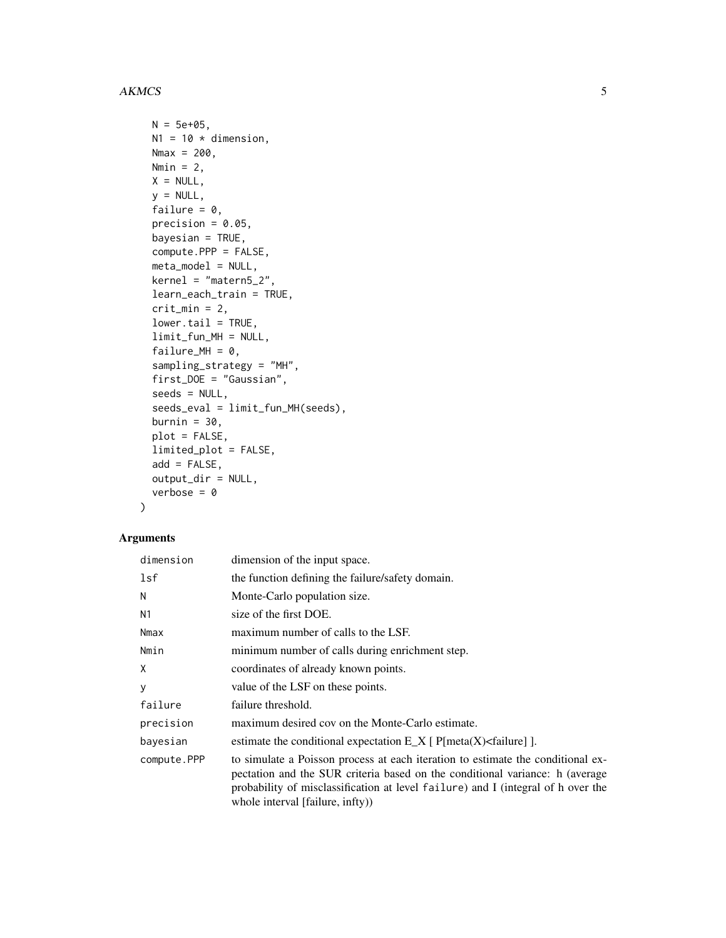#### AKMCS 5

```
N = 5e+05,
N1 = 10 * dimension,Nmax = 200,
Nmin = 2,
X = NULL,y = NULL,failure = 0,
precision = 0.05,
bayesian = TRUE,
compute.PPP = FALSE,
meta_model = NULL,
kernel = "matern5_2",
learn_each_train = TRUE,
crit\_min = 2,
lower.tail = TRUE,limit_fun_MH = NULL,
failure_MH = 0,
sampling_strategy = "MH",
first_DOE = "Gaussian",
seeds = NULL,
seeds_eval = limit_fun_MH(seeds),
burnin = 30,
plot = FALSE,
limited_plot = FALSE,
add = FALSE,output_dir = NULL,
verbose = 0
```
# Arguments

 $\mathcal{L}$ 

| dimension   | dimension of the input space.                                                                                                                                                                                                                                                           |
|-------------|-----------------------------------------------------------------------------------------------------------------------------------------------------------------------------------------------------------------------------------------------------------------------------------------|
| lsf         | the function defining the failure/safety domain.                                                                                                                                                                                                                                        |
| N           | Monte-Carlo population size.                                                                                                                                                                                                                                                            |
| N1          | size of the first DOE.                                                                                                                                                                                                                                                                  |
| Nmax        | maximum number of calls to the LSF.                                                                                                                                                                                                                                                     |
| Nmin        | minimum number of calls during enrichment step.                                                                                                                                                                                                                                         |
| X           | coordinates of already known points.                                                                                                                                                                                                                                                    |
| У           | value of the LSF on these points.                                                                                                                                                                                                                                                       |
| failure     | failure threshold.                                                                                                                                                                                                                                                                      |
| precision   | maximum desired cov on the Monte-Carlo estimate.                                                                                                                                                                                                                                        |
| bayesian    | estimate the conditional expectation $E[X]$ [P[meta(X) <failure]].< td=""></failure]].<>                                                                                                                                                                                                |
| compute.PPP | to simulate a Poisson process at each iteration to estimate the conditional ex-<br>pectation and the SUR criteria based on the conditional variance: h (average<br>probability of misclassification at level failure) and I (integral of h over the<br>whole interval [failure, infty)) |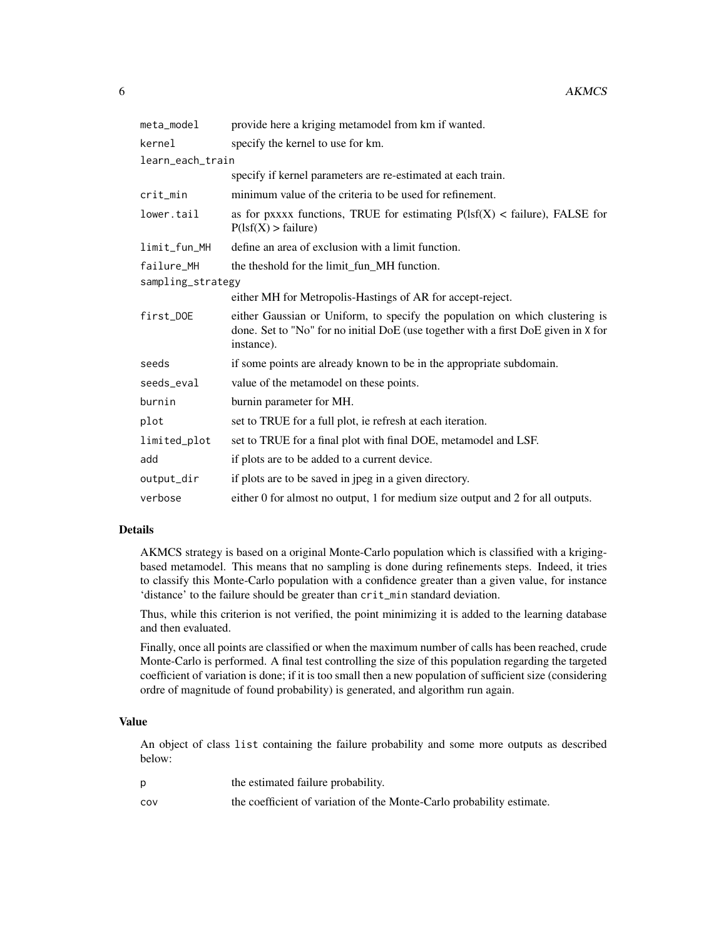| meta_model        | provide here a kriging metamodel from km if wanted.                                                                                                                              |
|-------------------|----------------------------------------------------------------------------------------------------------------------------------------------------------------------------------|
| kernel            | specify the kernel to use for km.                                                                                                                                                |
| learn_each_train  |                                                                                                                                                                                  |
|                   | specify if kernel parameters are re-estimated at each train.                                                                                                                     |
| crit_min          | minimum value of the criteria to be used for refinement.                                                                                                                         |
| lower.tail        | as for pxxxx functions, TRUE for estimating $P(1sf(X) <$ failure), FALSE for<br>P(1sf(X) > failure)                                                                              |
| limit_fun_MH      | define an area of exclusion with a limit function.                                                                                                                               |
| failure_MH        | the theshold for the limit_fun_MH function.                                                                                                                                      |
| sampling_strategy |                                                                                                                                                                                  |
|                   | either MH for Metropolis-Hastings of AR for accept-reject.                                                                                                                       |
| first_DOE         | either Gaussian or Uniform, to specify the population on which clustering is<br>done. Set to "No" for no initial DoE (use together with a first DoE given in X for<br>instance). |
| seeds             | if some points are already known to be in the appropriate subdomain.                                                                                                             |
| seeds eval        | value of the metamodel on these points.                                                                                                                                          |
| burnin            | burnin parameter for MH.                                                                                                                                                         |
| plot              | set to TRUE for a full plot, ie refresh at each iteration.                                                                                                                       |
| limited_plot      | set to TRUE for a final plot with final DOE, metamodel and LSF.                                                                                                                  |
| add               | if plots are to be added to a current device.                                                                                                                                    |
| output_dir        | if plots are to be saved in jpeg in a given directory.                                                                                                                           |
| verbose           | either 0 for almost no output, 1 for medium size output and 2 for all outputs.                                                                                                   |

#### Details

AKMCS strategy is based on a original Monte-Carlo population which is classified with a krigingbased metamodel. This means that no sampling is done during refinements steps. Indeed, it tries to classify this Monte-Carlo population with a confidence greater than a given value, for instance 'distance' to the failure should be greater than crit\_min standard deviation.

Thus, while this criterion is not verified, the point minimizing it is added to the learning database and then evaluated.

Finally, once all points are classified or when the maximum number of calls has been reached, crude Monte-Carlo is performed. A final test controlling the size of this population regarding the targeted coefficient of variation is done; if it is too small then a new population of sufficient size (considering ordre of magnitude of found probability) is generated, and algorithm run again.

# Value

An object of class list containing the failure probability and some more outputs as described below:

|     | the estimated failure probability.                                    |
|-----|-----------------------------------------------------------------------|
| COV | the coefficient of variation of the Monte-Carlo probability estimate. |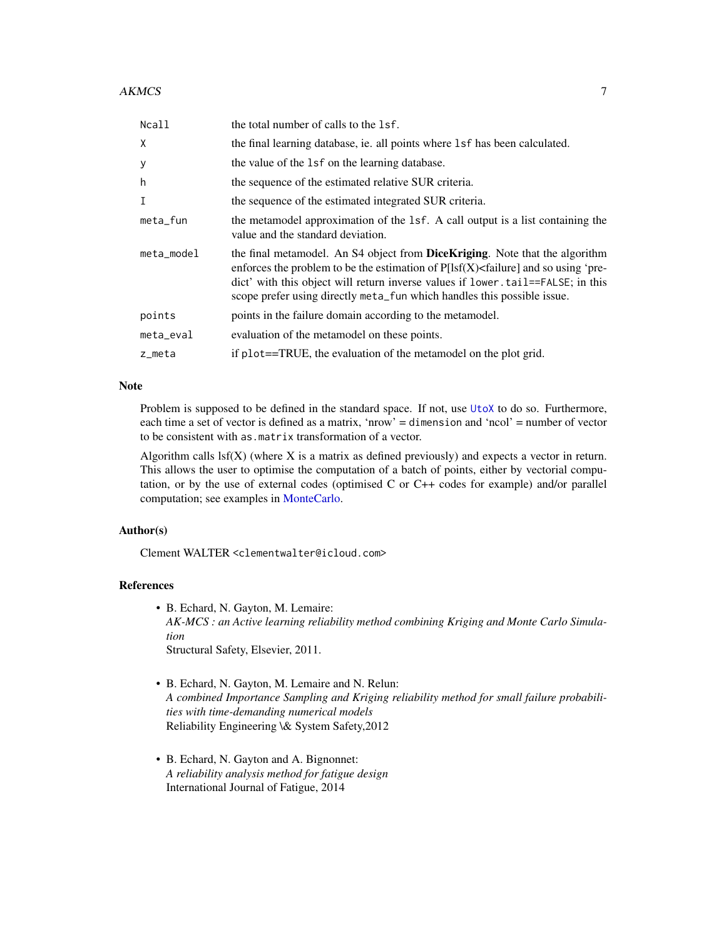#### <span id="page-6-0"></span> $AKMCS$  7

| Ncall       | the total number of calls to the 1sf.                                                                                                                                                                                                                                                                                              |
|-------------|------------------------------------------------------------------------------------------------------------------------------------------------------------------------------------------------------------------------------------------------------------------------------------------------------------------------------------|
| X           | the final learning database, ie. all points where 1sf has been calculated.                                                                                                                                                                                                                                                         |
| У           | the value of the 1sf on the learning database.                                                                                                                                                                                                                                                                                     |
| h           | the sequence of the estimated relative SUR criteria.                                                                                                                                                                                                                                                                               |
| $\mathbf I$ | the sequence of the estimated integrated SUR criteria.                                                                                                                                                                                                                                                                             |
| $meta$ _fun | the metamodel approximation of the 1sf. A call output is a list containing the<br>value and the standard deviation.                                                                                                                                                                                                                |
| meta_model  | the final metamodel. An S4 object from DiceKriging. Note that the algorithm<br>enforces the problem to be the estimation of $P[Isf(X) <$ failure] and so using 'pre-<br>dict' with this object will return inverse values if lower.tail==FALSE; in this<br>scope prefer using directly meta_fun which handles this possible issue. |
| points      | points in the failure domain according to the metamodel.                                                                                                                                                                                                                                                                           |
| meta_eval   | evaluation of the metamodel on these points.                                                                                                                                                                                                                                                                                       |
| z_meta      | if plot==TRUE, the evaluation of the metamodel on the plot grid.                                                                                                                                                                                                                                                                   |

# Note

Problem is supposed to be defined in the standard space. If not, use [UtoX](#page-63-1) to do so. Furthermore, each time a set of vector is defined as a matrix, 'nrow' = dimension and 'ncol' = number of vector to be consistent with as.matrix transformation of a vector.

Algorithm calls  $\text{lsf}(X)$  (where X is a matrix as defined previously) and expects a vector in return. This allows the user to optimise the computation of a batch of points, either by vectorial computation, or by the use of external codes (optimised C or C++ codes for example) and/or parallel computation; see examples in [MonteCarlo.](#page-35-1)

#### Author(s)

Clement WALTER <clementwalter@icloud.com>

# References

• B. Echard, N. Gayton, M. Lemaire:

*AK-MCS : an Active learning reliability method combining Kriging and Monte Carlo Simulation*

Structural Safety, Elsevier, 2011.

- B. Echard, N. Gayton, M. Lemaire and N. Relun: *A combined Importance Sampling and Kriging reliability method for small failure probabilities with time-demanding numerical models* Reliability Engineering \& System Safety,2012
- B. Echard, N. Gayton and A. Bignonnet: *A reliability analysis method for fatigue design* International Journal of Fatigue, 2014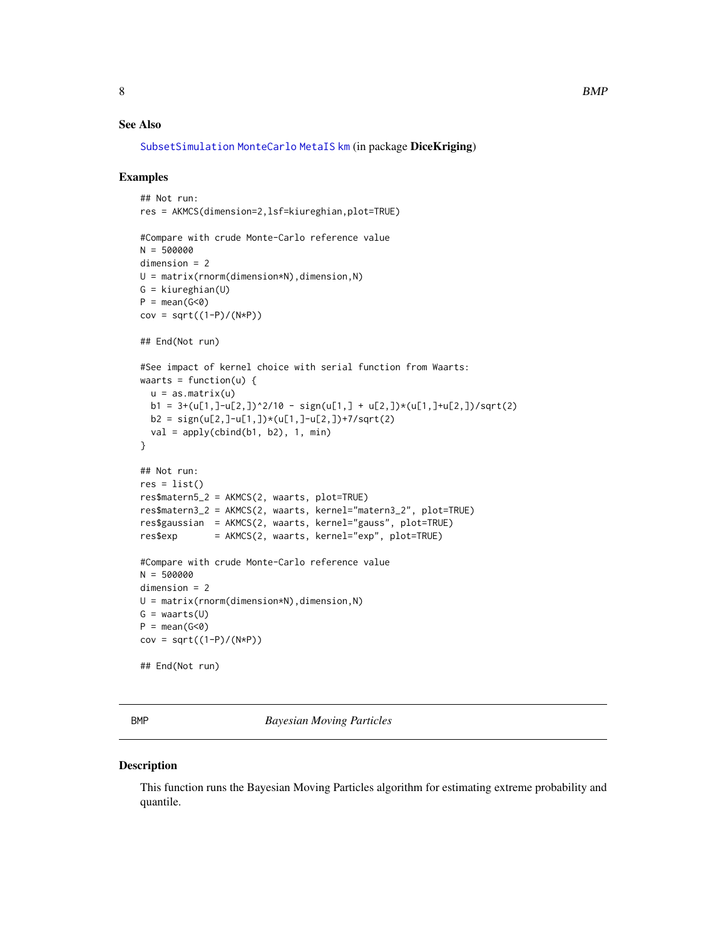# <span id="page-7-0"></span>See Also

```
SubsetSimulationMonteCarloMetaISkm (in package DiceKriging)
```
#### Examples

```
## Not run:
res = AKMCS(dimension=2,lsf=kiureghian,plot=TRUE)
#Compare with crude Monte-Carlo reference value
N = 500000
dimension = 2
U = matrix(rnorm(dimension*N),dimension,N)
G = kiureghian(U)
P = mean(G < 0)cov = sqrt((1-P)/(N*P))
## End(Not run)
#See impact of kernel choice with serial function from Waarts:
waarts = function(u) {
  u = as_matrix(u)b1 = 3+(u[1,]-u[2,])^2/10 - sign(u[1,]+u[2,])*(u[1,]-u[2,]))/sqrt(2)b2 = sign(u[2,]-u[1,])*(u[1,]-u[2,])+7/sqrt(2)val = apply(cbind(b1, b2), 1, min)}
## Not run:
res = list()res$matern5_2 = AKMCS(2, waarts, plot=TRUE)
res$matern3_2 = AKMCS(2, waarts, kernel="matern3_2", plot=TRUE)
res$gaussian = AKMCS(2, waarts, kernel="gauss", plot=TRUE)
res$exp = AKMCS(2, waarts, kernel="exp", plot=TRUE)
#Compare with crude Monte-Carlo reference value
N = 500000
dimension = 2
U = matrix(rnorm(dimension*N), dimension,N)G = waarts(U)P = mean(G < 0)cov = sqrt((1-P)/(N*P))
## End(Not run)
```
BMP *Bayesian Moving Particles*

#### Description

This function runs the Bayesian Moving Particles algorithm for estimating extreme probability and quantile.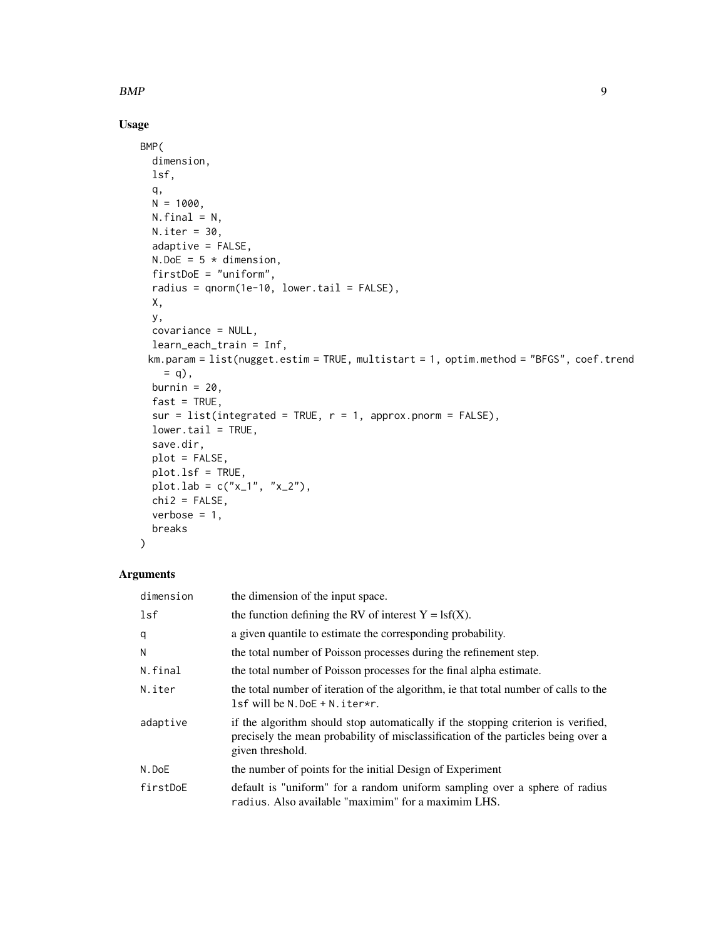$BMP$  9

# Usage

```
BMP(
  dimension,
 lsf,
 q,
 N = 1000,
 N.final = N,N.iter = 30,
 adaptive = FALSE,
 N.DoE = 5 * dimension,
  firstDoE = "uniform",
 radius = qnorm(1e-10, lower.tail = FALSE),
 X,
 y,
 covariance = NULL,
 learn_each_train = Inf,
 km.param = list(nugget.estim = TRUE, multistart = 1, optim.method = "BFGS", coef.trend
   = q,
 burnin = 20,
 fast = TRUE,sur = list(integrated = TRUE, r = 1, approx.pnorm = FALSE),
  lower.tail = TRUE,save.dir,
 plot = FALSE,
 plot.lsf = TRUE,
 plot.lab = c("x_1", "x_2"),chi2 = FALSE,verbose = 1,
 breaks
\mathcal{L}
```
# Arguments

| dimension | the dimension of the input space.                                                                                                                                                          |
|-----------|--------------------------------------------------------------------------------------------------------------------------------------------------------------------------------------------|
| lsf       | the function defining the RV of interest $Y = \text{lsf}(X)$ .                                                                                                                             |
| q         | a given quantile to estimate the corresponding probability.                                                                                                                                |
| N         | the total number of Poisson processes during the refinement step.                                                                                                                          |
| N.final   | the total number of Poisson processes for the final alpha estimate.                                                                                                                        |
| N.iter    | the total number of iteration of the algorithm, ie that total number of calls to the<br>$lsf$ will be N.DoE + N. iter*r.                                                                   |
| adaptive  | if the algorithm should stop automatically if the stopping criterion is verified,<br>precisely the mean probability of misclassification of the particles being over a<br>given threshold. |
| N.DoE     | the number of points for the initial Design of Experiment                                                                                                                                  |
| firstDoE  | default is "uniform" for a random uniform sampling over a sphere of radius<br>radius. Also available "maximim" for a maximim LHS.                                                          |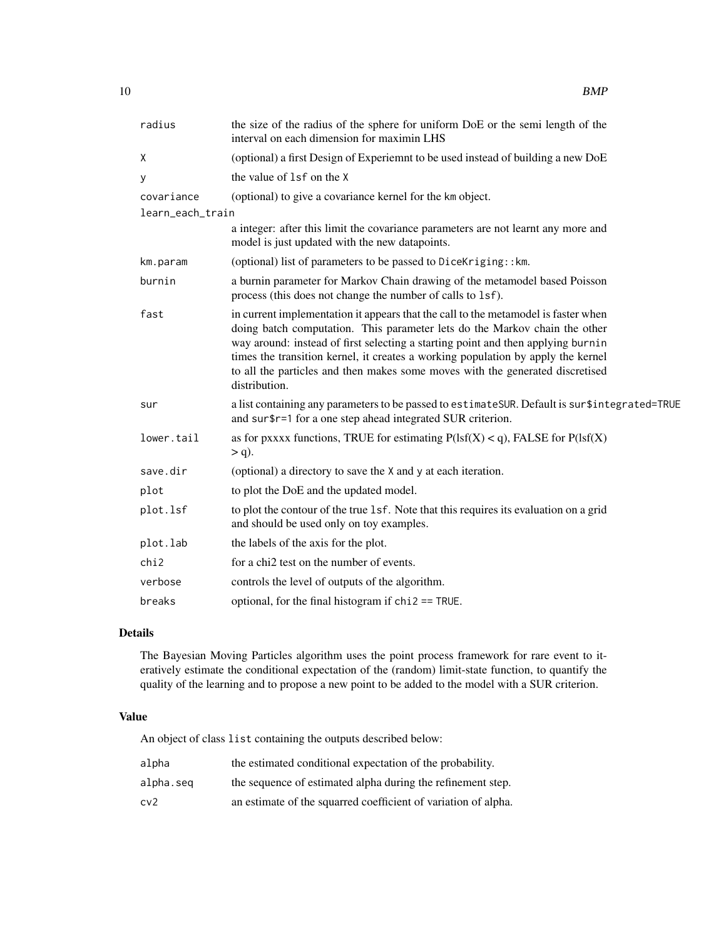| radius           | the size of the radius of the sphere for uniform DoE or the semi length of the<br>interval on each dimension for maximin LHS                                                                                                                                                                                                                                                                                                               |
|------------------|--------------------------------------------------------------------------------------------------------------------------------------------------------------------------------------------------------------------------------------------------------------------------------------------------------------------------------------------------------------------------------------------------------------------------------------------|
| Χ                | (optional) a first Design of Experiemnt to be used instead of building a new DoE                                                                                                                                                                                                                                                                                                                                                           |
| У                | the value of 1sf on the X                                                                                                                                                                                                                                                                                                                                                                                                                  |
| covariance       | (optional) to give a covariance kernel for the km object.                                                                                                                                                                                                                                                                                                                                                                                  |
| learn_each_train |                                                                                                                                                                                                                                                                                                                                                                                                                                            |
|                  | a integer: after this limit the covariance parameters are not learnt any more and<br>model is just updated with the new datapoints.                                                                                                                                                                                                                                                                                                        |
| km.param         | (optional) list of parameters to be passed to DiceKriging:: km.                                                                                                                                                                                                                                                                                                                                                                            |
| burnin           | a burnin parameter for Markov Chain drawing of the metamodel based Poisson<br>process (this does not change the number of calls to 1sf).                                                                                                                                                                                                                                                                                                   |
| fast             | in current implementation it appears that the call to the metamodel is faster when<br>doing batch computation. This parameter lets do the Markov chain the other<br>way around: instead of first selecting a starting point and then applying burnin<br>times the transition kernel, it creates a working population by apply the kernel<br>to all the particles and then makes some moves with the generated discretised<br>distribution. |
| sur              | a list containing any parameters to be passed to estimate SUR. Default is sur\$integrated=TRUE<br>and sur \$r=1 for a one step ahead integrated SUR criterion.                                                                                                                                                                                                                                                                             |
| lower.tail       | as for pxxxx functions, TRUE for estimating $P(1sf(X) < q)$ , FALSE for $P(1sf(X)$<br>$> q$ ).                                                                                                                                                                                                                                                                                                                                             |
| save.dir         | (optional) a directory to save the X and y at each iteration.                                                                                                                                                                                                                                                                                                                                                                              |
| plot             | to plot the DoE and the updated model.                                                                                                                                                                                                                                                                                                                                                                                                     |
| plot.lsf         | to plot the contour of the true 1sf. Note that this requires its evaluation on a grid<br>and should be used only on toy examples.                                                                                                                                                                                                                                                                                                          |
| plot.lab         | the labels of the axis for the plot.                                                                                                                                                                                                                                                                                                                                                                                                       |
| chi2             | for a chi2 test on the number of events.                                                                                                                                                                                                                                                                                                                                                                                                   |
| verbose          | controls the level of outputs of the algorithm.                                                                                                                                                                                                                                                                                                                                                                                            |
| breaks           | optional, for the final histogram if $chi2 == TRUE$ .                                                                                                                                                                                                                                                                                                                                                                                      |

# Details

The Bayesian Moving Particles algorithm uses the point process framework for rare event to iteratively estimate the conditional expectation of the (random) limit-state function, to quantify the quality of the learning and to propose a new point to be added to the model with a SUR criterion.

#### Value

An object of class list containing the outputs described below:

| alpha     | the estimated conditional expectation of the probability.      |
|-----------|----------------------------------------------------------------|
| alpha.seq | the sequence of estimated alpha during the refinement step.    |
| cv2       | an estimate of the squarred coefficient of variation of alpha. |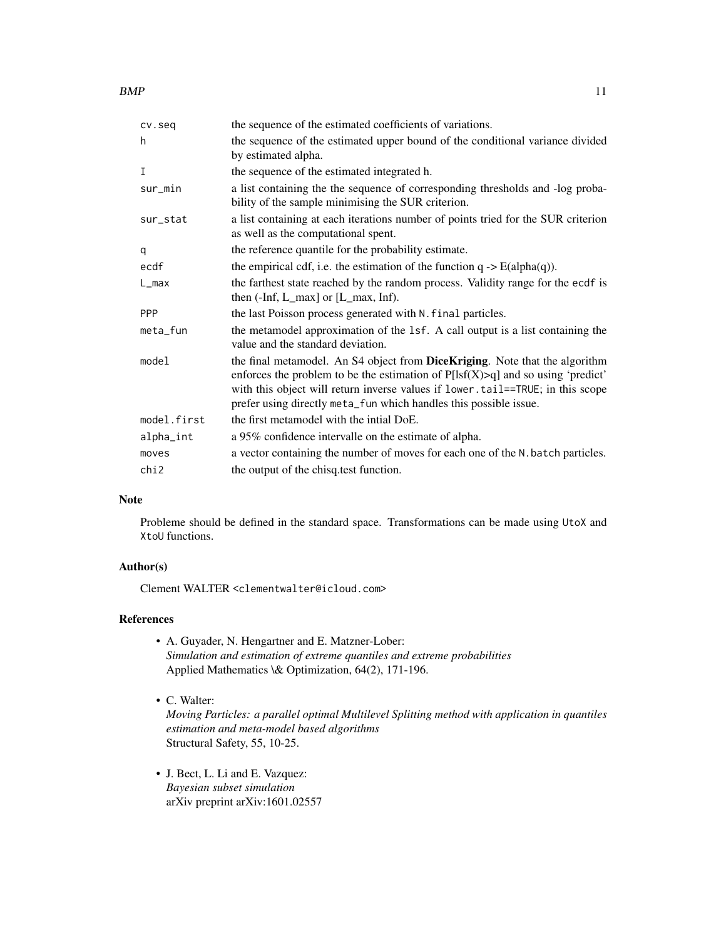| cv.seq      | the sequence of the estimated coefficients of variations.                                                                                                                                                                                                                                                                 |
|-------------|---------------------------------------------------------------------------------------------------------------------------------------------------------------------------------------------------------------------------------------------------------------------------------------------------------------------------|
| h           | the sequence of the estimated upper bound of the conditional variance divided<br>by estimated alpha.                                                                                                                                                                                                                      |
| I           | the sequence of the estimated integrated h.                                                                                                                                                                                                                                                                               |
| sur_min     | a list containing the the sequence of corresponding thresholds and -log proba-<br>bility of the sample minimising the SUR criterion.                                                                                                                                                                                      |
| sur_stat    | a list containing at each iterations number of points tried for the SUR criterion<br>as well as the computational spent.                                                                                                                                                                                                  |
| q           | the reference quantile for the probability estimate.                                                                                                                                                                                                                                                                      |
| ecdf        | the empirical cdf, i.e. the estimation of the function $q \rightarrow E(\text{alpha}(q))$ .                                                                                                                                                                                                                               |
| L_max       | the farthest state reached by the random process. Validity range for the ecdf is<br>then (-Inf, L_max] or [L_max, Inf).                                                                                                                                                                                                   |
| <b>PPP</b>  | the last Poisson process generated with N. final particles.                                                                                                                                                                                                                                                               |
| meta_fun    | the metamodel approximation of the 1sf. A call output is a list containing the<br>value and the standard deviation.                                                                                                                                                                                                       |
| model       | the final metamodel. An S4 object from DiceKriging. Note that the algorithm<br>enforces the problem to be the estimation of $P[Isf(X) > q]$ and so using 'predict'<br>with this object will return inverse values if lower.tail==TRUE; in this scope<br>prefer using directly meta_fun which handles this possible issue. |
| model.first | the first metamodel with the intial DoE.                                                                                                                                                                                                                                                                                  |
| alpha_int   | a 95% confidence intervalle on the estimate of alpha.                                                                                                                                                                                                                                                                     |
| moves       | a vector containing the number of moves for each one of the N. batch particles.                                                                                                                                                                                                                                           |
| chi2        | the output of the chisq test function.                                                                                                                                                                                                                                                                                    |

#### Note

Probleme should be defined in the standard space. Transformations can be made using UtoX and XtoU functions.

# Author(s)

Clement WALTER <clementwalter@icloud.com>

# References

- A. Guyader, N. Hengartner and E. Matzner-Lober: *Simulation and estimation of extreme quantiles and extreme probabilities* Applied Mathematics \& Optimization, 64(2), 171-196.
- C. Walter:

*Moving Particles: a parallel optimal Multilevel Splitting method with application in quantiles estimation and meta-model based algorithms* Structural Safety, 55, 10-25.

• J. Bect, L. Li and E. Vazquez: *Bayesian subset simulation* arXiv preprint arXiv:1601.02557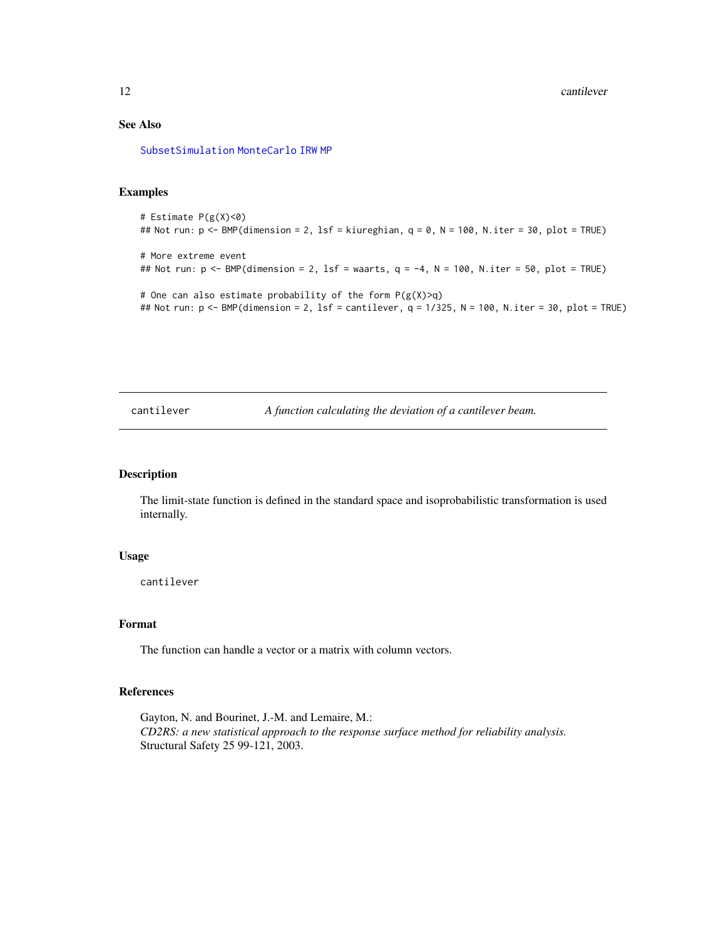# <span id="page-11-0"></span>See Also

[SubsetSimulation](#page-55-1) [MonteCarlo](#page-35-1) [IRW](#page-19-1) [MP](#page-37-1)

# Examples

```
# Estimate P(g(X)<0)
## Not run: p <- BMP(dimension = 2, lsf = kiureghian, q = 0, N = 100, N.iter = 30, plot = TRUE)
# More extreme event
## Not run: p \leq -BMP(dimension = 2, 1sf = waarts, q = -4, N = 100, N.iter = 50, plot = TRUE)# One can also estimate probability of the form P(g(X)>q)## Not run: p <- BMP(dimension = 2, lsf = cantilever, q = 1/325, N = 100, N.iter = 30, plot = TRUE)
```
cantilever *A function calculating the deviation of a cantilever beam.*

#### Description

The limit-state function is defined in the standard space and isoprobabilistic transformation is used internally.

#### Usage

cantilever

#### Format

The function can handle a vector or a matrix with column vectors.

#### References

Gayton, N. and Bourinet, J.-M. and Lemaire, M.: *CD2RS: a new statistical approach to the response surface method for reliability analysis.* Structural Safety 25 99-121, 2003.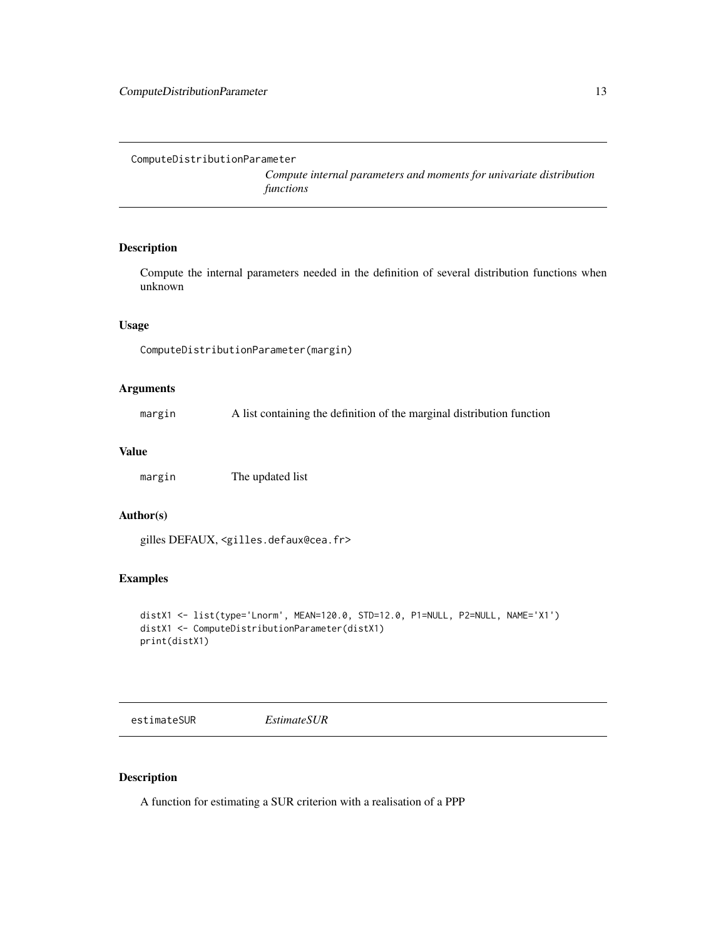<span id="page-12-1"></span><span id="page-12-0"></span>ComputeDistributionParameter

*Compute internal parameters and moments for univariate distribution functions*

# Description

Compute the internal parameters needed in the definition of several distribution functions when unknown

# Usage

ComputeDistributionParameter(margin)

#### Arguments

margin A list containing the definition of the marginal distribution function

#### Value

margin The updated list

# Author(s)

gilles DEFAUX, <gilles.defaux@cea.fr>

# Examples

```
distX1 <- list(type='Lnorm', MEAN=120.0, STD=12.0, P1=NULL, P2=NULL, NAME='X1')
distX1 <- ComputeDistributionParameter(distX1)
print(distX1)
```
estimateSUR *EstimateSUR*

# Description

A function for estimating a SUR criterion with a realisation of a PPP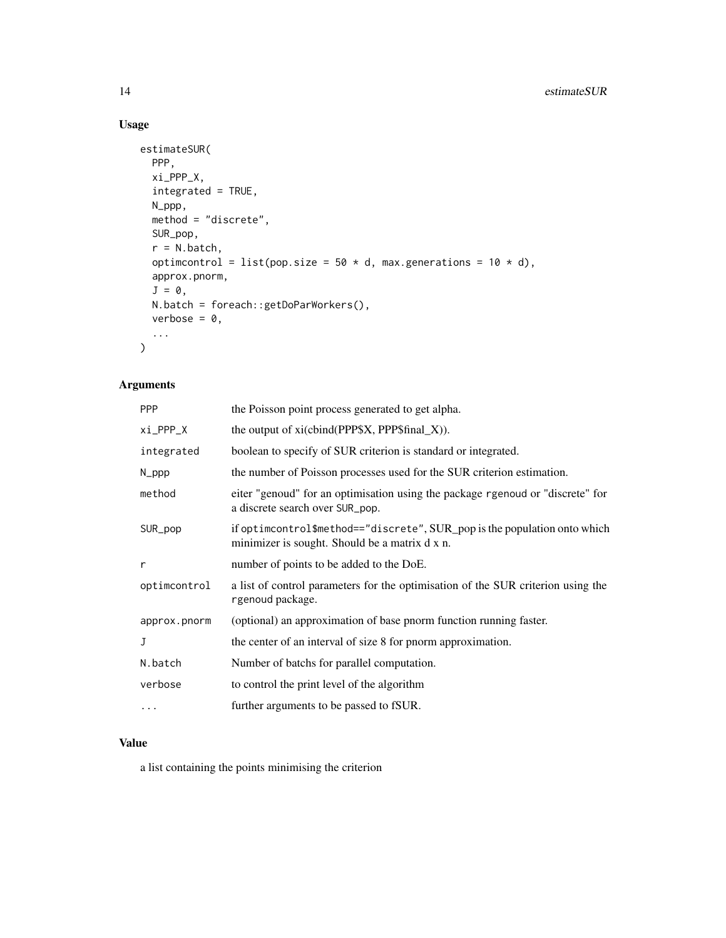# Usage

```
estimateSUR(
 PPP,
 xi_PPP_X,
 integrated = TRUE,
 N_ppp,
 method = "discrete",
 SUR_pop,
 r = N.\text{batch},
 optimcontrol = list(pop.size = 50 * d, max.generations = 10 * d),
 approx.pnorm,
 J = 0,
 N.batch = foreach::getDoParWorkers(),
 verbose = 0,
  ...
\mathcal{L}
```
# Arguments

| <b>PPP</b>   | the Poisson point process generated to get alpha.                                                                           |
|--------------|-----------------------------------------------------------------------------------------------------------------------------|
| xi_PPP_X     | the output of xi(cbind(PPP\$X, PPP\$final_X)).                                                                              |
| integrated   | boolean to specify of SUR criterion is standard or integrated.                                                              |
| N_ppp        | the number of Poisson processes used for the SUR criterion estimation.                                                      |
| method       | eiter "genoud" for an optimisation using the package rgenoud or "discrete" for<br>a discrete search over SUR_pop.           |
| SUR_pop      | if optimcontrol\$method=="discrete", SUR_pop is the population onto which<br>minimizer is sought. Should be a matrix d x n. |
| r            | number of points to be added to the DoE.                                                                                    |
| optimcontrol | a list of control parameters for the optimisation of the SUR criterion using the<br>rgenoud package.                        |
| approx.pnorm | (optional) an approximation of base pnorm function running faster.                                                          |
| J            | the center of an interval of size 8 for pnorm approximation.                                                                |
| N.batch      | Number of batchs for parallel computation.                                                                                  |
| verbose      | to control the print level of the algorithm                                                                                 |
| .            | further arguments to be passed to fSUR.                                                                                     |

# Value

a list containing the points minimising the criterion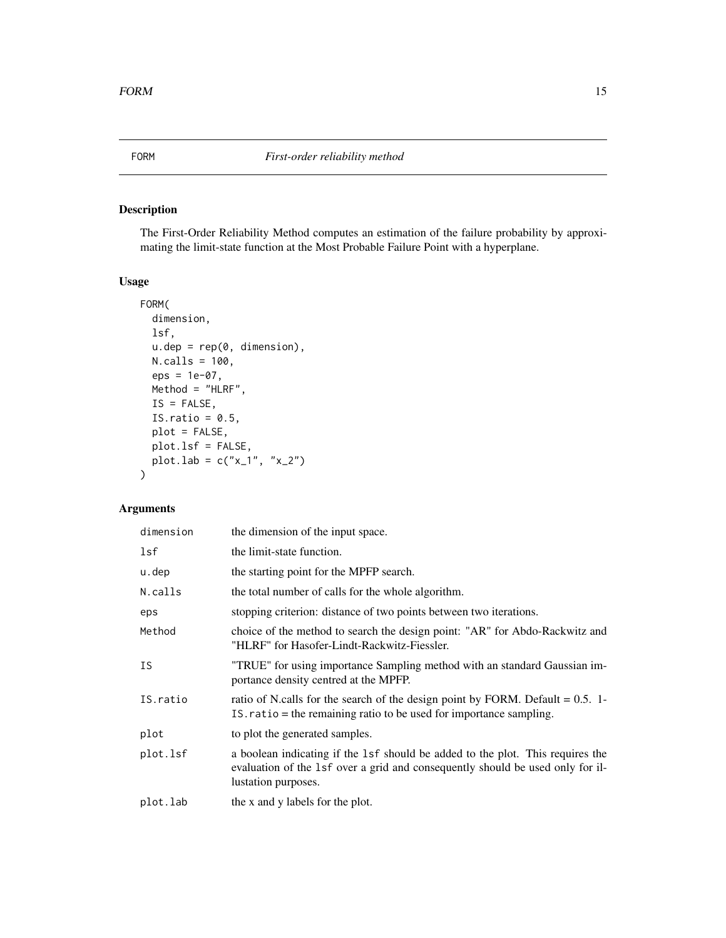# <span id="page-14-0"></span>Description

The First-Order Reliability Method computes an estimation of the failure probability by approximating the limit-state function at the Most Probable Failure Point with a hyperplane.

# Usage

```
FORM(
  dimension,
 lsf,
 u.dep = rep(0, dimension),N.calls = 100,
 eps = 1e-07,
 Method = "HLRF",IS = FALSE,IS.ratio = 0.5,
 plot = FALSE,
 plot.lsf = FALSE,
 plot.lab = c("x_1", "x_2"))
```
# Arguments

| dimension | the dimension of the input space.                                                                                                                                                       |
|-----------|-----------------------------------------------------------------------------------------------------------------------------------------------------------------------------------------|
| lsf       | the limit-state function.                                                                                                                                                               |
| u.dep     | the starting point for the MPFP search.                                                                                                                                                 |
| N.calls   | the total number of calls for the whole algorithm.                                                                                                                                      |
| eps       | stopping criterion: distance of two points between two iterations.                                                                                                                      |
| Method    | choice of the method to search the design point: "AR" for Abdo-Rackwitz and<br>"HLRF" for Hasofer-Lindt-Rackwitz-Fiessler.                                                              |
| <b>IS</b> | "TRUE" for using importance Sampling method with an standard Gaussian im-<br>portance density centred at the MPFP.                                                                      |
| IS.ratio  | ratio of N.calls for the search of the design point by FORM. Default $= 0.5$ . 1-<br>IS. ratio = the remaining ratio to be used for importance sampling.                                |
| plot      | to plot the generated samples.                                                                                                                                                          |
| plot.lsf  | a boolean indicating if the 1sf should be added to the plot. This requires the<br>evaluation of the 1sf over a grid and consequently should be used only for il-<br>lustation purposes. |
| plot.lab  | the x and y labels for the plot.                                                                                                                                                        |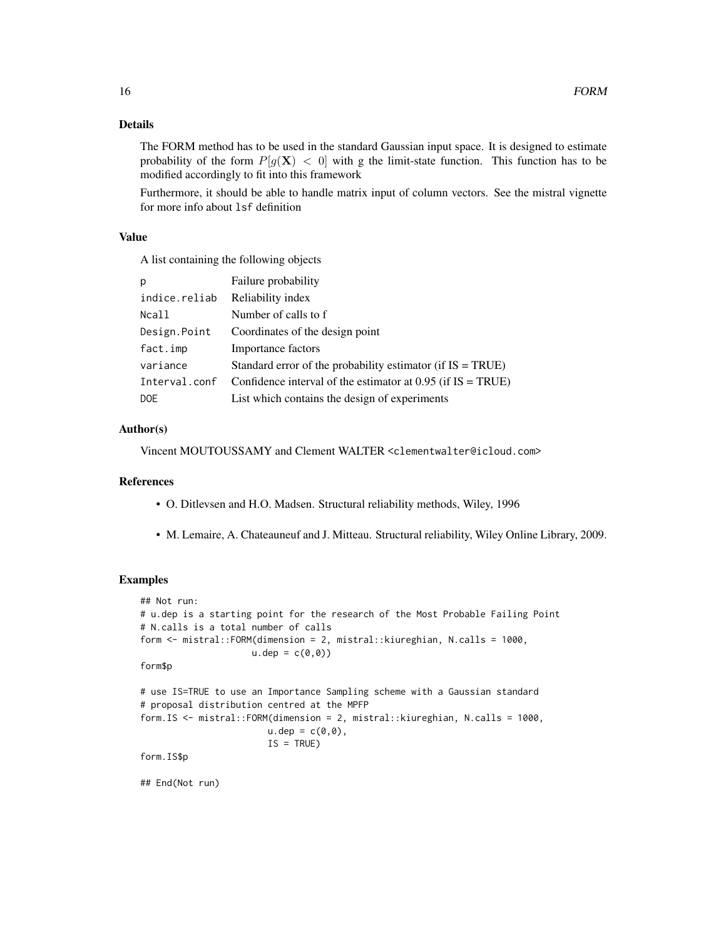# Details

The FORM method has to be used in the standard Gaussian input space. It is designed to estimate probability of the form  $P[g(X) < 0]$  with g the limit-state function. This function has to be modified accordingly to fit into this framework

Furthermore, it should be able to handle matrix input of column vectors. See the mistral vignette for more info about lsf definition

# Value

A list containing the following objects

| p             | Failure probability                                           |
|---------------|---------------------------------------------------------------|
| indice.reliab | Reliability index                                             |
| Ncall         | Number of calls to f                                          |
| Design.Point  | Coordinates of the design point                               |
| fact.imp      | Importance factors                                            |
| variance      | Standard error of the probability estimator (if $IS = TRUE$ ) |
| Interval.conf | Confidence interval of the estimator at $0.95$ (if IS = TRUE) |
| <b>DOE</b>    | List which contains the design of experiments                 |

# Author(s)

Vincent MOUTOUSSAMY and Clement WALTER <clementwalter@icloud.com>

# References

- O. Ditlevsen and H.O. Madsen. Structural reliability methods, Wiley, 1996
- M. Lemaire, A. Chateauneuf and J. Mitteau. Structural reliability, Wiley Online Library, 2009.

# Examples

```
## Not run:
# u.dep is a starting point for the research of the Most Probable Failing Point
# N.calls is a total number of calls
form <- mistral::FORM(dimension = 2, mistral::kiureghian, N.calls = 1000,
                     u.dep = c(0,0)form$p
# use IS=TRUE to use an Importance Sampling scheme with a Gaussian standard
# proposal distribution centred at the MPFP
form.IS <- mistral::FORM(dimension = 2, mistral::kiureghian, N.calls = 1000,
                        u.\text{dep} = c(0,0),
                        IS = TRUEform.IS$p
## End(Not run)
```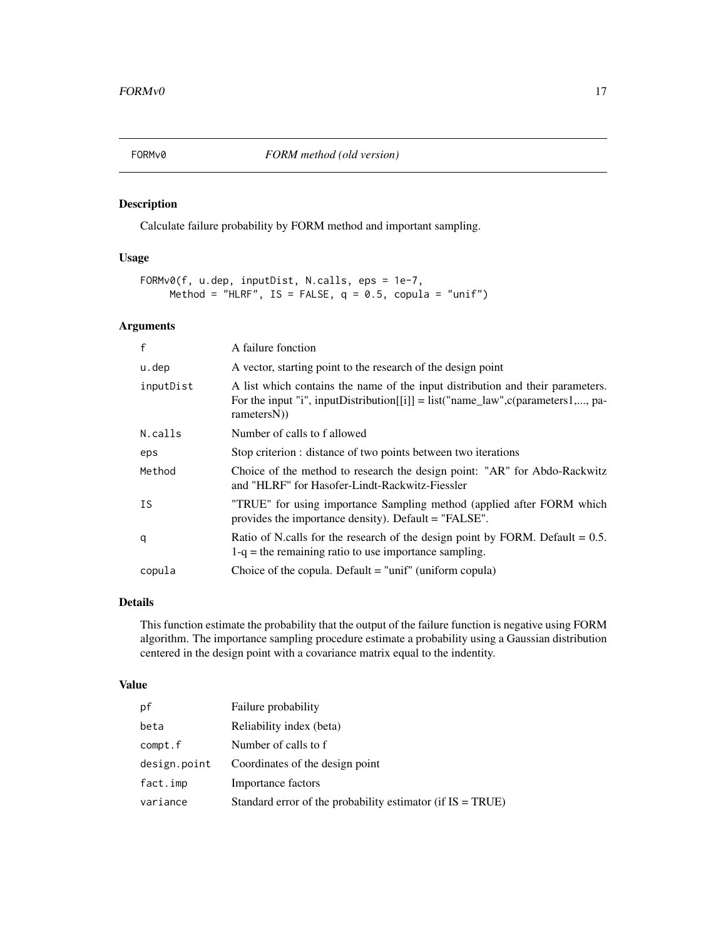<span id="page-16-0"></span>

# Description

Calculate failure probability by FORM method and important sampling.

# Usage

```
FORMv0(f, u.dep, inputDist, N.calls, eps = 1e-7,
     Method = "HLRF", IS = FALSE, q = 0.5, copula = "unif")
```
# Arguments

| f         | A failure fonction                                                                                                                                                                      |
|-----------|-----------------------------------------------------------------------------------------------------------------------------------------------------------------------------------------|
| u.dep     | A vector, starting point to the research of the design point                                                                                                                            |
| inputDist | A list which contains the name of the input distribution and their parameters.<br>For the input "i", inputDistribution[[i]] = $list("name_law", c(parameters1, , pas_lav$<br>rametersN) |
| N.calls   | Number of calls to f allowed                                                                                                                                                            |
| eps       | Stop criterion : distance of two points between two iterations                                                                                                                          |
| Method    | Choice of the method to research the design point: "AR" for Abdo-Rackwitz<br>and "HLRF" for Hasofer-Lindt-Rackwitz-Fiessler                                                             |
| IS        | "TRUE" for using importance Sampling method (applied after FORM which<br>provides the importance density). Default = "FALSE".                                                           |
| q         | Ratio of N.calls for the research of the design point by FORM. Default $= 0.5$ .<br>$1-q$ = the remaining ratio to use importance sampling.                                             |
| copula    | Choice of the copula. Default $=$ "unif" (uniform copula)                                                                                                                               |

# Details

This function estimate the probability that the output of the failure function is negative using FORM algorithm. The importance sampling procedure estimate a probability using a Gaussian distribution centered in the design point with a covariance matrix equal to the indentity.

# Value

| pf           | Failure probability                                           |
|--------------|---------------------------------------------------------------|
| beta         | Reliability index (beta)                                      |
| compt.f      | Number of calls to f                                          |
| design.point | Coordinates of the design point                               |
| fact.imp     | Importance factors                                            |
| variance     | Standard error of the probability estimator (if $IS = TRUE$ ) |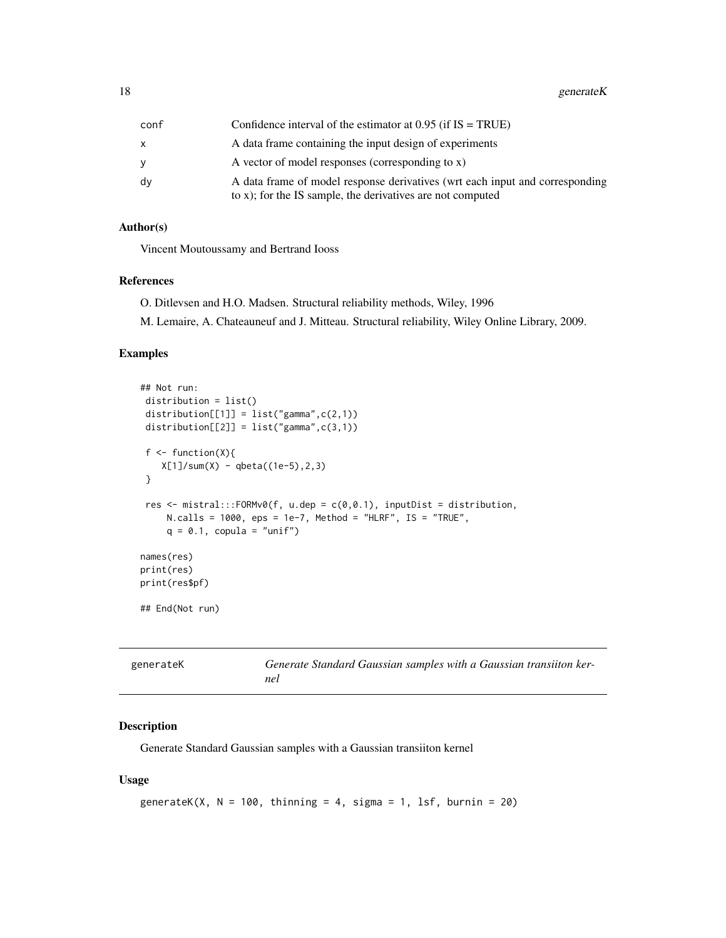<span id="page-17-0"></span>18 generate K

| conf | Confidence interval of the estimator at $0.95$ (if IS = TRUE)                                                                              |
|------|--------------------------------------------------------------------------------------------------------------------------------------------|
| x    | A data frame containing the input design of experiments                                                                                    |
| v    | A vector of model responses (corresponding to x)                                                                                           |
| dv   | A data frame of model response derivatives (wrt each input and corresponding<br>to x); for the IS sample, the derivatives are not computed |

# Author(s)

Vincent Moutoussamy and Bertrand Iooss

# References

O. Ditlevsen and H.O. Madsen. Structural reliability methods, Wiley, 1996

M. Lemaire, A. Chateauneuf and J. Mitteau. Structural reliability, Wiley Online Library, 2009.

#### Examples

```
## Not run:
 distribution = list()
 distribution[[1]] = list("gamma",c(2,1))
 distribution[[2]] = list("gamma", c(3,1))f \leftarrow function(X)X[1]/sum(X) - qbeta((1e-5), 2, 3)}
 res <- mistral:::FORMv0(f, u.dep = c(0,0.1), inputDist = distribution,
     N.</math> calls = 1000, <math>eps = 1e-7</math>, <math>Method = "HLRF", IS = "TRUE",</math>q = 0.1, copula = "unif")
names(res)
print(res)
print(res$pf)
## End(Not run)
```

| generateK | Generate Standard Gaussian samples with a Gaussian transiiton ker- |
|-----------|--------------------------------------------------------------------|
|           | nel                                                                |

# Description

Generate Standard Gaussian samples with a Gaussian transiiton kernel

# Usage

```
generateK(X, N = 100, thinning = 4, sigma = 1, lsf, burnin = 20)
```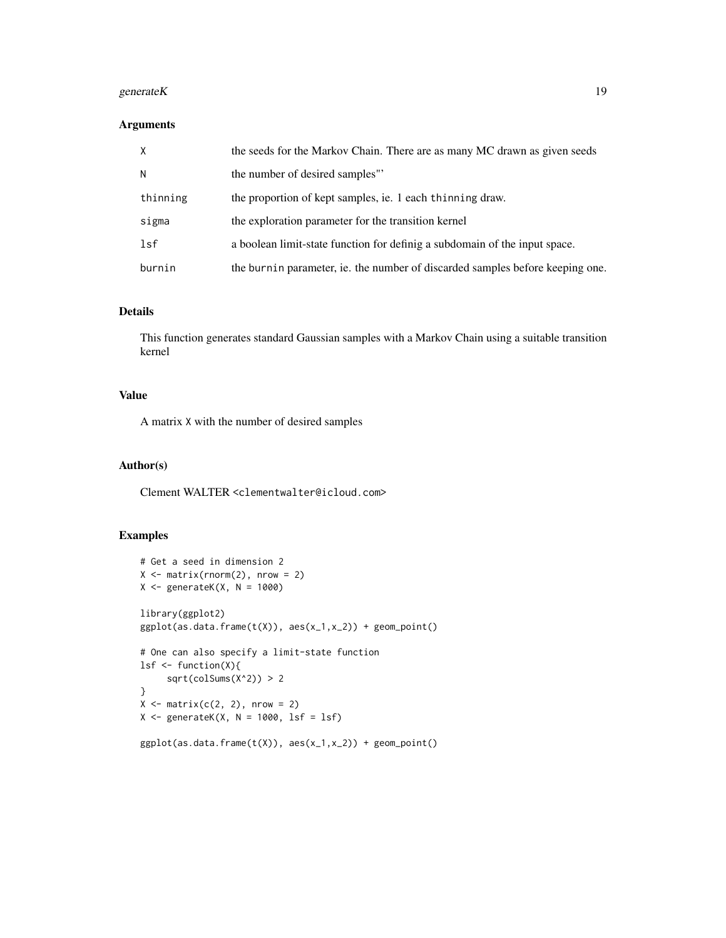# generateK 19

#### Arguments

| $\times$ | the seeds for the Markov Chain. There are as many MC drawn as given seeds     |
|----------|-------------------------------------------------------------------------------|
| N        | the number of desired samples"                                                |
| thinning | the proportion of kept samples, ie. 1 each thinning draw.                     |
| sigma    | the exploration parameter for the transition kernel                           |
| lsf      | a boolean limit-state function for definig a subdomain of the input space.    |
| burnin   | the burnin parameter, ie. the number of discarded samples before keeping one. |

#### Details

This function generates standard Gaussian samples with a Markov Chain using a suitable transition kernel

# Value

A matrix X with the number of desired samples

#### Author(s)

Clement WALTER <clementwalter@icloud.com>

# Examples

```
# Get a seed in dimension 2
X \leftarrow matrix(rnorm(2), nrow = 2)X \leftarrow generateK(X, N = 1000)library(ggplot2)
ggplot(as.data-frame(t(X)), aes(x_1,x_2)) + geom\_point()# One can also specify a limit-state function
lsf <- function(X){
     sqrt(colSums(X^2)) > 2
}
X \leftarrow matrix(c(2, 2), nrow = 2)X \leftarrow generateK(X, N = 1000, lsf = lsf)
ggplot(as.data.frame(t(X)), aes(x_1,x_2)) + geom\_point()
```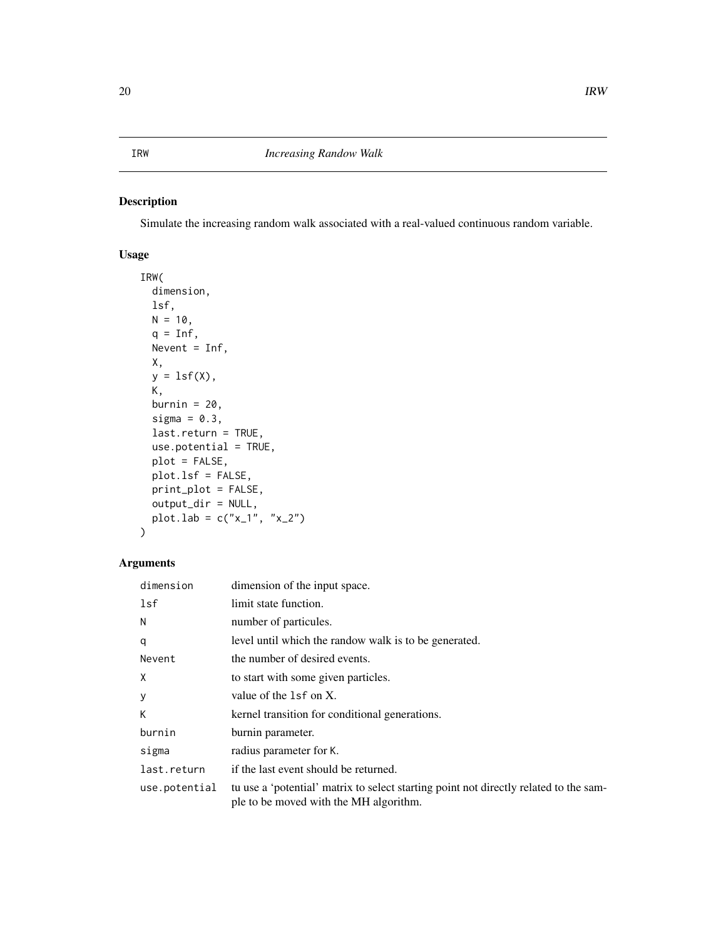#### <span id="page-19-1"></span><span id="page-19-0"></span>IRW *Increasing Randow Walk*

# Description

Simulate the increasing random walk associated with a real-valued continuous random variable.

# Usage

```
IRW(
  dimension,
 lsf,
 N = 10,
 q = \text{Inf},
 Nevent = Inf,
 X,
 y = lsf(X),
 K,
 burnin = 20,
  sigma = 0.3,
  last.return = TRUE,
  use.potential = TRUE,
 plot = FALSE,
 plot.lsf = FALSE,
 print_plot = FALSE,
 output_dir = NULL,
 plot.lab = c("x_1", "x_2"))
```
# Arguments

| dimension     | dimension of the input space.                                                                                                   |
|---------------|---------------------------------------------------------------------------------------------------------------------------------|
| lsf           | limit state function.                                                                                                           |
| N             | number of particules.                                                                                                           |
| q             | level until which the randow walk is to be generated.                                                                           |
| Nevent        | the number of desired events.                                                                                                   |
| X             | to start with some given particles.                                                                                             |
| y             | value of the $1sf$ on X.                                                                                                        |
| К             | kernel transition for conditional generations.                                                                                  |
| burnin        | burnin parameter.                                                                                                               |
| sigma         | radius parameter for K.                                                                                                         |
| last.return   | if the last event should be returned.                                                                                           |
| use.potential | tu use a 'potential' matrix to select starting point not directly related to the sam-<br>ple to be moved with the MH algorithm. |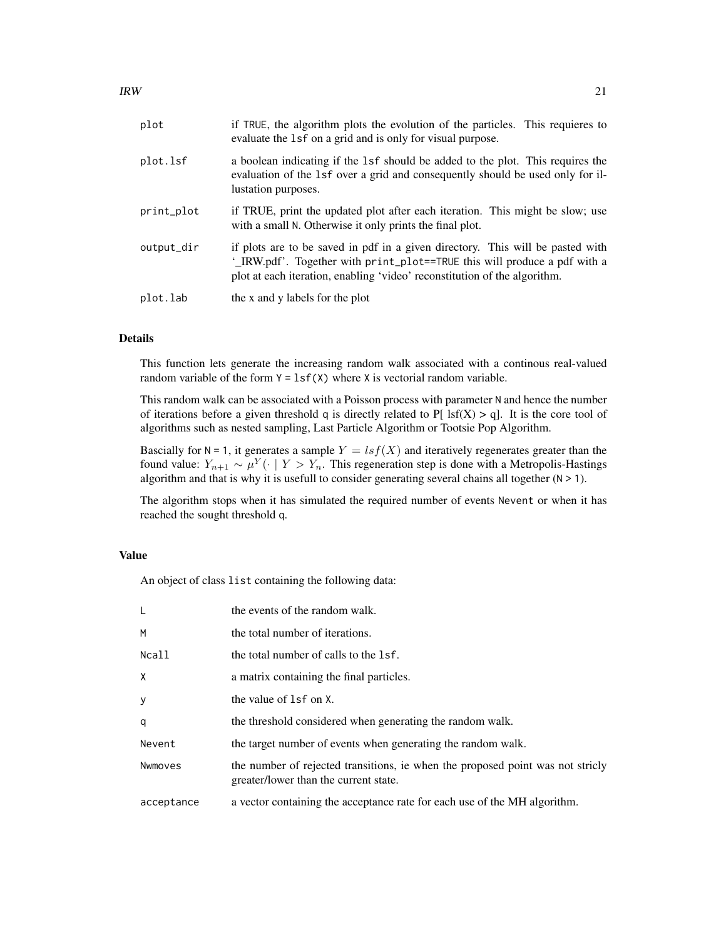| plot       | if TRUE, the algorithm plots the evolution of the particles. This requieres to<br>evaluate the 1sf on a grid and is only for visual purpose.                                                                                             |
|------------|------------------------------------------------------------------------------------------------------------------------------------------------------------------------------------------------------------------------------------------|
| plot.lsf   | a boolean indicating if the 1sf should be added to the plot. This requires the<br>evaluation of the 1sf over a grid and consequently should be used only for il-<br>lustation purposes.                                                  |
| print_plot | if TRUE, print the updated plot after each iteration. This might be slow; use<br>with a small N. Otherwise it only prints the final plot.                                                                                                |
| output_dir | if plots are to be saved in pdf in a given directory. This will be pasted with<br>'_IRW.pdf'. Together with print_plot==TRUE this will produce a pdf with a<br>plot at each iteration, enabling 'video' reconstitution of the algorithm. |
| plot.lab   | the x and y labels for the plot                                                                                                                                                                                                          |

# Details

This function lets generate the increasing random walk associated with a continous real-valued random variable of the form  $Y = \text{lsf}(X)$  where X is vectorial random variable.

This random walk can be associated with a Poisson process with parameter N and hence the number of iterations before a given threshold q is directly related to P[  $\text{lsf}(X) > q$ ]. It is the core tool of algorithms such as nested sampling, Last Particle Algorithm or Tootsie Pop Algorithm.

Bascially for  $N = 1$ , it generates a sample  $Y = lsf(X)$  and iteratively regenerates greater than the found value:  $Y_{n+1} \sim \mu^Y(\cdot \mid Y > Y_n$ . This regeneration step is done with a Metropolis-Hastings algorithm and that is why it is usefull to consider generating several chains all together  $(N > 1)$ .

The algorithm stops when it has simulated the required number of events Nevent or when it has reached the sought threshold q.

# Value

An object of class list containing the following data:

| L          | the events of the random walk.                                                                                           |
|------------|--------------------------------------------------------------------------------------------------------------------------|
| M          | the total number of iterations.                                                                                          |
| Ncall      | the total number of calls to the 1sf.                                                                                    |
| X          | a matrix containing the final particles.                                                                                 |
| У          | the value of 1sf on X.                                                                                                   |
| q          | the threshold considered when generating the random walk.                                                                |
| Nevent     | the target number of events when generating the random walk.                                                             |
| Nwmoves    | the number of rejected transitions, ie when the proposed point was not strictly<br>greater/lower than the current state. |
| acceptance | a vector containing the acceptance rate for each use of the MH algorithm.                                                |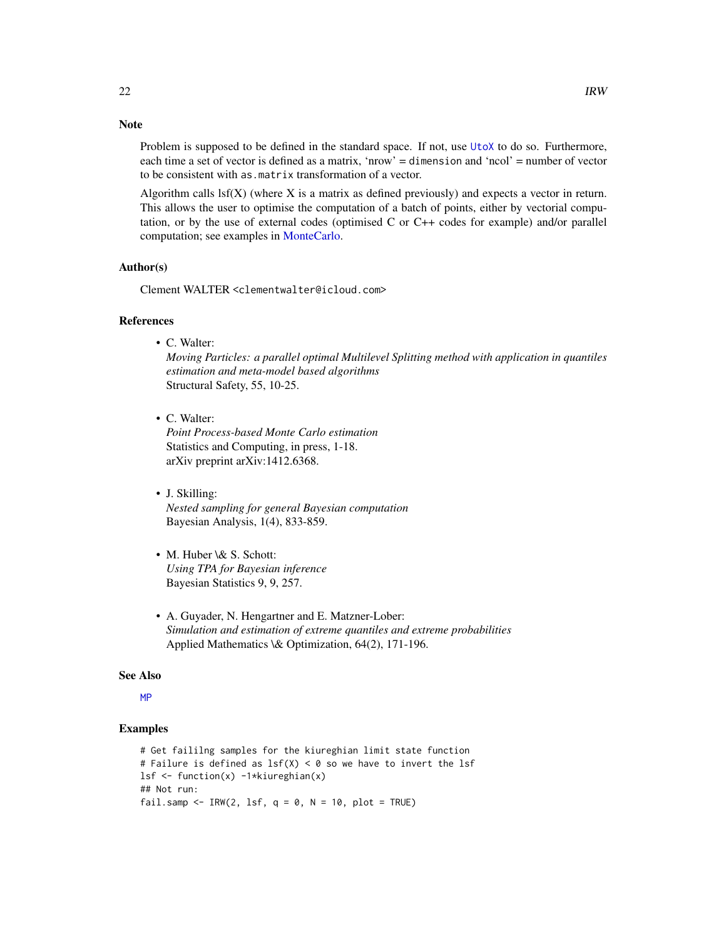#### <span id="page-21-0"></span>Note

Problem is supposed to be defined in the standard space. If not, use [UtoX](#page-63-1) to do so. Furthermore, each time a set of vector is defined as a matrix, 'nrow' = dimension and 'ncol' = number of vector to be consistent with as.matrix transformation of a vector.

Algorithm calls lsf(X) (where X is a matrix as defined previously) and expects a vector in return. This allows the user to optimise the computation of a batch of points, either by vectorial computation, or by the use of external codes (optimised C or C++ codes for example) and/or parallel computation; see examples in [MonteCarlo.](#page-35-1)

# Author(s)

Clement WALTER <clementwalter@icloud.com>

#### References

• C. Walter:

*Moving Particles: a parallel optimal Multilevel Splitting method with application in quantiles estimation and meta-model based algorithms* Structural Safety, 55, 10-25.

• C. Walter:

*Point Process-based Monte Carlo estimation* Statistics and Computing, in press, 1-18. arXiv preprint arXiv:1412.6368.

- J. Skilling: *Nested sampling for general Bayesian computation* Bayesian Analysis, 1(4), 833-859.
- M. Huber \& S. Schott: *Using TPA for Bayesian inference* Bayesian Statistics 9, 9, 257.
- A. Guyader, N. Hengartner and E. Matzner-Lober: *Simulation and estimation of extreme quantiles and extreme probabilities* Applied Mathematics \& Optimization, 64(2), 171-196.

#### See Also

[MP](#page-37-1)

# Examples

```
# Get faililng samples for the kiureghian limit state function
# Failure is defined as lsf(X) < 0 so we have to invert the lsf
1sf \leq function(x) -1*kiureghian(x)
## Not run:
fail.samp <- IRW(2, lsf, q = 0, N = 10, plot = TRUE)
```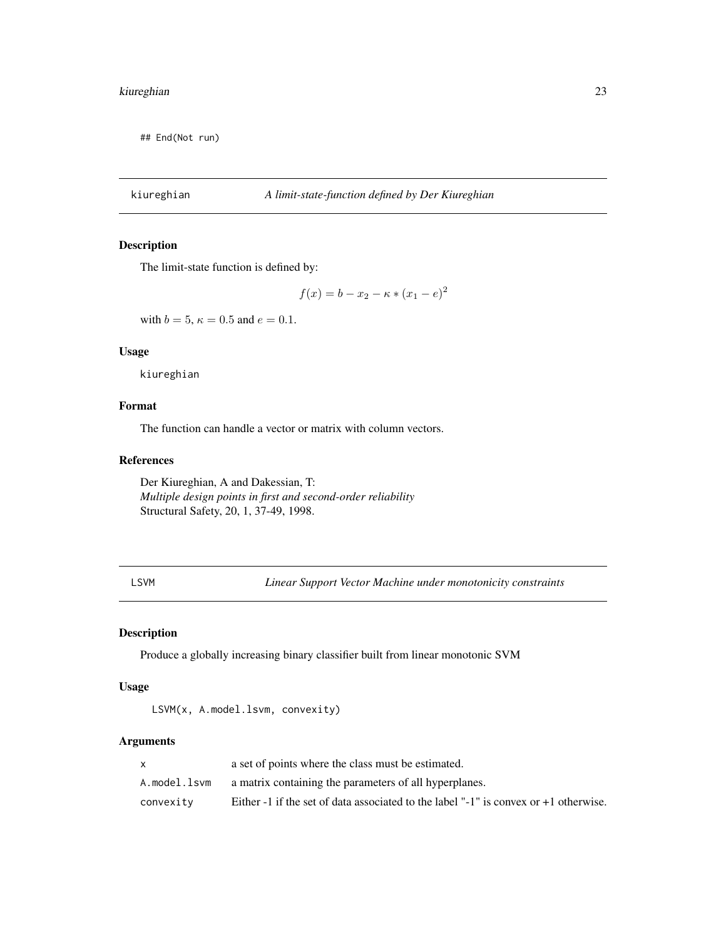<span id="page-22-0"></span>## End(Not run)

# kiureghian *A limit-state-function defined by Der Kiureghian*

# Description

The limit-state function is defined by:

$$
f(x) = b - x_2 - \kappa * (x_1 - e)^2
$$

with  $b = 5$ ,  $\kappa = 0.5$  and  $e = 0.1$ .

# Usage

kiureghian

# Format

The function can handle a vector or matrix with column vectors.

#### References

Der Kiureghian, A and Dakessian, T: *Multiple design points in first and second-order reliability* Structural Safety, 20, 1, 37-49, 1998.

<span id="page-22-1"></span>LSVM *Linear Support Vector Machine under monotonicity constraints*

# Description

Produce a globally increasing binary classifier built from linear monotonic SVM

# Usage

LSVM(x, A.model.lsvm, convexity)

# Arguments

|              | a set of points where the class must be estimated.                                   |
|--------------|--------------------------------------------------------------------------------------|
| A.model.lsvm | a matrix containing the parameters of all hyperplanes.                               |
| convexity    | Either -1 if the set of data associated to the label "-1" is convex or +1 otherwise. |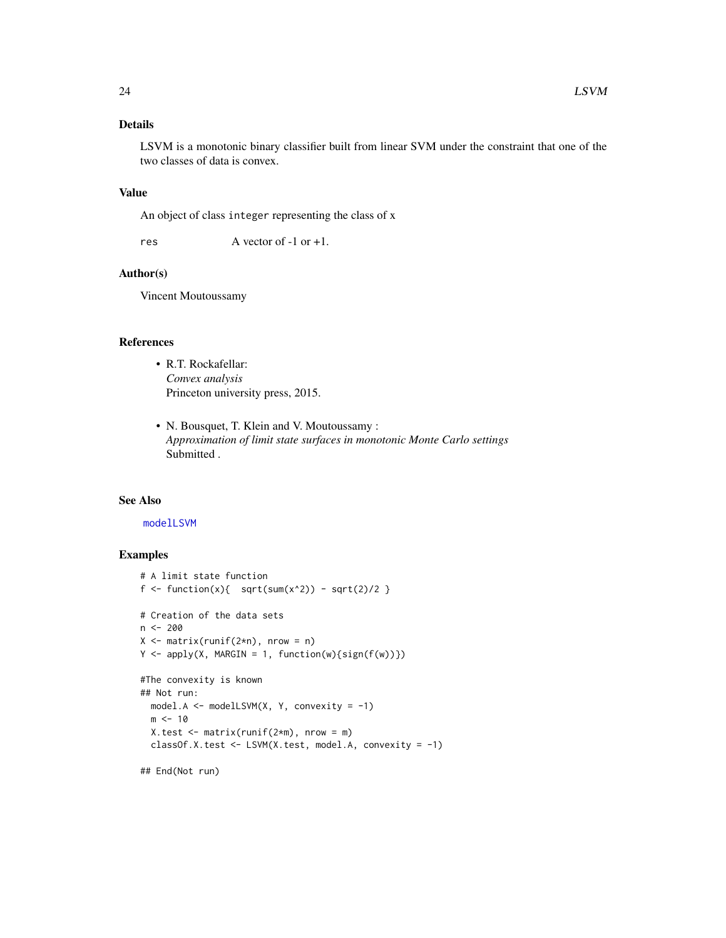# <span id="page-23-0"></span>Details

LSVM is a monotonic binary classifier built from linear SVM under the constraint that one of the two classes of data is convex.

### Value

An object of class integer representing the class of x

res  $\overline{A}$  vector of -1 or +1.

# Author(s)

Vincent Moutoussamy

# References

- R.T. Rockafellar: *Convex analysis* Princeton university press, 2015.
- N. Bousquet, T. Klein and V. Moutoussamy : *Approximation of limit state surfaces in monotonic Monte Carlo settings* Submitted .

# See Also

#### [modelLSVM](#page-30-1)

# Examples

```
# A limit state function
f <- function(x){ sqrt(x^2) - sqrt(2)/2 }
# Creation of the data sets
n <- 200
X \leq - matrix(runif(2*n), nrow = n)
Y \leftarrow apply(X, MARGIN = 1, function(w) {sign(f(w))})#The convexity is known
## Not run:
  model.A <- modelLSVM(X, Y, convexity = -1)
  m < -10X.test \leq matrix(runif(2*m), nrow = m)
  classOf.X.test <- LSVM(X.test, model.A, convexity = -1)
```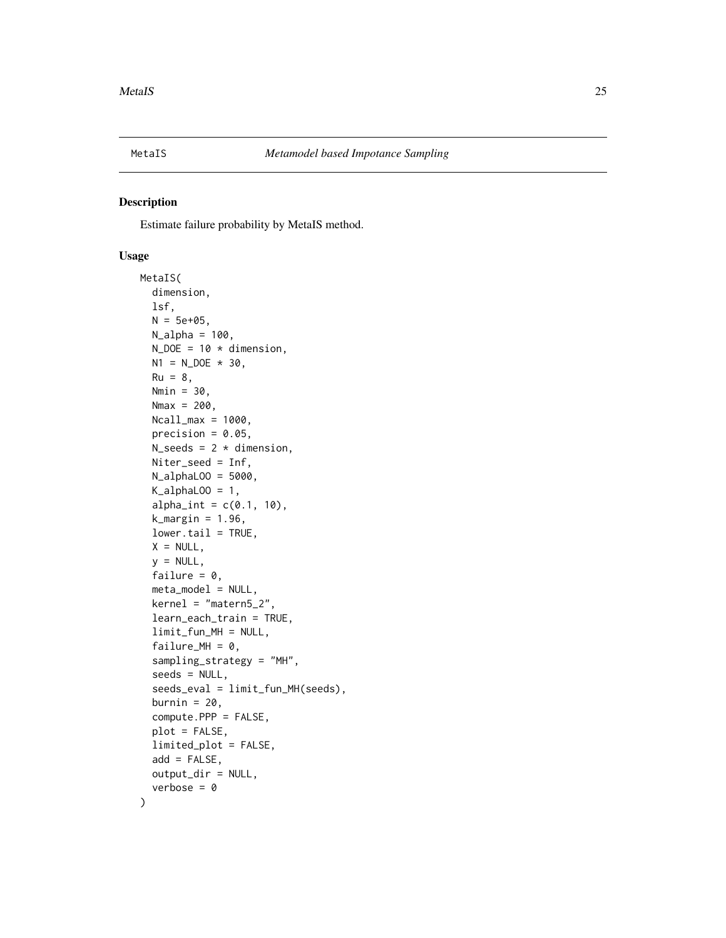<span id="page-24-1"></span><span id="page-24-0"></span>

# Description

Estimate failure probability by MetaIS method.

#### Usage

```
MetaIS(
  dimension,
  lsf,
 N = 5e+05,
 N_alpha = 100,
  N\_DOE = 10 * dimension,N1 = N\_DOE * 30,Ru = 8,
 Nmin = 30,
  Nmax = 200,
 Ncall_max = 1000,precision = 0.05,
  N_s seeds = 2 * dimension,
 Niter_seed = Inf,
 N_alphaLOO = 5000,
  K_alphaLOO = 1,
  alpha_int = c(0.1, 10),
  k_margin = 1.96,
  lower.tail = TRUE,X = NULL,y = NULL,failure = 0,
  meta_model = NULL,
  kernel = "matern5_2",
  learn_each_train = TRUE,
  limit_fun_MH = NULL,
  failure_MH = 0,
  sampling_strategy = "MH",
  seeds = NULL,
  seeds_eval = limit_fun_MH(seeds),
  burnin = 20,
  compute.PPP = FALSE,
  plot = FALSE,
  limited_plot = FALSE,
  add = FALSE,output_dir = NULL,
  verbose = <math>0</math>)
```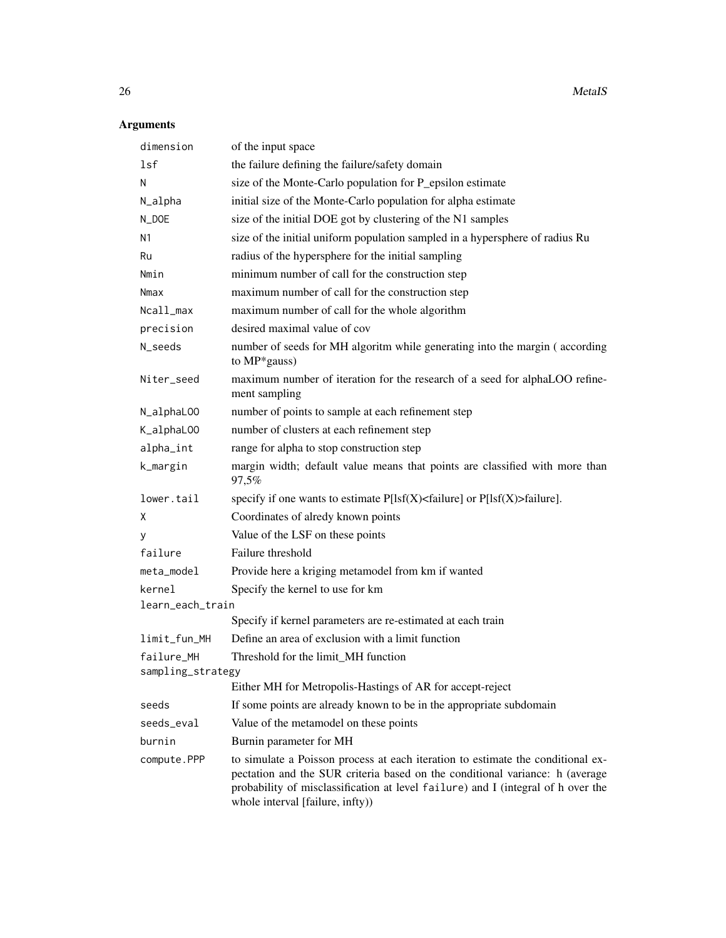# Arguments

| dimension         | of the input space                                                                                                                                                                                                                                                                      |
|-------------------|-----------------------------------------------------------------------------------------------------------------------------------------------------------------------------------------------------------------------------------------------------------------------------------------|
| lsf               | the failure defining the failure/safety domain                                                                                                                                                                                                                                          |
| N                 | size of the Monte-Carlo population for P_epsilon estimate                                                                                                                                                                                                                               |
| N_alpha           | initial size of the Monte-Carlo population for alpha estimate                                                                                                                                                                                                                           |
| N_DOE             | size of the initial DOE got by clustering of the N1 samples                                                                                                                                                                                                                             |
| Ν1                | size of the initial uniform population sampled in a hypersphere of radius Ru                                                                                                                                                                                                            |
| Ru                | radius of the hypersphere for the initial sampling                                                                                                                                                                                                                                      |
| Nmin              | minimum number of call for the construction step                                                                                                                                                                                                                                        |
| Nmax              | maximum number of call for the construction step                                                                                                                                                                                                                                        |
| Ncall_max         | maximum number of call for the whole algorithm                                                                                                                                                                                                                                          |
| precision         | desired maximal value of cov                                                                                                                                                                                                                                                            |
| N_seeds           | number of seeds for MH algoritm while generating into the margin (according<br>to MP*gauss)                                                                                                                                                                                             |
| Niter_seed        | maximum number of iteration for the research of a seed for alphaLOO refine-<br>ment sampling                                                                                                                                                                                            |
| N_alphaL00        | number of points to sample at each refinement step                                                                                                                                                                                                                                      |
| K_alphaL00        | number of clusters at each refinement step                                                                                                                                                                                                                                              |
| alpha_int         | range for alpha to stop construction step                                                                                                                                                                                                                                               |
| k_margin          | margin width; default value means that points are classified with more than<br>97,5%                                                                                                                                                                                                    |
| lower.tail        | specify if one wants to estimate $P[Isf(X) <$ failure] or $P[Isf(X) >$ failure].                                                                                                                                                                                                        |
| χ                 | Coordinates of alredy known points                                                                                                                                                                                                                                                      |
| у                 | Value of the LSF on these points                                                                                                                                                                                                                                                        |
| failure           | Failure threshold                                                                                                                                                                                                                                                                       |
| meta_model        | Provide here a kriging metamodel from km if wanted                                                                                                                                                                                                                                      |
| kernel            | Specify the kernel to use for km                                                                                                                                                                                                                                                        |
| learn_each_train  |                                                                                                                                                                                                                                                                                         |
|                   | Specify if kernel parameters are re-estimated at each train                                                                                                                                                                                                                             |
| limit_fun_MH      | Define an area of exclusion with a limit function                                                                                                                                                                                                                                       |
| failure_MH        | Threshold for the limit MH function                                                                                                                                                                                                                                                     |
| sampling_strategy | Either MH for Metropolis-Hastings of AR for accept-reject                                                                                                                                                                                                                               |
| seeds             | If some points are already known to be in the appropriate subdomain                                                                                                                                                                                                                     |
| seeds_eval        | Value of the metamodel on these points                                                                                                                                                                                                                                                  |
| burnin            | Burnin parameter for MH                                                                                                                                                                                                                                                                 |
|                   |                                                                                                                                                                                                                                                                                         |
| compute.PPP       | to simulate a Poisson process at each iteration to estimate the conditional ex-<br>pectation and the SUR criteria based on the conditional variance: h (average<br>probability of misclassification at level failure) and I (integral of h over the<br>whole interval [failure, infty)) |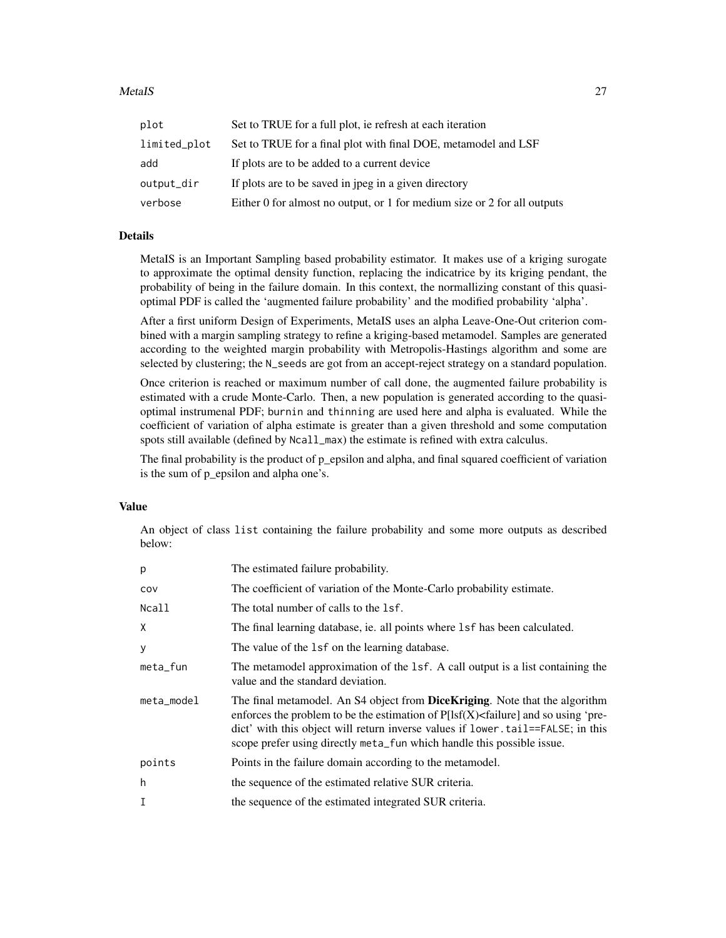#### MetaIS 27

| plot         | Set to TRUE for a full plot, ie refresh at each iteration                |
|--------------|--------------------------------------------------------------------------|
| limited_plot | Set to TRUE for a final plot with final DOE, metamodel and LSF           |
| add          | If plots are to be added to a current device                             |
| output_dir   | If plots are to be saved in jpeg in a given directory                    |
| verbose      | Either 0 for almost no output, or 1 for medium size or 2 for all outputs |

# Details

MetaIS is an Important Sampling based probability estimator. It makes use of a kriging surogate to approximate the optimal density function, replacing the indicatrice by its kriging pendant, the probability of being in the failure domain. In this context, the normallizing constant of this quasioptimal PDF is called the 'augmented failure probability' and the modified probability 'alpha'.

After a first uniform Design of Experiments, MetaIS uses an alpha Leave-One-Out criterion combined with a margin sampling strategy to refine a kriging-based metamodel. Samples are generated according to the weighted margin probability with Metropolis-Hastings algorithm and some are selected by clustering; the N\_seeds are got from an accept-reject strategy on a standard population.

Once criterion is reached or maximum number of call done, the augmented failure probability is estimated with a crude Monte-Carlo. Then, a new population is generated according to the quasioptimal instrumenal PDF; burnin and thinning are used here and alpha is evaluated. While the coefficient of variation of alpha estimate is greater than a given threshold and some computation spots still available (defined by Ncall\_max) the estimate is refined with extra calculus.

The final probability is the product of p\_epsilon and alpha, and final squared coefficient of variation is the sum of p\_epsilon and alpha one's.

# Value

An object of class list containing the failure probability and some more outputs as described below:

| p          | The estimated failure probability.                                                                                                                                                                                                                                                                                                        |
|------------|-------------------------------------------------------------------------------------------------------------------------------------------------------------------------------------------------------------------------------------------------------------------------------------------------------------------------------------------|
| COV        | The coefficient of variation of the Monte-Carlo probability estimate.                                                                                                                                                                                                                                                                     |
| Ncall      | The total number of calls to the 1sf.                                                                                                                                                                                                                                                                                                     |
| Χ          | The final learning database, ie. all points where 1sf has been calculated.                                                                                                                                                                                                                                                                |
| у          | The value of the 1sf on the learning database.                                                                                                                                                                                                                                                                                            |
| meta_fun   | The metamodel approximation of the 1sf. A call output is a list containing the<br>value and the standard deviation.                                                                                                                                                                                                                       |
| meta_model | The final metamodel. An S4 object from <b>DiceKriging</b> . Note that the algorithm<br>enforces the problem to be the estimation of $P[Isf(X) <$ failure] and so using 'pre-<br>dict' with this object will return inverse values if lower.tail==FALSE; in this<br>scope prefer using directly meta_fun which handle this possible issue. |
| points     | Points in the failure domain according to the metamodel.                                                                                                                                                                                                                                                                                  |
| h          | the sequence of the estimated relative SUR criteria.                                                                                                                                                                                                                                                                                      |
| I          | the sequence of the estimated integrated SUR criteria.                                                                                                                                                                                                                                                                                    |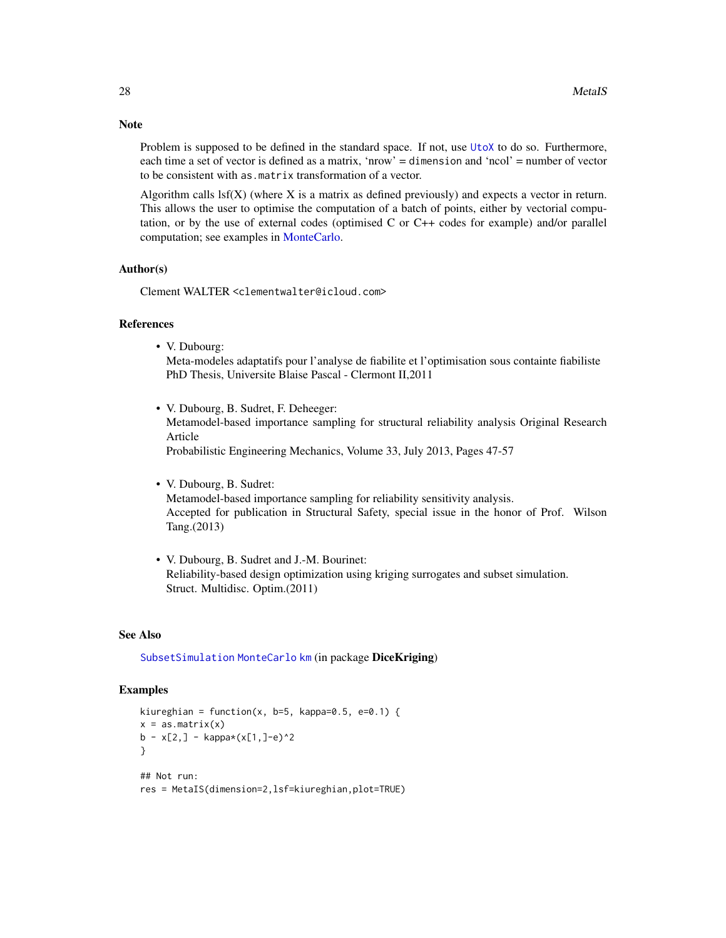Problem is supposed to be defined in the standard space. If not, use [UtoX](#page-63-1) to do so. Furthermore, each time a set of vector is defined as a matrix, 'nrow' = dimension and 'ncol' = number of vector to be consistent with as.matrix transformation of a vector.

Algorithm calls  $\text{lsf}(X)$  (where X is a matrix as defined previously) and expects a vector in return. This allows the user to optimise the computation of a batch of points, either by vectorial computation, or by the use of external codes (optimised C or C++ codes for example) and/or parallel computation; see examples in [MonteCarlo.](#page-35-1)

#### Author(s)

Clement WALTER <clementwalter@icloud.com>

#### References

• V. Dubourg:

Meta-modeles adaptatifs pour l'analyse de fiabilite et l'optimisation sous containte fiabiliste PhD Thesis, Universite Blaise Pascal - Clermont II,2011

• V. Dubourg, B. Sudret, F. Deheeger: Metamodel-based importance sampling for structural reliability analysis Original Research Article Probabilistic Engineering Mechanics, Volume 33, July 2013, Pages 47-57

• V. Dubourg, B. Sudret:

Metamodel-based importance sampling for reliability sensitivity analysis. Accepted for publication in Structural Safety, special issue in the honor of Prof. Wilson Tang.(2013)

• V. Dubourg, B. Sudret and J.-M. Bourinet: Reliability-based design optimization using kriging surrogates and subset simulation. Struct. Multidisc. Optim.(2011)

#### See Also

[SubsetSimulation](#page-55-1) [MonteCarlo](#page-35-1) [km](#page-0-0) (in package DiceKriging)

#### Examples

```
kiureghian = function(x, b=5, kappa=0.5, e=0.1) {
x = as_matrix(x)b - x[2,] - kappa(x[1,]-e)^2}
## Not run:
res = MetaIS(dimension=2,lsf=kiureghian,plot=TRUE)
```
<span id="page-27-0"></span>

# Note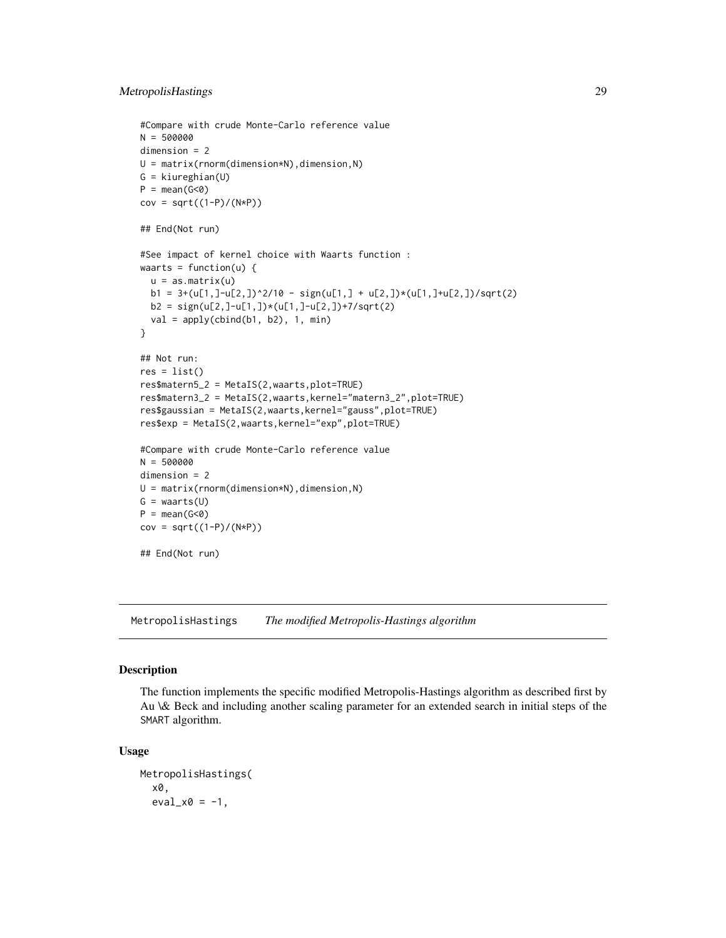```
#Compare with crude Monte-Carlo reference value
N = 500000
dimension = 2
U = matrix(rnorm(dimension*N), dimension,N)G = kiureghian(U)
P = mean(G < 0)cov = sqrt((1-P)/(N*P))
## End(Not run)
#See impact of kernel choice with Waarts function :
waarts = function(u) \{u = as_matrix(u)b1 = 3+(u[1,]-u[2,])^2/10 - sign(u[1,]+u[2,])*(u[1,]-u[2,]))/sqrt(2)b2 = sign(u[2,]-u[1,])*(u[1,]-u[2,])+7/sqrt(2)val = apply(cbind(b1, b2), 1, min)}
## Not run:
res = list()res$matern5_2 = MetaIS(2,waarts,plot=TRUE)
res$matern3_2 = MetaIS(2,waarts,kernel="matern3_2",plot=TRUE)
res$gaussian = MetaIS(2,waarts,kernel="gauss",plot=TRUE)
res$exp = MetaIS(2,waarts,kernel="exp",plot=TRUE)
#Compare with crude Monte-Carlo reference value
N = 500000dimension = 2
U = matrix(rnorm(dimension*N),dimension,N)
G = waarts(U)P = mean(G < 0)cov = sqrt((1-P)/(N*P))## End(Not run)
```
MetropolisHastings *The modified Metropolis-Hastings algorithm*

#### Description

The function implements the specific modified Metropolis-Hastings algorithm as described first by Au \& Beck and including another scaling parameter for an extended search in initial steps of the SMART algorithm.

#### Usage

```
MetropolisHastings(
  x0,
  eval_x0 = -1,
```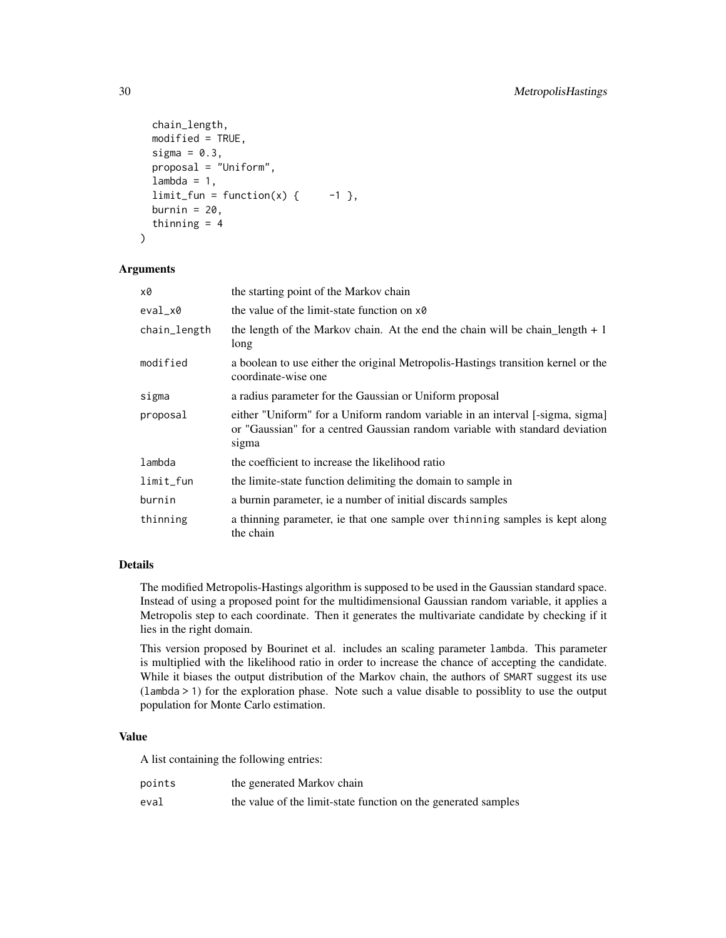```
chain_length,
 modified = TRUE,
 sigma = 0.3,
 proposal = "Uniform",
 lambda = 1,
  limit_fun = function(x) { -1 },
 burnin = 20,
  thinning = 4)
```
#### Arguments

| x0           | the starting point of the Markov chain                                                                                                                                 |
|--------------|------------------------------------------------------------------------------------------------------------------------------------------------------------------------|
| eval_x0      | the value of the limit-state function on x0                                                                                                                            |
| chain_length | the length of the Markov chain. At the end the chain will be chain length $+1$<br>long                                                                                 |
| modified     | a boolean to use either the original Metropolis-Hastings transition kernel or the<br>coordinate-wise one                                                               |
| sigma        | a radius parameter for the Gaussian or Uniform proposal                                                                                                                |
| proposal     | either "Uniform" for a Uniform random variable in an interval [-sigma, sigma]<br>or "Gaussian" for a centred Gaussian random variable with standard deviation<br>sigma |
| lambda       | the coefficient to increase the likelihood ratio                                                                                                                       |
| $limit_f$    | the limite-state function delimiting the domain to sample in                                                                                                           |
| burnin       | a burnin parameter, ie a number of initial discards samples                                                                                                            |
| thinning     | a thinning parameter, ie that one sample over thinning samples is kept along<br>the chain                                                                              |

#### Details

The modified Metropolis-Hastings algorithm is supposed to be used in the Gaussian standard space. Instead of using a proposed point for the multidimensional Gaussian random variable, it applies a Metropolis step to each coordinate. Then it generates the multivariate candidate by checking if it lies in the right domain.

This version proposed by Bourinet et al. includes an scaling parameter lambda. This parameter is multiplied with the likelihood ratio in order to increase the chance of accepting the candidate. While it biases the output distribution of the Markov chain, the authors of SMART suggest its use (lambda > 1) for the exploration phase. Note such a value disable to possiblity to use the output population for Monte Carlo estimation.

# Value

A list containing the following entries:

| points | the generated Markov chain                                     |
|--------|----------------------------------------------------------------|
| eval   | the value of the limit-state function on the generated samples |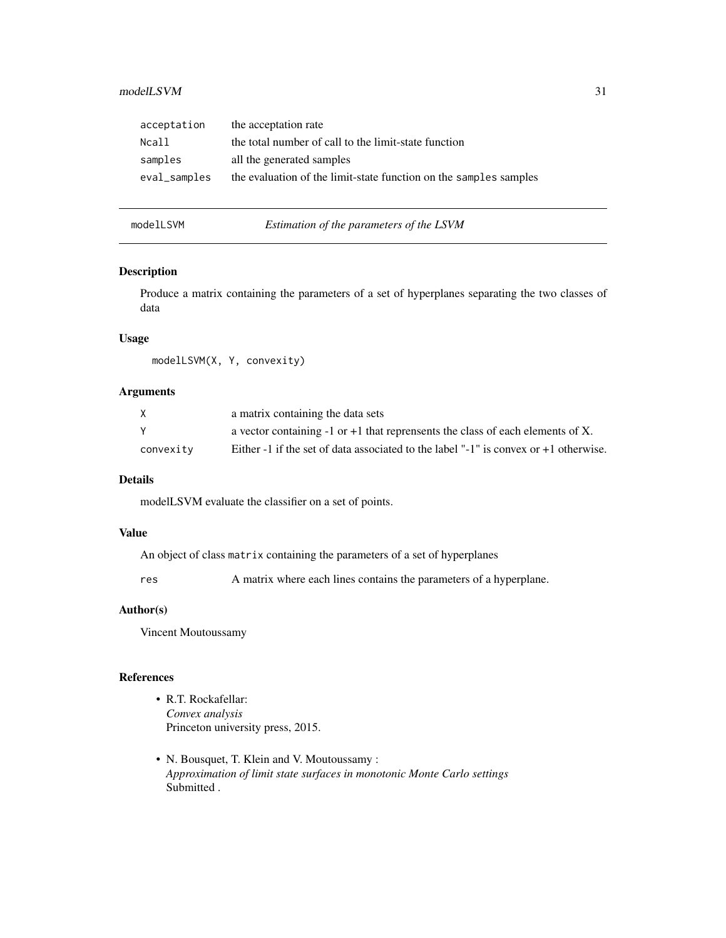# <span id="page-30-0"></span>modelLSVM 31

| the acceptation rate                                              |
|-------------------------------------------------------------------|
| the total number of call to the limit-state function              |
| all the generated samples                                         |
| the evaluation of the limit-state function on the samples samples |
|                                                                   |

<span id="page-30-1"></span>modelLSVM *Estimation of the parameters of the LSVM*

# Description

Produce a matrix containing the parameters of a set of hyperplanes separating the two classes of data

# Usage

modelLSVM(X, Y, convexity)

# Arguments

| X         | a matrix containing the data sets                                                      |
|-----------|----------------------------------------------------------------------------------------|
|           | a vector containing $-1$ or $+1$ that reprensents the class of each elements of X.     |
| convexity | Either -1 if the set of data associated to the label "-1" is convex or $+1$ otherwise. |

# Details

modelLSVM evaluate the classifier on a set of points.

#### Value

An object of class matrix containing the parameters of a set of hyperplanes

res A matrix where each lines contains the parameters of a hyperplane.

#### Author(s)

Vincent Moutoussamy

# References

- R.T. Rockafellar: *Convex analysis* Princeton university press, 2015.
- N. Bousquet, T. Klein and V. Moutoussamy : *Approximation of limit state surfaces in monotonic Monte Carlo settings* Submitted .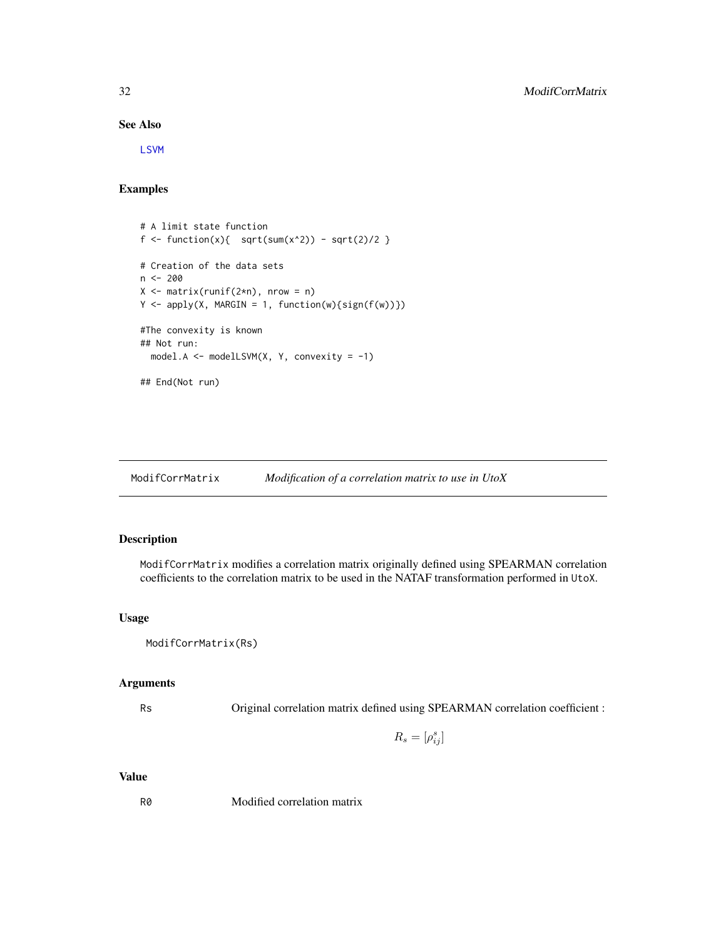#### See Also

[LSVM](#page-22-1)

# Examples

```
# A limit state function
f <- function(x){ sqrt(x^2) - sqrt(2)/2 }
# Creation of the data sets
n <- 200
X \leftarrow matrix(runif(2*n), nrow = n)Y \leq apply(X, MARGIN = 1, function(w){sign(f(w))})
#The convexity is known
## Not run:
  model.A <- modelLSVM(X, Y, convexity = -1)
## End(Not run)
```
<span id="page-31-1"></span>ModifCorrMatrix *Modification of a correlation matrix to use in UtoX*

# Description

ModifCorrMatrix modifies a correlation matrix originally defined using SPEARMAN correlation coefficients to the correlation matrix to be used in the NATAF transformation performed in UtoX.

# Usage

```
ModifCorrMatrix(Rs)
```
# Arguments

Rs Original correlation matrix defined using SPEARMAN correlation coefficient :

 $R_s = [\rho_{ij}^s]$ 

#### Value

R0 Modified correlation matrix

<span id="page-31-0"></span>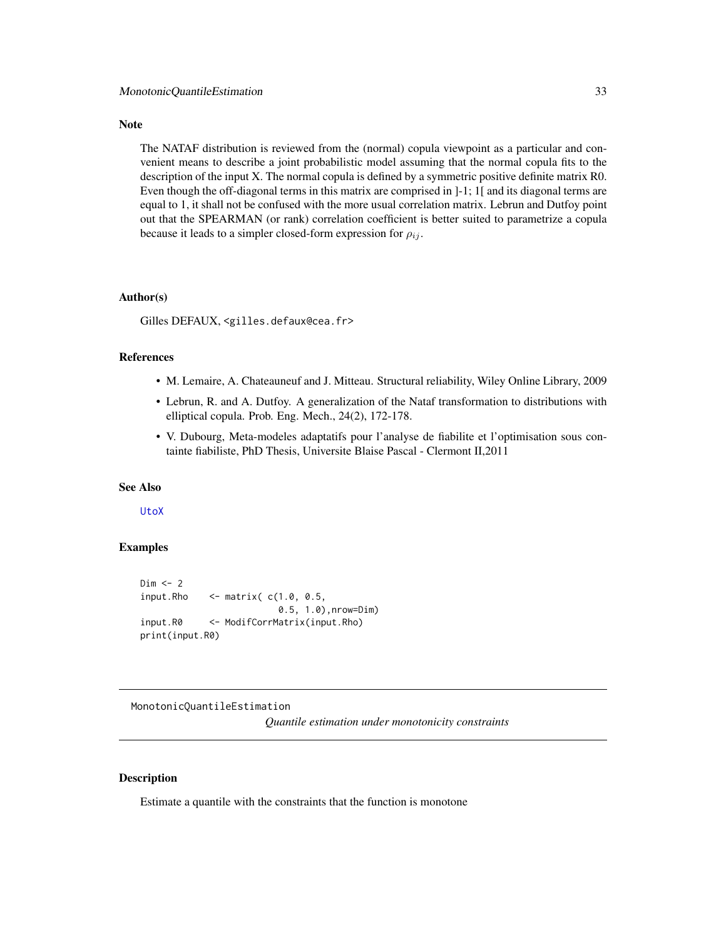#### <span id="page-32-0"></span>Note

The NATAF distribution is reviewed from the (normal) copula viewpoint as a particular and convenient means to describe a joint probabilistic model assuming that the normal copula fits to the description of the input X. The normal copula is defined by a symmetric positive definite matrix R0. Even though the off-diagonal terms in this matrix are comprised in ]-1; 1[ and its diagonal terms are equal to 1, it shall not be confused with the more usual correlation matrix. Lebrun and Dutfoy point out that the SPEARMAN (or rank) correlation coefficient is better suited to parametrize a copula because it leads to a simpler closed-form expression for  $\rho_{ij}$ .

#### Author(s)

Gilles DEFAUX, <gilles.defaux@cea.fr>

# References

- M. Lemaire, A. Chateauneuf and J. Mitteau. Structural reliability, Wiley Online Library, 2009
- Lebrun, R. and A. Dutfoy. A generalization of the Nataf transformation to distributions with elliptical copula. Prob. Eng. Mech., 24(2), 172-178.
- V. Dubourg, Meta-modeles adaptatifs pour l'analyse de fiabilite et l'optimisation sous containte fiabiliste, PhD Thesis, Universite Blaise Pascal - Clermont II,2011

#### See Also

[UtoX](#page-63-1)

# Examples

```
Dim < -2input.Rho \le matrix(c(1.0, 0.5,0.5, 1.0),nrow=Dim)
input.R0 <- ModifCorrMatrix(input.Rho)
print(input.R0)
```
MonotonicQuantileEstimation

*Quantile estimation under monotonicity constraints*

#### Description

Estimate a quantile with the constraints that the function is monotone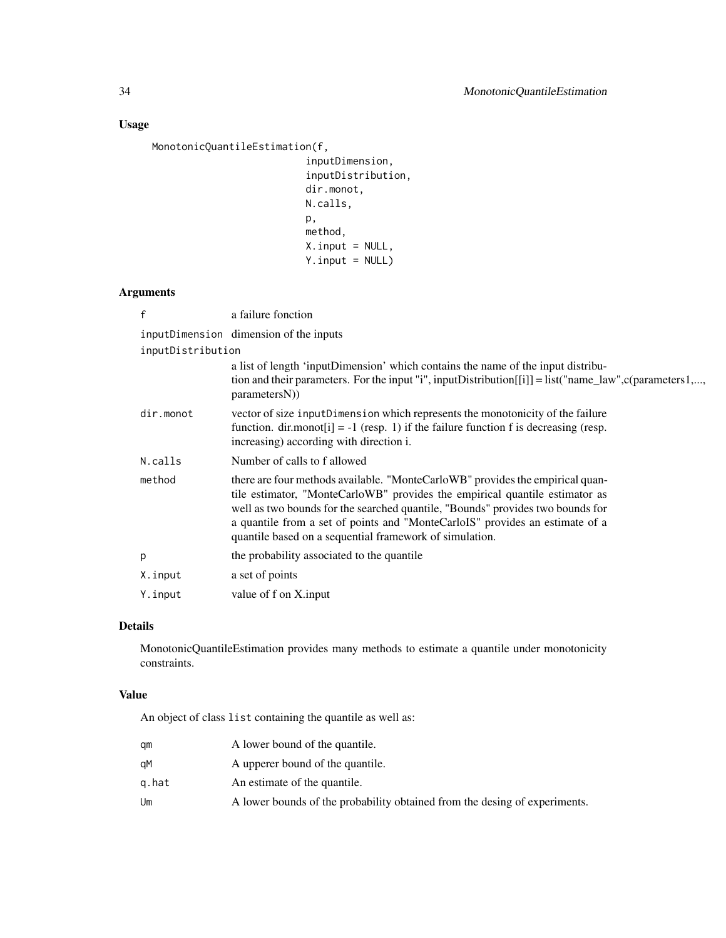# Usage

MonotonicQuantileEstimation(f,

```
inputDimension,
inputDistribution,
dir.monot,
N.calls,
p,
method,
X.input = NULL,
Y.input = NULL)
```
# Arguments

| f                 | a failure fonction                                                                                                                                                                                                                                                                                                                                                                        |
|-------------------|-------------------------------------------------------------------------------------------------------------------------------------------------------------------------------------------------------------------------------------------------------------------------------------------------------------------------------------------------------------------------------------------|
|                   | inputDimension dimension of the inputs                                                                                                                                                                                                                                                                                                                                                    |
| inputDistribution |                                                                                                                                                                                                                                                                                                                                                                                           |
|                   | a list of length 'inputDimension' which contains the name of the input distribu-<br>tion and their parameters. For the input "i", inputDistribution $[[i]] =$ list("name_law", c(parameters1,,<br>parametersN)                                                                                                                                                                            |
| dir.monot         | vector of size inputDimension which represents the monotonicity of the failure<br>function. dir.monot[i] = -1 (resp. 1) if the failure function f is decreasing (resp.<br>increasing) according with direction i.                                                                                                                                                                         |
| N.calls           | Number of calls to f allowed                                                                                                                                                                                                                                                                                                                                                              |
| method            | there are four methods available. "MonteCarloWB" provides the empirical quan-<br>tile estimator, "MonteCarloWB" provides the empirical quantile estimator as<br>well as two bounds for the searched quantile, "Bounds" provides two bounds for<br>a quantile from a set of points and "MonteCarloIS" provides an estimate of a<br>quantile based on a sequential framework of simulation. |
| p                 | the probability associated to the quantile                                                                                                                                                                                                                                                                                                                                                |
| X.input           | a set of points                                                                                                                                                                                                                                                                                                                                                                           |
| Y.input           | value of f on X.input                                                                                                                                                                                                                                                                                                                                                                     |

# Details

MonotonicQuantileEstimation provides many methods to estimate a quantile under monotonicity constraints.

## Value

An object of class list containing the quantile as well as:

| am    | A lower bound of the quantile.                                             |
|-------|----------------------------------------------------------------------------|
| qМ    | A upperer bound of the quantile.                                           |
| q.hat | An estimate of the quantile.                                               |
| Um    | A lower bounds of the probability obtained from the desing of experiments. |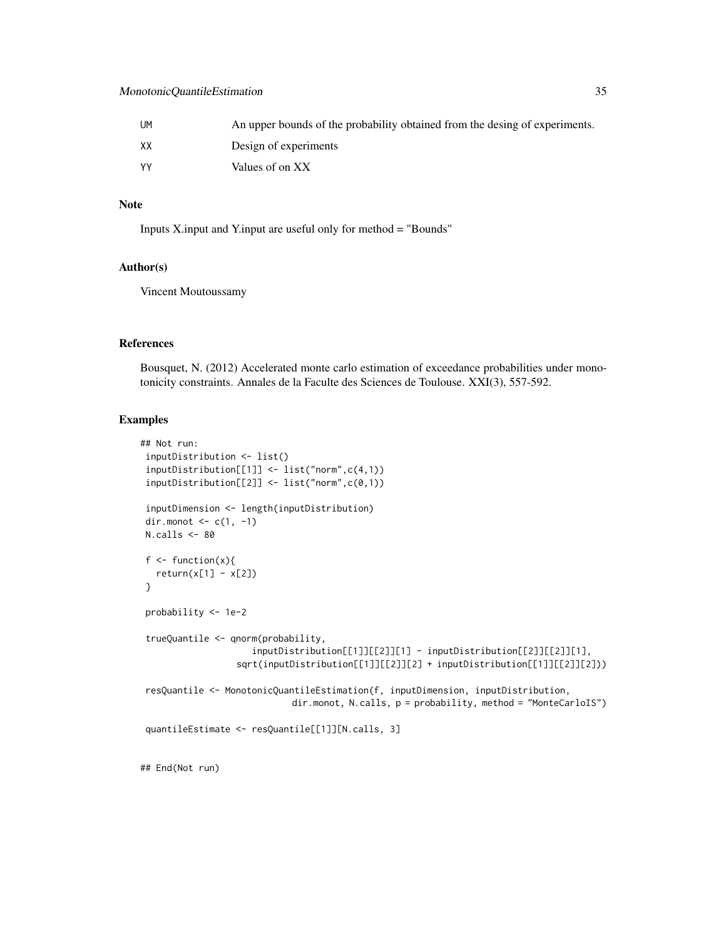# MonotonicQuantileEstimation 35

| UМ | An upper bounds of the probability obtained from the desing of experiments. |
|----|-----------------------------------------------------------------------------|
| XХ | Design of experiments                                                       |
| ٧٧ | Values of on XX                                                             |

# Note

Inputs X.input and Y.input are useful only for method = "Bounds"

# Author(s)

Vincent Moutoussamy

#### References

Bousquet, N. (2012) Accelerated monte carlo estimation of exceedance probabilities under monotonicity constraints. Annales de la Faculte des Sciences de Toulouse. XXI(3), 557-592.

# Examples

```
## Not run:
inputDistribution <- list()
 inputDistribution[[1]] <- list("norm",c(4,1))
inputDistribution[[2]] <- list("norm",c(0,1))
inputDimension <- length(inputDistribution)
dir.monot \leq c(1, -1)
N.calls <- 80
f \leftarrow function(x){
  return(x[1] - x[2])}
 probability <- 1e-2
 trueQuantile <- qnorm(probability,
                     inputDistribution[[1]][[2]][1] - inputDistribution[[2]][[2]][1],
                  sqrt(inputDistribution[[1]][[2]][2] + inputDistribution[[1]][[2]][2]))
 resQuantile <- MonotonicQuantileEstimation(f, inputDimension, inputDistribution,
                             dir.monot, N.calls, p = probability, method = "MonteCarloIS")
quantileEstimate <- resQuantile[[1]][N.calls, 3]
## End(Not run)
```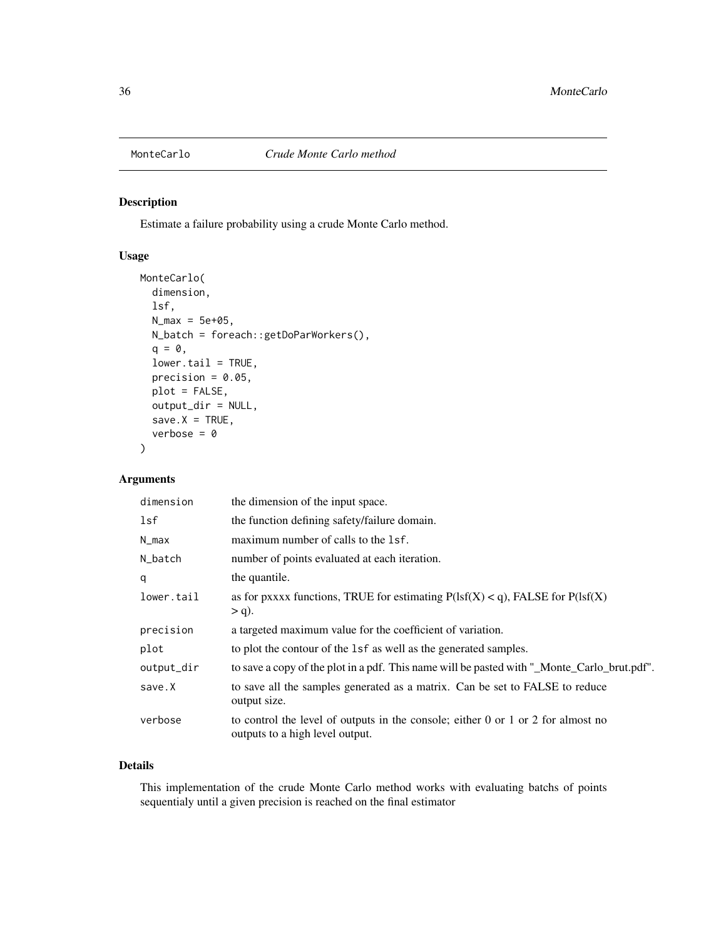<span id="page-35-1"></span><span id="page-35-0"></span>

# Description

Estimate a failure probability using a crude Monte Carlo method.

# Usage

```
MonteCarlo(
  dimension,
  lsf,
 N_{max} = 5e + 05,
 N_batch = foreach::getDoParWorkers(),
  q = 0,
  lower.tail = TRUE,precision = 0.05,
 plot = FALSE,
 output_dir = NULL,
  save.X = TRUE,verbose = 0)
```
# Arguments

| dimension  | the dimension of the input space.                                                                                         |
|------------|---------------------------------------------------------------------------------------------------------------------------|
| lsf        | the function defining safety/failure domain.                                                                              |
| $N_{max}$  | maximum number of calls to the 1sf.                                                                                       |
| N_batch    | number of points evaluated at each iteration.                                                                             |
| q          | the quantile.                                                                                                             |
| lower.tail | as for pxxxx functions, TRUE for estimating $P(1sf(X) < q)$ , FALSE for $P(1sf(X)$<br>$> q$ ).                            |
| precision  | a targeted maximum value for the coefficient of variation.                                                                |
| plot       | to plot the contour of the 1sf as well as the generated samples.                                                          |
| output_dir | to save a copy of the plot in a pdf. This name will be pasted with "_Monte_Carlo_brut.pdf".                               |
| save.X     | to save all the samples generated as a matrix. Can be set to FALSE to reduce<br>output size.                              |
| verbose    | to control the level of outputs in the console; either $0$ or $1$ or $2$ for almost no<br>outputs to a high level output. |

# Details

This implementation of the crude Monte Carlo method works with evaluating batchs of points sequentialy until a given precision is reached on the final estimator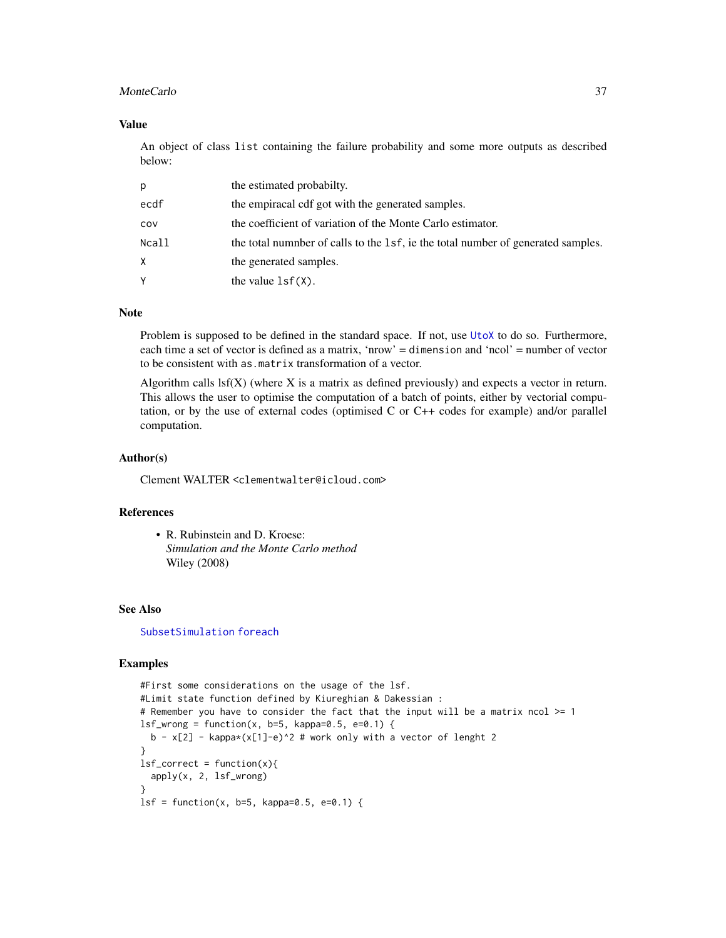#### <span id="page-36-0"></span>MonteCarlo 37

#### Value

An object of class list containing the failure probability and some more outputs as described below:

| D.    | the estimated probabilty.                                                       |
|-------|---------------------------------------------------------------------------------|
| ecdf  | the empiracal cdf got with the generated samples.                               |
| cov   | the coefficient of variation of the Monte Carlo estimator.                      |
| Ncall | the total number of calls to the 1sf, ie the total number of generated samples. |
| X.    | the generated samples.                                                          |
| Y     | the value $lsf(X)$ .                                                            |

# Note

Problem is supposed to be defined in the standard space. If not, use [UtoX](#page-63-1) to do so. Furthermore, each time a set of vector is defined as a matrix, 'nrow' = dimension and 'ncol' = number of vector to be consistent with as.matrix transformation of a vector.

Algorithm calls  $\text{lsf}(X)$  (where X is a matrix as defined previously) and expects a vector in return. This allows the user to optimise the computation of a batch of points, either by vectorial computation, or by the use of external codes (optimised C or C++ codes for example) and/or parallel computation.

#### Author(s)

Clement WALTER <clementwalter@icloud.com>

#### References

• R. Rubinstein and D. Kroese: *Simulation and the Monte Carlo method* Wiley (2008)

#### See Also

[SubsetSimulation](#page-55-1) [foreach](#page-0-0)

#### Examples

```
#First some considerations on the usage of the lsf.
#Limit state function defined by Kiureghian & Dakessian :
# Remember you have to consider the fact that the input will be a matrix ncol >= 1
lsf_wrong = function(x, b=5, kappa=0.5, e=0.1)b - x[2] - kappa*(x[1]-e)^2 # work only with a vector of lenght 2
}
lsf_{correct} = function(x){
  apply(x, 2, lsf_wrong)
}
lsf = function(x, b=5, kappa=0.5, e=0.1) {
```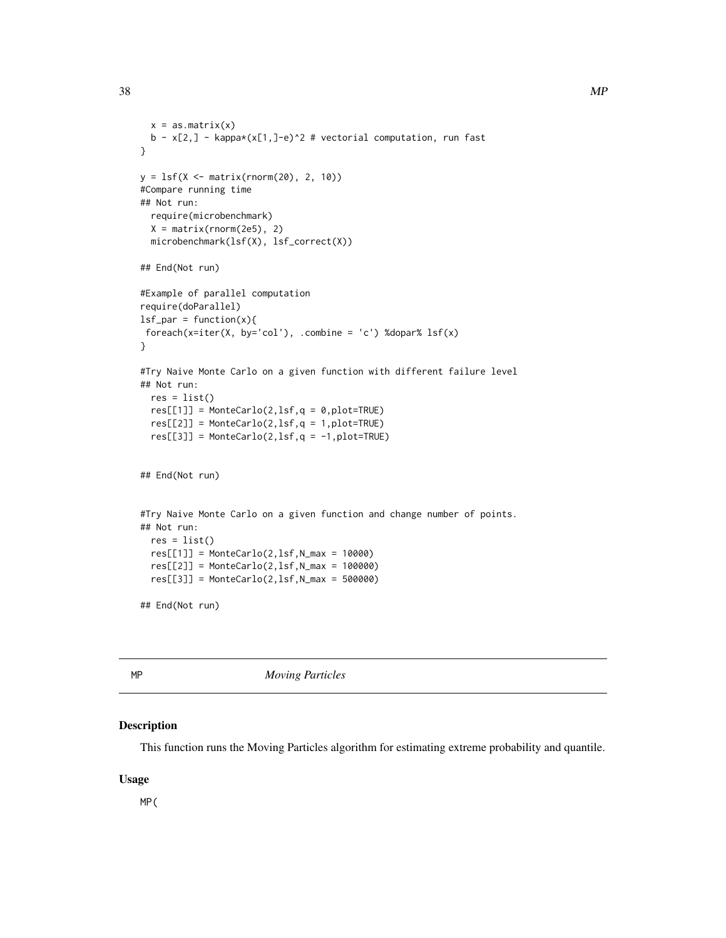```
x = as_matrix(x)b - x[2,] - kappa(x[1,]-e)^2 # vectorial computation, run fast
}
y = 1sf(X < - matrix(rnorm(20), 2, 10))#Compare running time
## Not run:
 require(microbenchmark)
 X = matrix(rnorm(2e5), 2)microbenchmark(lsf(X), lsf_correct(X))
## End(Not run)
#Example of parallel computation
require(doParallel)
lsf<sub>-</sub>par = function(x){
foreach(x=iter(X, by='col'), .combine = 'c') %dopar% lsf(x)
}
#Try Naive Monte Carlo on a given function with different failure level
## Not run:
 res = list()res[[1]] = MonteCarlo(2, lsf, q = 0, plot=TRUE)res[[2]] = MonteCarlo(2, lsf, q = 1, plot=TRUE)res[[3]] = MonteCarlo(2, lsf, q = -1, plot=TRUE)## End(Not run)
#Try Naive Monte Carlo on a given function and change number of points.
## Not run:
 res = list()res[[1]] = MonteCarlo(2, lsf, N_max = 10000)res[[2]] = MonteCarlo(2,lsf,N_max = 100000)
 res[[3]] = MonteCarlo(2,1sf,N_max = 500000)## End(Not run)
```
<span id="page-37-1"></span>

MP *Moving Particles*

#### Description

This function runs the Moving Particles algorithm for estimating extreme probability and quantile.

#### Usage

MP(

<span id="page-37-0"></span>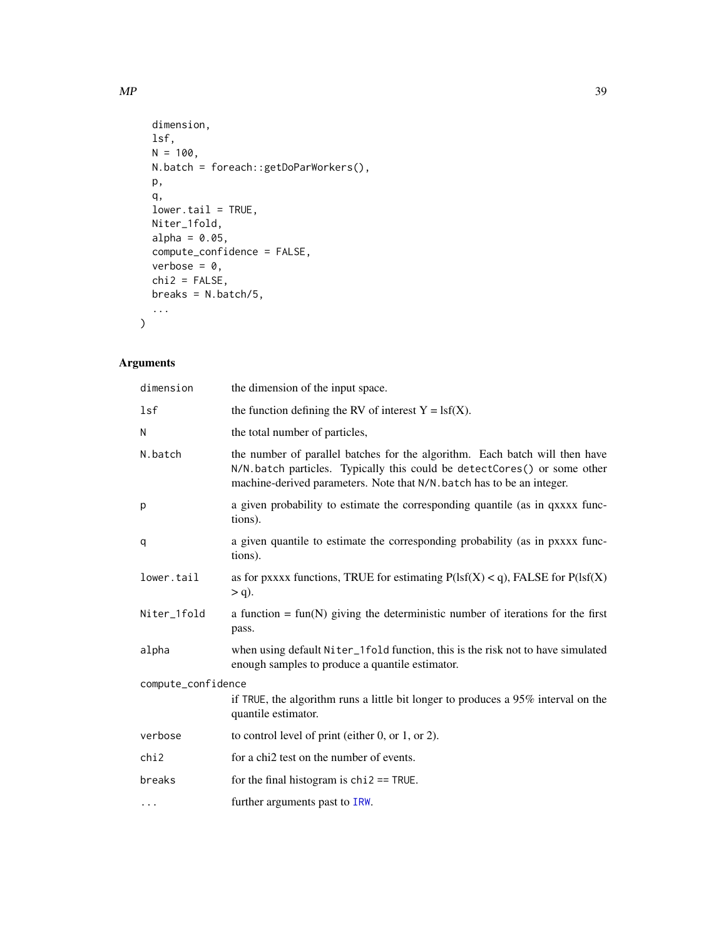```
dimension,
 lsf,
 N = 100,
 N.batch = foreach::getDoParWorkers(),
 p,
 q,
 lower.tail = TRUE,
 Niter_1fold,
 alpha = 0.05,
 compute_confidence = FALSE,
 verbose = 0,chi2 = FALSE,breaks = N.batch/5,
  ...
\mathcal{L}
```
# Arguments

| dimension          | the dimension of the input space.                                                                                                                                                                                                |  |
|--------------------|----------------------------------------------------------------------------------------------------------------------------------------------------------------------------------------------------------------------------------|--|
| lsf                | the function defining the RV of interest $Y = \text{lsf}(X)$ .                                                                                                                                                                   |  |
| N                  | the total number of particles,                                                                                                                                                                                                   |  |
| N.batch            | the number of parallel batches for the algorithm. Each batch will then have<br>N/N.batch particles. Typically this could be detectCores() or some other<br>machine-derived parameters. Note that N/N batch has to be an integer. |  |
| p                  | a given probability to estimate the corresponding quantile (as in qxxxx func-<br>tions).                                                                                                                                         |  |
| q                  | a given quantile to estimate the corresponding probability (as in pxxxx func-<br>tions).                                                                                                                                         |  |
| lower.tail         | as for pxxxx functions, TRUE for estimating $P(1sf(X) < q)$ , FALSE for $P(1sf(X))$<br>$> q$ ).                                                                                                                                  |  |
| Niter_1fold        | a function = $fun(N)$ giving the deterministic number of iterations for the first<br>pass.                                                                                                                                       |  |
| alpha              | when using default Niter_1fold function, this is the risk not to have simulated<br>enough samples to produce a quantile estimator.                                                                                               |  |
| compute_confidence |                                                                                                                                                                                                                                  |  |
|                    | if TRUE, the algorithm runs a little bit longer to produces a 95% interval on the<br>quantile estimator.                                                                                                                         |  |
| verbose            | to control level of print (either 0, or 1, or 2).                                                                                                                                                                                |  |
| chi2               | for a chi2 test on the number of events.                                                                                                                                                                                         |  |
| breaks             | for the final histogram is $chi2 == TRUE$ .                                                                                                                                                                                      |  |
| $\cdots$           | further arguments past to IRW.                                                                                                                                                                                                   |  |

<span id="page-38-0"></span> $MP$  39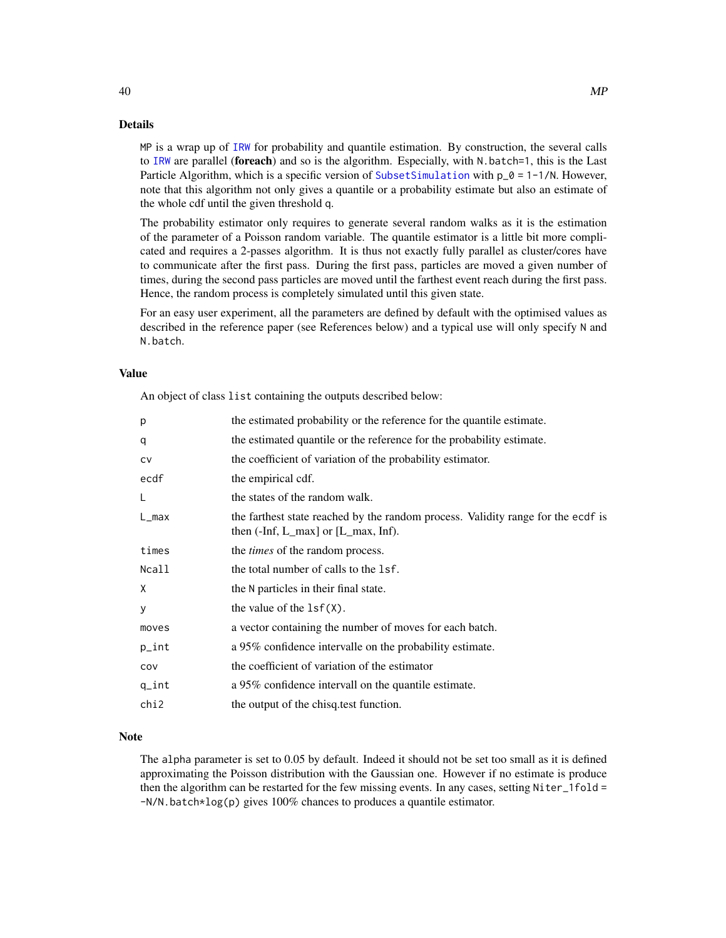# Details

MP is a wrap up of [IRW](#page-19-1) for probability and quantile estimation. By construction, the several calls to [IRW](#page-19-1) are parallel (foreach) and so is the algorithm. Especially, with N.batch=1, this is the Last Particle Algorithm, which is a specific version of [SubsetSimulation](#page-55-1) with  $p_0 = 1 - 1/N$ . However, note that this algorithm not only gives a quantile or a probability estimate but also an estimate of the whole cdf until the given threshold q.

The probability estimator only requires to generate several random walks as it is the estimation of the parameter of a Poisson random variable. The quantile estimator is a little bit more complicated and requires a 2-passes algorithm. It is thus not exactly fully parallel as cluster/cores have to communicate after the first pass. During the first pass, particles are moved a given number of times, during the second pass particles are moved until the farthest event reach during the first pass. Hence, the random process is completely simulated until this given state.

For an easy user experiment, all the parameters are defined by default with the optimised values as described in the reference paper (see References below) and a typical use will only specify N and N.batch.

# Value

An object of class list containing the outputs described below:

| p                | the estimated probability or the reference for the quantile estimate.                                                        |
|------------------|------------------------------------------------------------------------------------------------------------------------------|
| q                | the estimated quantile or the reference for the probability estimate.                                                        |
| <b>CV</b>        | the coefficient of variation of the probability estimator.                                                                   |
| ecdf             | the empirical cdf.                                                                                                           |
| L                | the states of the random walk.                                                                                               |
| L_max            | the farthest state reached by the random process. Validity range for the ecdf is<br>then $(-Inf, L_max]$ or $[L_max, Inf)$ . |
| times            | the <i>times</i> of the random process.                                                                                      |
| Ncall            | the total number of calls to the 1sf.                                                                                        |
| X                | the N particles in their final state.                                                                                        |
| У                | the value of the $lsf(X)$ .                                                                                                  |
| moves            | a vector containing the number of moves for each batch.                                                                      |
| p_int            | a 95% confidence intervalle on the probability estimate.                                                                     |
| COV              | the coefficient of variation of the estimator                                                                                |
| $q_{\text{int}}$ | a 95% confidence intervall on the quantile estimate.                                                                         |
| chi2             | the output of the chisq.test function.                                                                                       |
|                  |                                                                                                                              |

#### Note

The alpha parameter is set to 0.05 by default. Indeed it should not be set too small as it is defined approximating the Poisson distribution with the Gaussian one. However if no estimate is produce then the algorithm can be restarted for the few missing events. In any cases, setting Niter\_1fold = -N/N.batch\*log(p) gives 100% chances to produces a quantile estimator.

<span id="page-39-0"></span>40 MP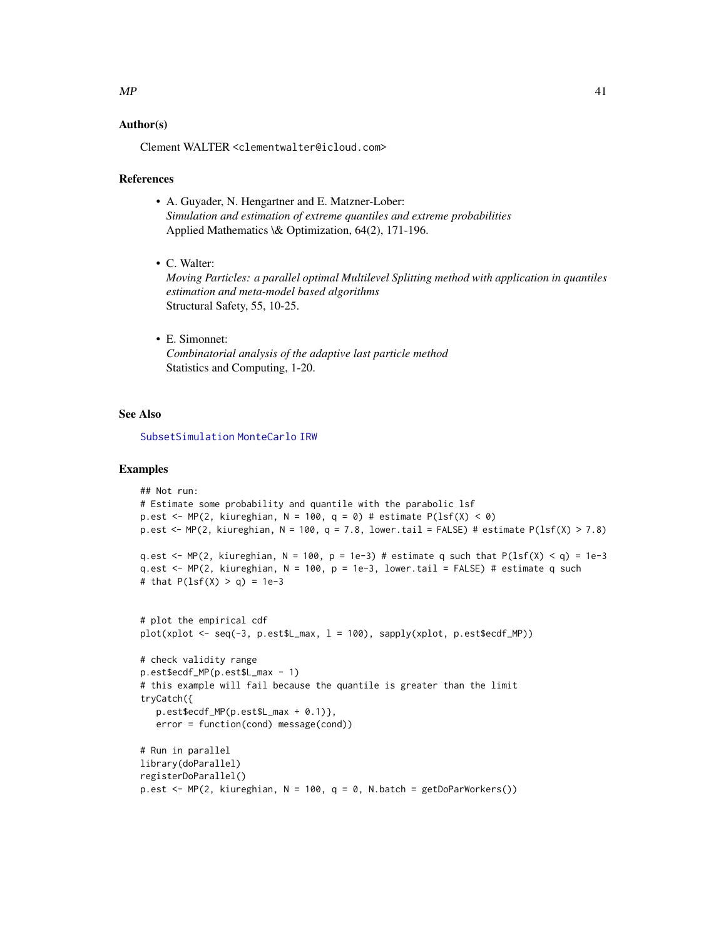### <span id="page-40-0"></span> $MP$  41

# Author(s)

Clement WALTER <clementwalter@icloud.com>

#### References

- A. Guyader, N. Hengartner and E. Matzner-Lober: *Simulation and estimation of extreme quantiles and extreme probabilities* Applied Mathematics \& Optimization, 64(2), 171-196.
- C. Walter:

*Moving Particles: a parallel optimal Multilevel Splitting method with application in quantiles estimation and meta-model based algorithms* Structural Safety, 55, 10-25.

• E. Simonnet: *Combinatorial analysis of the adaptive last particle method* Statistics and Computing, 1-20.

#### See Also

[SubsetSimulation](#page-55-1) [MonteCarlo](#page-35-1) [IRW](#page-19-1)

#### Examples

```
## Not run:
# Estimate some probability and quantile with the parabolic lsf
p.est <- MP(2, kiureghian, N = 100, q = 0) # estimate P(lsf(X) < 0)p.est <- MP(2, kiureghian, N = 100, q = 7.8, lower.tail = FALSE) # estimate P(lsf(X) > 7.8)
q.est \leq MP(2, kiureghian, N = 100, p = 1e-3) # estimate q such that P(lsf(X) \leq q) = 1e-3
q.est \leq MP(2, kiureghian, N = 100, p = 1e-3, lower.tail = FALSE) # estimate q such
# that P(1sf(X) > q) = 1e-3# plot the empirical cdf
plot(xplot <- seq(-3, p.est$L_max, l = 100), sapply(xplot, p.est$ecdf_MP))
# check validity range
p.est$ecdf_MP(p.est$L_max - 1)
# this example will fail because the quantile is greater than the limit
tryCatch({
   p.est$ecdf_MP(p.est$L_max + 0.1)},
   error = function(cond) message(cond))
# Run in parallel
library(doParallel)
registerDoParallel()
p.est <- MP(2, kiureghian, N = 100, q = 0, N.batch = getDoParWorkers())
```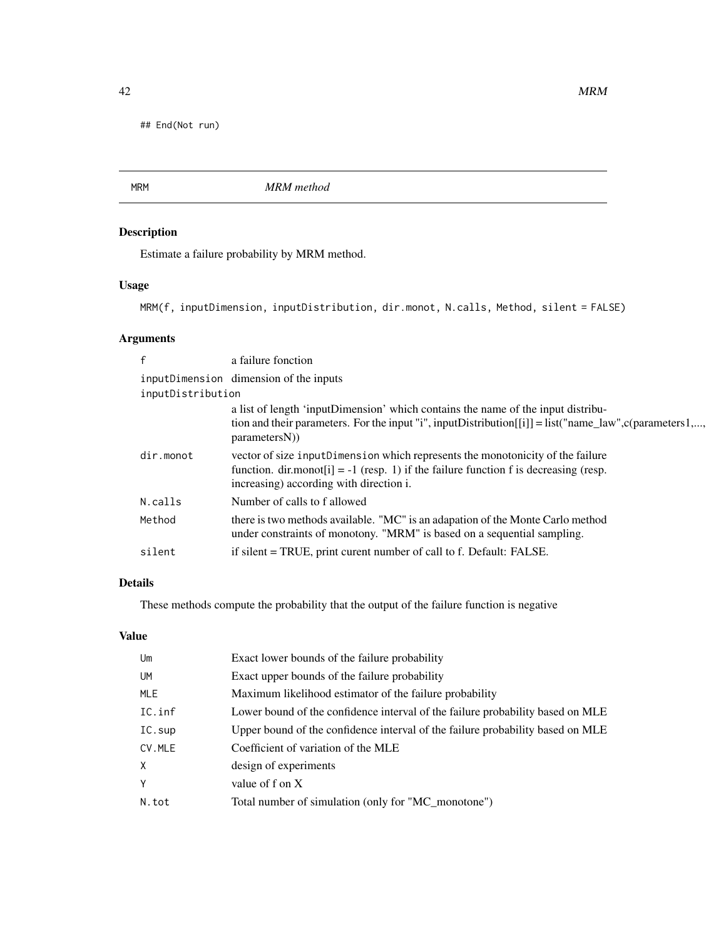<span id="page-41-0"></span>## End(Not run)

MRM *MRM method*

# Description

Estimate a failure probability by MRM method.

# Usage

```
MRM(f, inputDimension, inputDistribution, dir.monot, N.calls, Method, silent = FALSE)
```
# Arguments

| f                 | a failure fonction                                                                                                                                        |
|-------------------|-----------------------------------------------------------------------------------------------------------------------------------------------------------|
|                   | inputDimension dimension of the inputs                                                                                                                    |
| inputDistribution |                                                                                                                                                           |
|                   | a list of length 'inputDimension' which contains the name of the input distribu-                                                                          |
|                   | tion and their parameters. For the input "i", inputDistribution[[i]] = list("name_law", c(parameters 1,,<br>parametersN()                                 |
| dir.monot         | vector of size input Dimension which represents the monotonicity of the failure                                                                           |
|                   | function. $dir.monot[i] = -1$ (resp. 1) if the failure function f is decreasing (resp.<br>increasing) according with direction i.                         |
| N.calls           | Number of calls to f allowed                                                                                                                              |
| Method            | there is two methods available. "MC" is an adapation of the Monte Carlo method<br>under constraints of monotony. "MRM" is based on a sequential sampling. |
| silent            | if silent = TRUE, print curent number of call to f. Default: FALSE.                                                                                       |

# Details

These methods compute the probability that the output of the failure function is negative

### Value

| Um        | Exact lower bounds of the failure probability                                  |
|-----------|--------------------------------------------------------------------------------|
| <b>UM</b> | Exact upper bounds of the failure probability                                  |
| MLE       | Maximum likelihood estimator of the failure probability                        |
| IC.inf    | Lower bound of the confidence interval of the failure probability based on MLE |
| IC.sup    | Upper bound of the confidence interval of the failure probability based on MLE |
| CV.MLE    | Coefficient of variation of the MLE                                            |
| $\times$  | design of experiments                                                          |
| Y         | value of f on X                                                                |
| N.tot     | Total number of simulation (only for "MC_monotone")                            |
|           |                                                                                |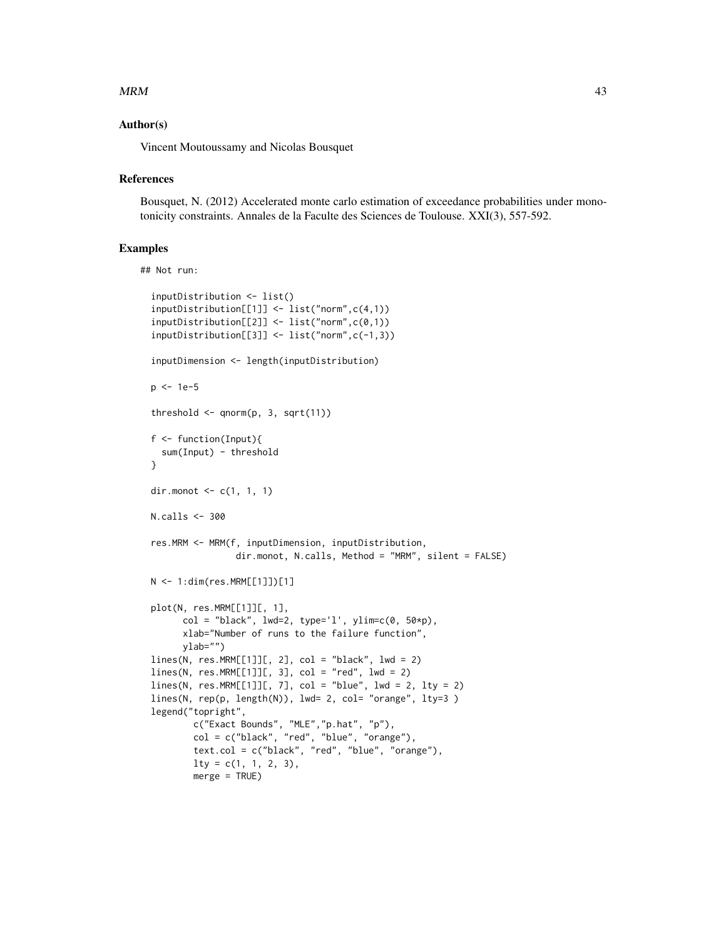#### $MRM$  and the set of the set of the set of the set of the set of the set of the set of the set of the set of the set of the set of the set of the set of the set of the set of the set of the set of the set of the set of the

#### Author(s)

Vincent Moutoussamy and Nicolas Bousquet

#### **References**

Bousquet, N. (2012) Accelerated monte carlo estimation of exceedance probabilities under monotonicity constraints. Annales de la Faculte des Sciences de Toulouse. XXI(3), 557-592.

#### Examples

```
## Not run:
```

```
inputDistribution <- list()
inputDistribution[[1]] <- list("norm",c(4,1))
inputDistribution[[2]] <- list("norm",c(0,1))
inputDistribution[[3]] <- list("norm",c(-1,3))
inputDimension <- length(inputDistribution)
p <- 1e-5
threshold \leq qnorm(p, 3, sqrt(11))
f <- function(Input){
  sum(Input) - threshold
}
dir.monot \leq -c(1, 1, 1)N.calls <- 300
res.MRM <- MRM(f, inputDimension, inputDistribution,
                dir.monot, N.calls, Method = "MRM", silent = FALSE)
N <- 1:dim(res.MRM[[1]])[1]
plot(N, res.MRM[[1]][, 1],
      col = "black", \text{lwd=2, type='l', ylim=c(0, 50*p)},xlab="Number of runs to the failure function",
     ylab="")
lines(N, res.MRM[[1]][, 2], col = "black", lwd = 2)lines(N, res.MRM[[1]][, 3], col = "red", lwd = 2)lines(N, res.MRM[[1]][, 7], col = "blue", lw = 2, lty = 2)lines(N, rep(p, length(N)), lwd= 2, col= "orange", lty=3 )
legend("topright",
        c("Exact Bounds", "MLE","p.hat", "p"),
        col = c("black", "red", "blue", "orange"),text.col = c("black", "red", "blue", "orange"),
       lty = c(1, 1, 2, 3),merge = TRUE)
```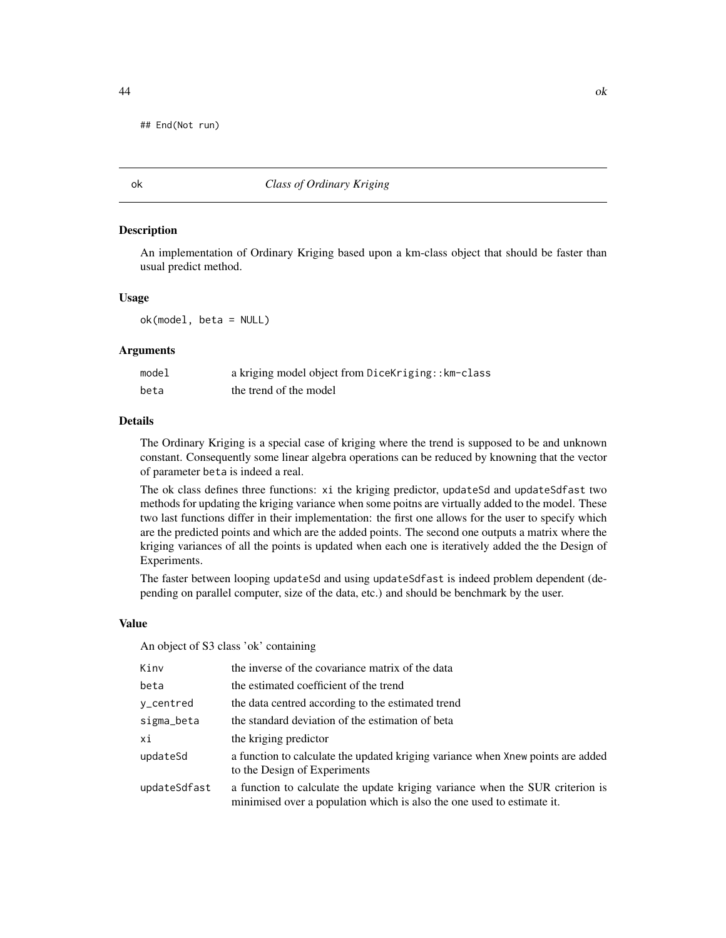<span id="page-43-0"></span>## End(Not run)

#### ok *Class of Ordinary Kriging*

#### **Description**

An implementation of Ordinary Kriging based upon a km-class object that should be faster than usual predict method.

#### Usage

ok(model, beta = NULL)

#### Arguments

| model | a kriging model object from DiceKriging:: km-class |
|-------|----------------------------------------------------|
| beta  | the trend of the model                             |

#### Details

The Ordinary Kriging is a special case of kriging where the trend is supposed to be and unknown constant. Consequently some linear algebra operations can be reduced by knowning that the vector of parameter beta is indeed a real.

The ok class defines three functions: xi the kriging predictor, updateSd and updateSdfast two methods for updating the kriging variance when some poitns are virtually added to the model. These two last functions differ in their implementation: the first one allows for the user to specify which are the predicted points and which are the added points. The second one outputs a matrix where the kriging variances of all the points is updated when each one is iteratively added the the Design of Experiments.

The faster between looping updateSd and using updateSdfast is indeed problem dependent (depending on parallel computer, size of the data, etc.) and should be benchmark by the user.

#### Value

An object of S3 class 'ok' containing

| Kinv         | the inverse of the covariance matrix of the data                                                                                                        |
|--------------|---------------------------------------------------------------------------------------------------------------------------------------------------------|
| beta         | the estimated coefficient of the trend                                                                                                                  |
| y_centred    | the data centred according to the estimated trend                                                                                                       |
| sigma_beta   | the standard deviation of the estimation of beta                                                                                                        |
| хi           | the kriging predictor                                                                                                                                   |
| updateSd     | a function to calculate the updated kriging variance when Xnew points are added<br>to the Design of Experiments                                         |
| updateSdfast | a function to calculate the update kriging variance when the SUR criterion is<br>minimised over a population which is also the one used to estimate it. |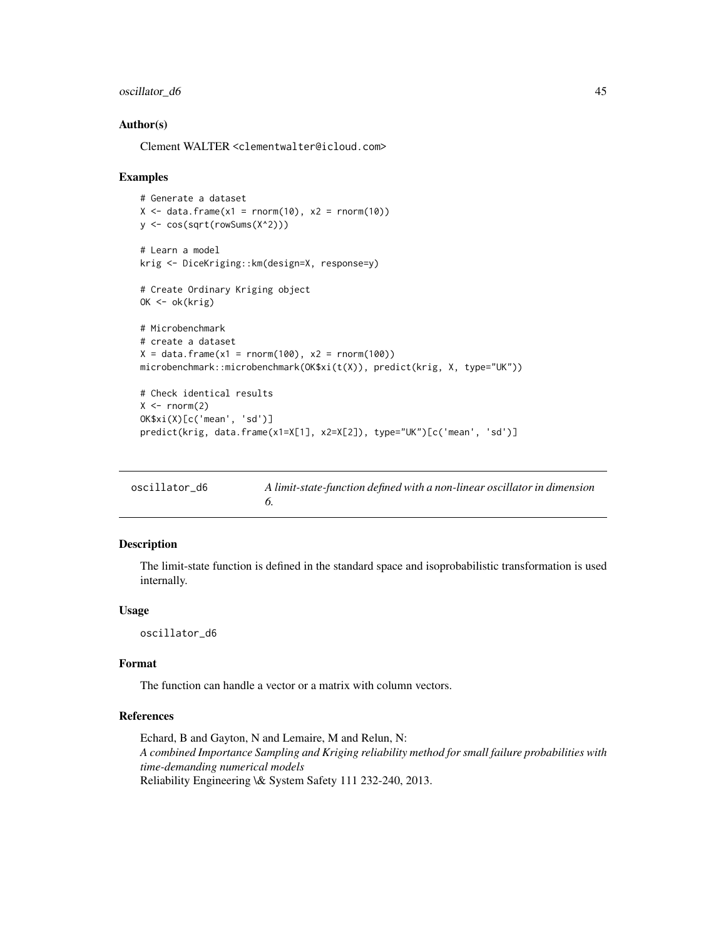# <span id="page-44-0"></span>oscillator\_d6 45

#### Author(s)

Clement WALTER <clementwalter@icloud.com>

#### Examples

```
# Generate a dataset
X \le - data.frame(x1 = rnorm(10), x2 = rnorm(10))
y <- cos(sqrt(rowSums(X^2)))
# Learn a model
krig <- DiceKriging::km(design=X, response=y)
# Create Ordinary Kriging object
OK <- ok(krig)
# Microbenchmark
# create a dataset
X = data . frame(x1 = rnorm(100), x2 = rnorm(100))microbenchmark::microbenchmark(OK$xi(t(X)), predict(krig, X, type="UK"))
# Check identical results
X \leftarrow \text{norm}(2)OK$xi(X)[c('mean', 'sd')]
predict(krig, data.frame(x1=X[1], x2=X[2]), type="UK")[c('mean', 'sd')]
```

| oscillator d6 | A limit-state-function defined with a non-linear oscillator in dimension |
|---------------|--------------------------------------------------------------------------|
|               |                                                                          |

# Description

The limit-state function is defined in the standard space and isoprobabilistic transformation is used internally.

#### Usage

oscillator\_d6

#### Format

The function can handle a vector or a matrix with column vectors.

# References

Echard, B and Gayton, N and Lemaire, M and Relun, N: *A combined Importance Sampling and Kriging reliability method for small failure probabilities with time-demanding numerical models* Reliability Engineering \& System Safety 111 232-240, 2013.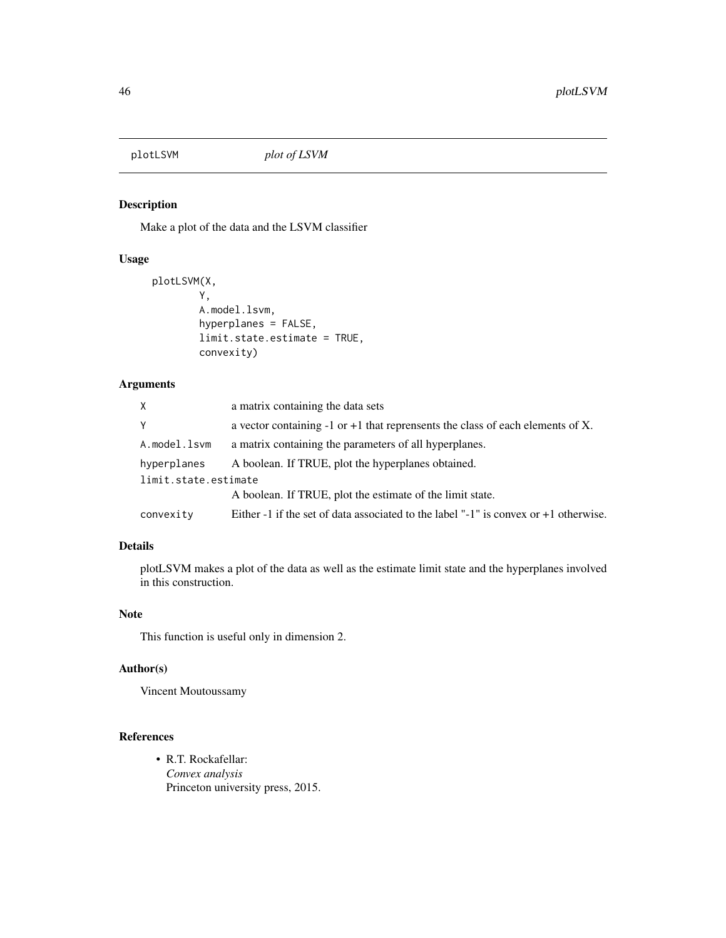<span id="page-45-0"></span>

# Description

Make a plot of the data and the LSVM classifier

#### Usage

```
plotLSVM(X,
        Y,
        A.model.lsvm,
        hyperplanes = FALSE,
        limit.state.estimate = TRUE,
        convexity)
```
# Arguments

| X.                   | a matrix containing the data sets                                                      |
|----------------------|----------------------------------------------------------------------------------------|
| Y                    | a vector containing $-1$ or $+1$ that reprensents the class of each elements of X.     |
| A.model.lsvm         | a matrix containing the parameters of all hyperplanes.                                 |
| hyperplanes          | A boolean. If TRUE, plot the hyperplanes obtained.                                     |
| limit.state.estimate |                                                                                        |
|                      | A boolean. If TRUE, plot the estimate of the limit state.                              |
| convexity            | Either -1 if the set of data associated to the label "-1" is convex or $+1$ otherwise. |

# Details

plotLSVM makes a plot of the data as well as the estimate limit state and the hyperplanes involved in this construction.

# Note

This function is useful only in dimension 2.

#### Author(s)

Vincent Moutoussamy

# References

• R.T. Rockafellar: *Convex analysis* Princeton university press, 2015.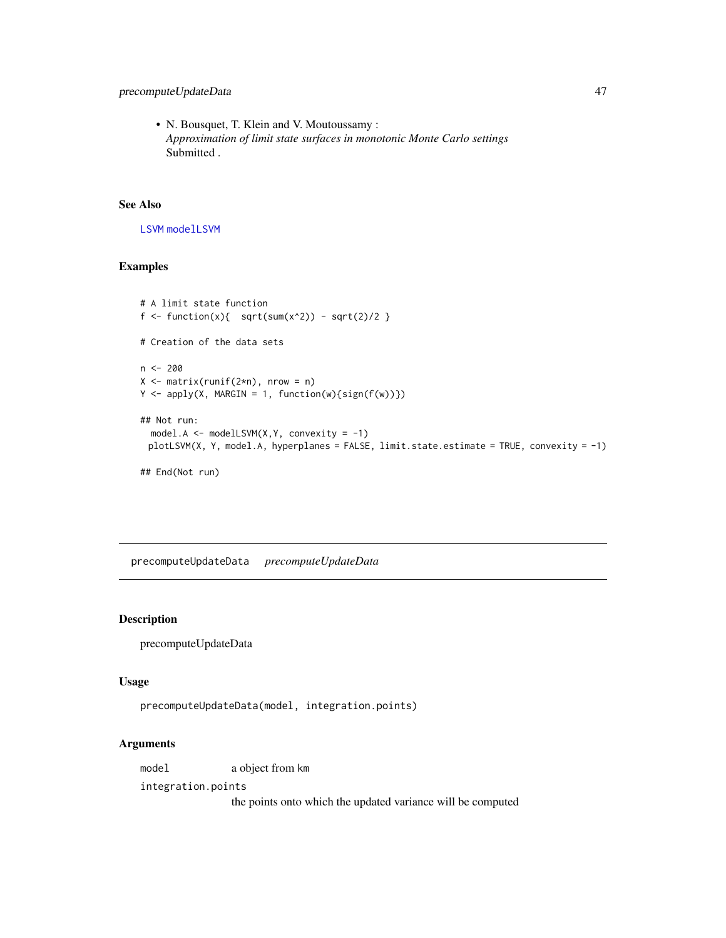# <span id="page-46-0"></span>precomputeUpdateData 47

• N. Bousquet, T. Klein and V. Moutoussamy : *Approximation of limit state surfaces in monotonic Monte Carlo settings* Submitted .

# See Also

[LSVM](#page-22-1) [modelLSVM](#page-30-1)

# Examples

```
# A limit state function
f <- function(x){ sqrt(x^2) - sqrt(2)/2 }
# Creation of the data sets
n < -200X \leftarrow matrix(runif(2*n), nrow = n)
Y \leftarrow apply(X, MARGIN = 1, function(w) \{sign(f(w))\})## Not run:
  model.A <- modelLSVM(X,Y, convexity = -1)
 plotLSVM(X, Y, model.A, hyperplanes = FALSE, limit.state.estimate = TRUE, convexity = -1)
## End(Not run)
```
precomputeUpdateData *precomputeUpdateData*

#### Description

precomputeUpdateData

#### Usage

```
precomputeUpdateData(model, integration.points)
```
# Arguments

model a object from km

integration.points

the points onto which the updated variance will be computed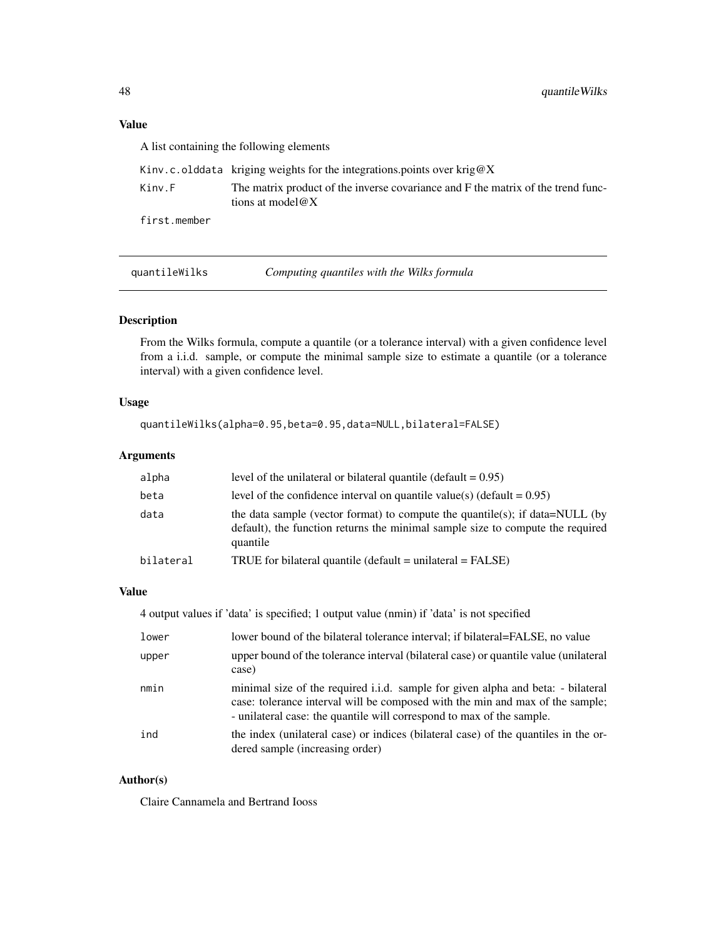# <span id="page-47-0"></span>Value

A list containing the following elements

|              | Kinv.c.olddata kriging weights for the integrations points over krig@X                                            |
|--------------|-------------------------------------------------------------------------------------------------------------------|
| Kinv.F       | The matrix product of the inverse covariance and F the matrix of the trend func-<br>tions at model $\mathscr{A}X$ |
| first.member |                                                                                                                   |

quantileWilks *Computing quantiles with the Wilks formula*

# Description

From the Wilks formula, compute a quantile (or a tolerance interval) with a given confidence level from a i.i.d. sample, or compute the minimal sample size to estimate a quantile (or a tolerance interval) with a given confidence level.

#### Usage

quantileWilks(alpha=0.95,beta=0.95,data=NULL,bilateral=FALSE)

# Arguments

| alpha     | level of the unilateral or bilateral quantile (default $= 0.95$ )                                                                                                          |
|-----------|----------------------------------------------------------------------------------------------------------------------------------------------------------------------------|
| beta      | level of the confidence interval on quantile value(s) (default = $0.95$ )                                                                                                  |
| data      | the data sample (vector format) to compute the quantile(s); if data=NULL (by<br>default), the function returns the minimal sample size to compute the required<br>quantile |
| bilateral | TRUE for bilateral quantile (default $=$ unilateral $=$ FALSE)                                                                                                             |

### Value

| 4 output values if 'data' is specified; 1 output value (nmin) if 'data' is not specified |  |
|------------------------------------------------------------------------------------------|--|
|------------------------------------------------------------------------------------------|--|

| lower | lower bound of the bilateral tolerance interval; if bilateral=FALSE, no value                                                                                                                                                              |
|-------|--------------------------------------------------------------------------------------------------------------------------------------------------------------------------------------------------------------------------------------------|
| upper | upper bound of the tolerance interval (bilateral case) or quantile value (unilateral<br>case)                                                                                                                                              |
| nmin  | minimal size of the required i.i.d. sample for given alpha and beta: - bilateral<br>case: tolerance interval will be composed with the min and max of the sample;<br>- unilateral case: the quantile will correspond to max of the sample. |
| ind   | the index (unilateral case) or indices (bilateral case) of the quantiles in the or-<br>dered sample (increasing order)                                                                                                                     |

#### Author(s)

Claire Cannamela and Bertrand Iooss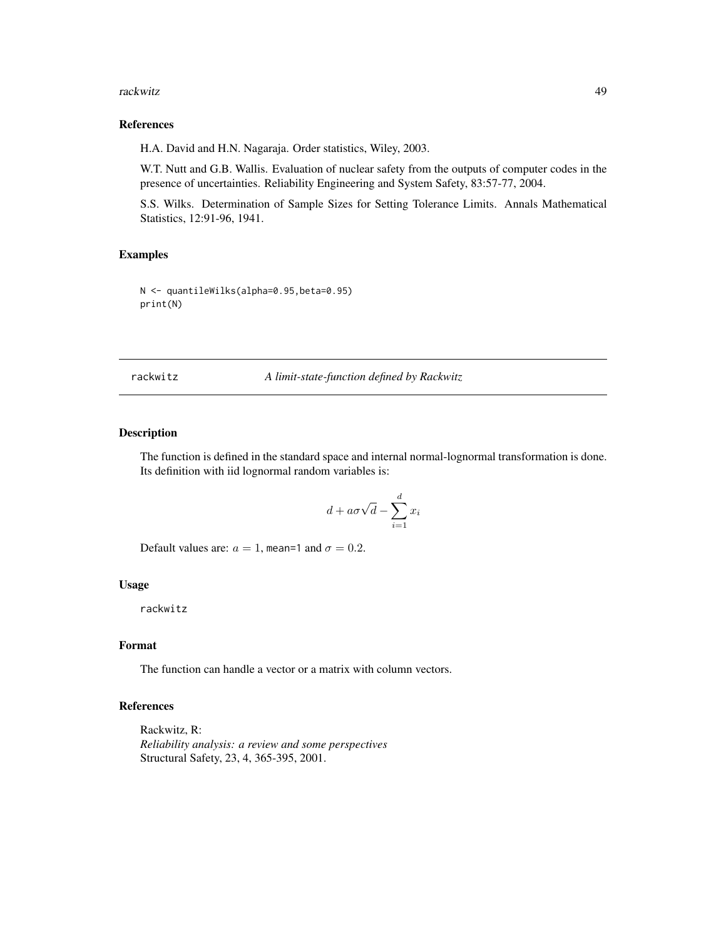#### <span id="page-48-0"></span>rackwitz 49

# References

H.A. David and H.N. Nagaraja. Order statistics, Wiley, 2003.

W.T. Nutt and G.B. Wallis. Evaluation of nuclear safety from the outputs of computer codes in the presence of uncertainties. Reliability Engineering and System Safety, 83:57-77, 2004.

S.S. Wilks. Determination of Sample Sizes for Setting Tolerance Limits. Annals Mathematical Statistics, 12:91-96, 1941.

# Examples

N <- quantileWilks(alpha=0.95,beta=0.95) print(N)

rackwitz *A limit-state-function defined by Rackwitz*

#### Description

The function is defined in the standard space and internal normal-lognormal transformation is done. Its definition with iid lognormal random variables is:

$$
d + a\sigma\sqrt{d} - \sum_{i=1}^{d} x_i
$$

Default values are:  $a = 1$ , mean=1 and  $\sigma = 0.2$ .

#### Usage

rackwitz

# Format

The function can handle a vector or a matrix with column vectors.

#### References

Rackwitz, R: *Reliability analysis: a review and some perspectives* Structural Safety, 23, 4, 365-395, 2001.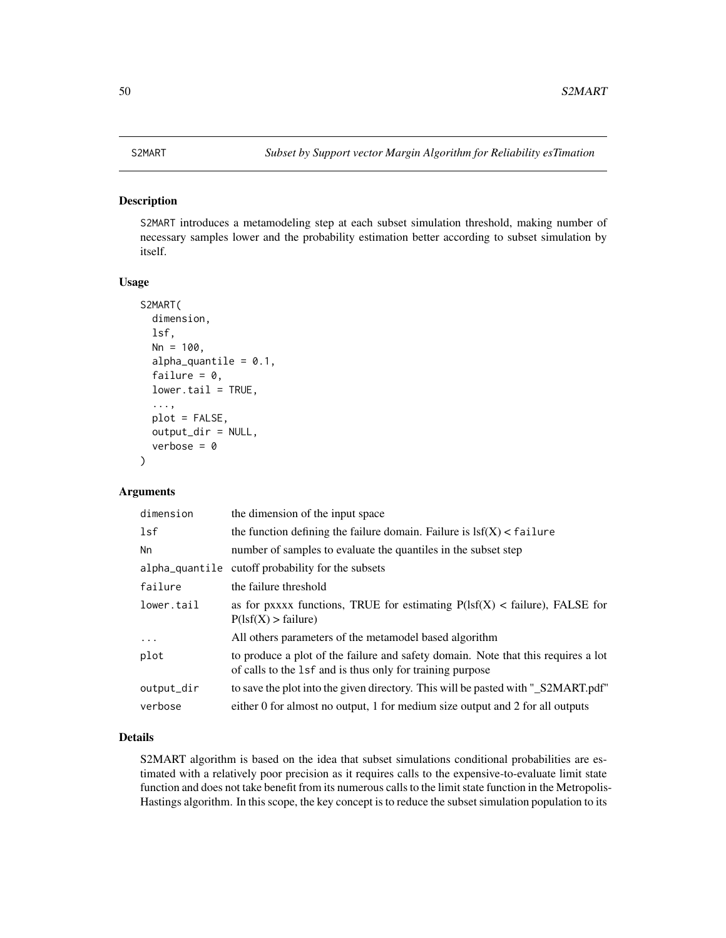#### <span id="page-49-1"></span><span id="page-49-0"></span>Description

S2MART introduces a metamodeling step at each subset simulation threshold, making number of necessary samples lower and the probability estimation better according to subset simulation by itself.

#### Usage

```
S2MART(
  dimension,
  lsf,
 Nn = 100,
  alpha_quantile = 0.1,
  failure = 0,
  lower.tail = TRUE,...,
 plot = FALSE,
  output_dir = NULL,
  verbose = \theta)
```
# Arguments

| the function defining the failure domain. Failure is $\text{lsf}(X) < \text{failure}$ |
|---------------------------------------------------------------------------------------|
|                                                                                       |
|                                                                                       |
|                                                                                       |
| as for pxxxx functions, TRUE for estimating $P(1sf(X) <$ failure), FALSE for          |
|                                                                                       |
| to produce a plot of the failure and safety domain. Note that this requires a lot     |
| to save the plot into the given directory. This will be pasted with "_S2MART.pdf"     |
| either 0 for almost no output, 1 for medium size output and 2 for all outputs         |
|                                                                                       |

# Details

S2MART algorithm is based on the idea that subset simulations conditional probabilities are estimated with a relatively poor precision as it requires calls to the expensive-to-evaluate limit state function and does not take benefit from its numerous calls to the limit state function in the Metropolis-Hastings algorithm. In this scope, the key concept is to reduce the subset simulation population to its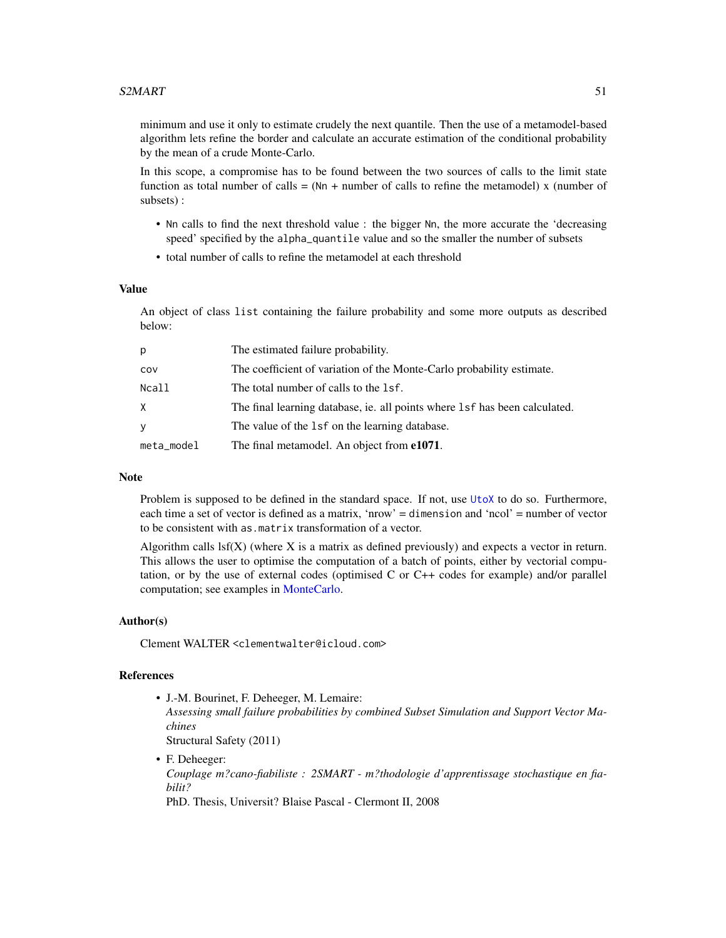<span id="page-50-0"></span>minimum and use it only to estimate crudely the next quantile. Then the use of a metamodel-based algorithm lets refine the border and calculate an accurate estimation of the conditional probability by the mean of a crude Monte-Carlo.

In this scope, a compromise has to be found between the two sources of calls to the limit state function as total number of calls  $= (Nn +$  number of calls to refine the metamodel) x (number of subsets) :

- Nn calls to find the next threshold value : the bigger Nn, the more accurate the 'decreasing speed' specified by the alpha\_quantile value and so the smaller the number of subsets
- total number of calls to refine the metamodel at each threshold

#### Value

An object of class list containing the failure probability and some more outputs as described below:

| p          | The estimated failure probability.                                         |
|------------|----------------------------------------------------------------------------|
| cov        | The coefficient of variation of the Monte-Carlo probability estimate.      |
| Ncall      | The total number of calls to the 1sf.                                      |
| X.         | The final learning database, ie. all points where 1sf has been calculated. |
| y          | The value of the 1sf on the learning database.                             |
| meta_model | The final metamodel. An object from <b>e1071</b> .                         |

# Note

Problem is supposed to be defined in the standard space. If not, use [UtoX](#page-63-1) to do so. Furthermore, each time a set of vector is defined as a matrix, 'nrow' = dimension and 'ncol' = number of vector to be consistent with as.matrix transformation of a vector.

Algorithm calls  $\text{lsf}(X)$  (where X is a matrix as defined previously) and expects a vector in return. This allows the user to optimise the computation of a batch of points, either by vectorial computation, or by the use of external codes (optimised C or C++ codes for example) and/or parallel computation; see examples in [MonteCarlo.](#page-35-1)

#### Author(s)

Clement WALTER <clementwalter@icloud.com>

#### References

• J.-M. Bourinet, F. Deheeger, M. Lemaire:

*Assessing small failure probabilities by combined Subset Simulation and Support Vector Machines*

Structural Safety (2011)

• F. Deheeger: *Couplage m?cano-fiabiliste : 2SMART - m?thodologie d'apprentissage stochastique en fiabilit?* PhD. Thesis, Universit? Blaise Pascal - Clermont II, 2008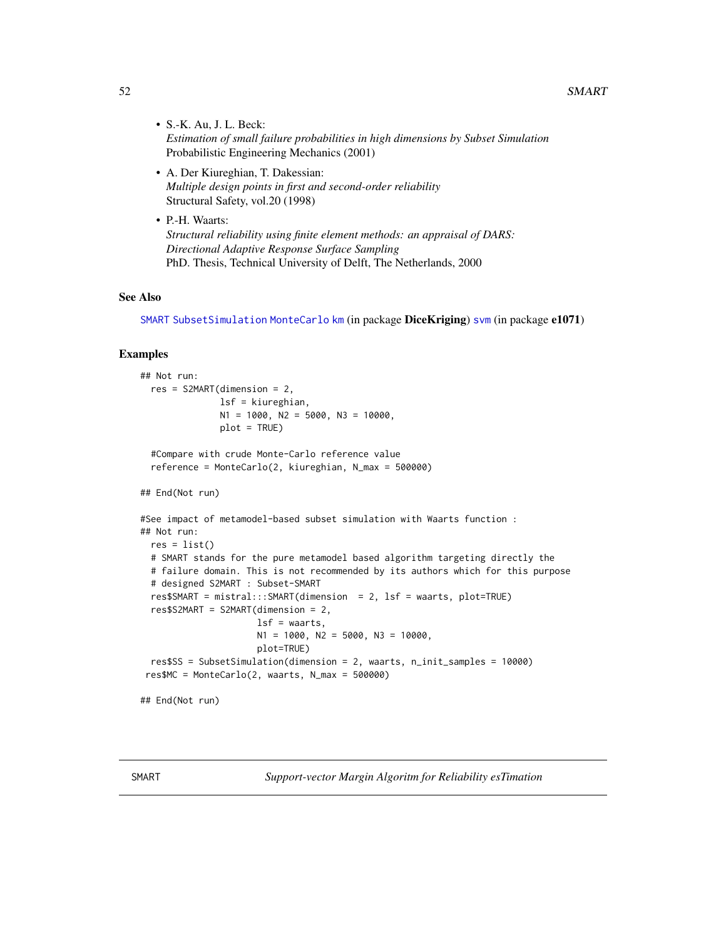# <span id="page-51-0"></span>52 SMART

- S.-K. Au, J. L. Beck: *Estimation of small failure probabilities in high dimensions by Subset Simulation* Probabilistic Engineering Mechanics (2001)
- A. Der Kiureghian, T. Dakessian: *Multiple design points in first and second-order reliability* Structural Safety, vol.20 (1998)
- P.-H. Waarts: *Structural reliability using finite element methods: an appraisal of DARS: Directional Adaptive Response Surface Sampling* PhD. Thesis, Technical University of Delft, The Netherlands, 2000

#### See Also

[SMART](#page-51-1) [SubsetSimulation](#page-55-1) [MonteCarlo](#page-35-1) [km](#page-0-0) (in package DiceKriging) [svm](#page-0-0) (in package e1071)

#### Examples

```
## Not run:
 res = S2MART(dimension = 2,
               lsf = kiureghian,
              N1 = 1000, N2 = 5000, N3 = 10000,
              plot = TRUE)
 #Compare with crude Monte-Carlo reference value
 reference = MonteCarlo(2, kiureghian, N_max = 500000)
## End(Not run)
#See impact of metamodel-based subset simulation with Waarts function :
## Not run:
 res = list()# SMART stands for the pure metamodel based algorithm targeting directly the
 # failure domain. This is not recommended by its authors which for this purpose
 # designed S2MART : Subset-SMART
 res$SMART = mistral:::SMART(dimension = 2, lsf = waarts, plot=TRUE)
 res$S2MART = S2MART(dimension = 2,
                      lsf = waarts,N1 = 1000, N2 = 5000, N3 = 10000,
                     plot=TRUE)
 res$SS = SubsetSimulation(dimension = 2, waarts, n_init_samples = 10000)
 res$MC = MonteCarlo(2, waarts, N_max = 500000)
## End(Not run)
```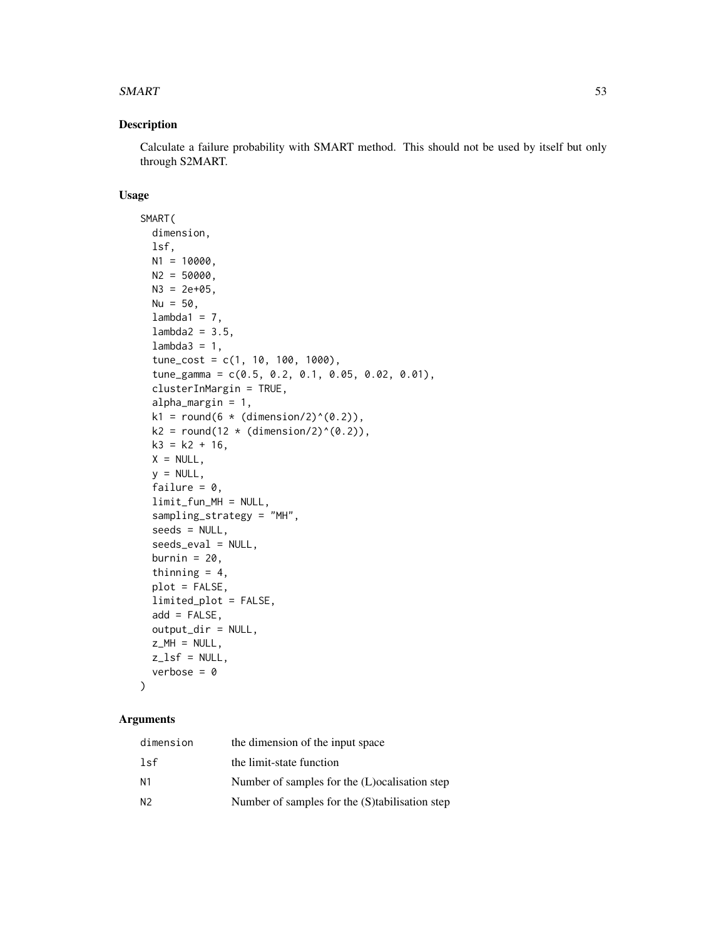#### $SMART$  53

# Description

Calculate a failure probability with SMART method. This should not be used by itself but only through S2MART.

# Usage

```
SMART(
 dimension,
  lsf,
 N1 = 10000,
 N2 = 50000,
 N3 = 2e+05,
 Nu = 50,lambda1 = 7,
  lambda2 = 3.5,
  lambda3 = 1,
  tune_cost = c(1, 10, 100, 1000),
  tune_gamma = c(0.5, 0.2, 0.1, 0.05, 0.02, 0.01),
  clusterInMargin = TRUE,
  alpha_margin = 1,
 k1 = round(6 * (dimension/2)^(0.2)),k2 = round(12 * (dimension/2)^(0.2)),k3 = k2 + 16,
 X = NULL,y = NULL,failure = 0,
  limit_fun_MH = NULL,
  sampling_strategy = "MH",
  seeds = NULL,
  seeds_eval = NULL,
 burnin = 20,
  thinning = 4,
  plot = FALSE,
  limited_plot = FALSE,
  add = FALSE,output_dir = NULL,
 z_MH = NULL,
 z_lsf = NULL,
 verbose = 0
```
#### Arguments

 $\mathcal{L}$ 

| dimension      | the dimension of the input space                |
|----------------|-------------------------------------------------|
| 1sf            | the limit-state function                        |
| N <sub>1</sub> | Number of samples for the (L) ocalisation step  |
| N <sub>2</sub> | Number of samples for the (S) tabilisation step |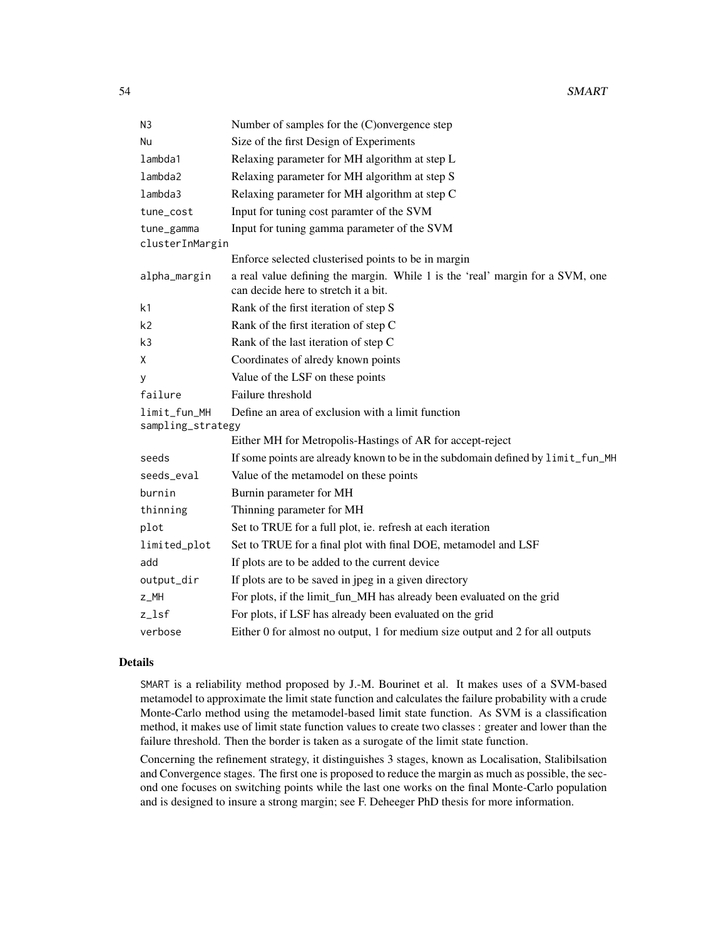| N <sub>3</sub>     | Number of samples for the (C)onvergence step                                                                          |
|--------------------|-----------------------------------------------------------------------------------------------------------------------|
| Nu                 | Size of the first Design of Experiments                                                                               |
| lambda1            | Relaxing parameter for MH algorithm at step L                                                                         |
| lambda2            | Relaxing parameter for MH algorithm at step S                                                                         |
| lmbda3             | Relaxing parameter for MH algorithm at step C                                                                         |
| tune_cost          | Input for tuning cost paramter of the SVM                                                                             |
| tune_gamma         | Input for tuning gamma parameter of the SVM                                                                           |
| clusterInMargin    |                                                                                                                       |
|                    | Enforce selected clusterised points to be in margin                                                                   |
| alpha_margin       | a real value defining the margin. While 1 is the 'real' margin for a SVM, one<br>can decide here to stretch it a bit. |
| k <sub>1</sub>     | Rank of the first iteration of step S                                                                                 |
| k2                 | Rank of the first iteration of step C                                                                                 |
| k3                 | Rank of the last iteration of step C                                                                                  |
| X                  | Coordinates of alredy known points                                                                                    |
| y                  | Value of the LSF on these points                                                                                      |
| failure            | Failure threshold                                                                                                     |
| limit_fun_MH       | Define an area of exclusion with a limit function                                                                     |
| sampling_strategy  |                                                                                                                       |
|                    | Either MH for Metropolis-Hastings of AR for accept-reject                                                             |
| seeds              | If some points are already known to be in the subdomain defined by limit_fun_MH                                       |
| seeds_eval         | Value of the metamodel on these points                                                                                |
| burnin             | Burnin parameter for MH                                                                                               |
| thinning           | Thinning parameter for MH                                                                                             |
| plot               | Set to TRUE for a full plot, ie. refresh at each iteration                                                            |
| limited_plot       | Set to TRUE for a final plot with final DOE, metamodel and LSF                                                        |
| add                | If plots are to be added to the current device                                                                        |
| output_dir         | If plots are to be saved in jpeg in a given directory                                                                 |
| z_MH               | For plots, if the limit_fun_MH has already been evaluated on the grid                                                 |
| $z$ <sup>lsf</sup> | For plots, if LSF has already been evaluated on the grid                                                              |
| verbose            | Either 0 for almost no output, 1 for medium size output and 2 for all outputs                                         |

#### Details

SMART is a reliability method proposed by J.-M. Bourinet et al. It makes uses of a SVM-based metamodel to approximate the limit state function and calculates the failure probability with a crude Monte-Carlo method using the metamodel-based limit state function. As SVM is a classification method, it makes use of limit state function values to create two classes : greater and lower than the failure threshold. Then the border is taken as a surogate of the limit state function.

Concerning the refinement strategy, it distinguishes 3 stages, known as Localisation, Stalibilsation and Convergence stages. The first one is proposed to reduce the margin as much as possible, the second one focuses on switching points while the last one works on the final Monte-Carlo population and is designed to insure a strong margin; see F. Deheeger PhD thesis for more information.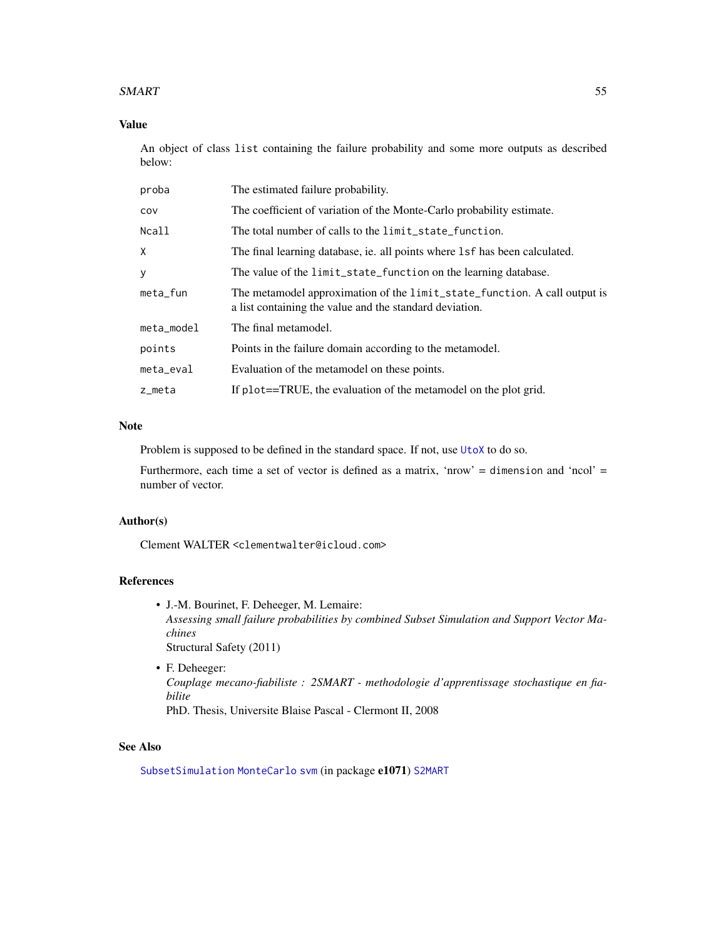#### <span id="page-54-0"></span>SMART 55

# Value

An object of class list containing the failure probability and some more outputs as described below:

| proba      | The estimated failure probability.                                                                                                   |
|------------|--------------------------------------------------------------------------------------------------------------------------------------|
| cov        | The coefficient of variation of the Monte-Carlo probability estimate.                                                                |
| Ncall      | The total number of calls to the limit_state_function.                                                                               |
| X.         | The final learning database, ie. all points where 1sf has been calculated.                                                           |
| у          | The value of the limit_state_function on the learning database.                                                                      |
| meta_fun   | The metamodel approximation of the limit_state_function. A call output is<br>a list containing the value and the standard deviation. |
| meta_model | The final metamodel.                                                                                                                 |
| points     | Points in the failure domain according to the metamodel.                                                                             |
| meta_eval  | Evaluation of the metamodel on these points.                                                                                         |
| z_meta     | If plot==TRUE, the evaluation of the metamodel on the plot grid.                                                                     |

# Note

Problem is supposed to be defined in the standard space. If not, use [UtoX](#page-63-1) to do so.

Furthermore, each time a set of vector is defined as a matrix, 'nrow' = dimension and 'ncol' = number of vector.

# Author(s)

Clement WALTER <clementwalter@icloud.com>

#### References

- J.-M. Bourinet, F. Deheeger, M. Lemaire: *Assessing small failure probabilities by combined Subset Simulation and Support Vector Machines* Structural Safety (2011)
- F. Deheeger: *Couplage mecano-fiabiliste : 2SMART - methodologie d'apprentissage stochastique en fiabilite* PhD. Thesis, Universite Blaise Pascal - Clermont II, 2008

#### See Also

[SubsetSimulation](#page-55-1) [MonteCarlo](#page-35-1) [svm](#page-0-0) (in package e1071) [S2MART](#page-49-1)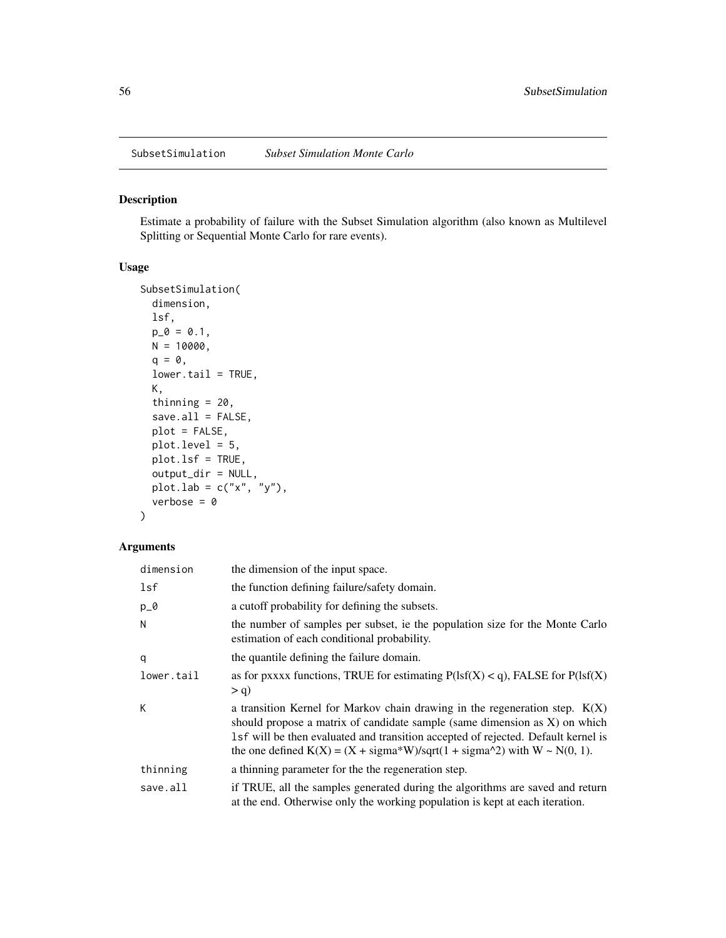<span id="page-55-1"></span><span id="page-55-0"></span>SubsetSimulation *Subset Simulation Monte Carlo*

#### Description

Estimate a probability of failure with the Subset Simulation algorithm (also known as Multilevel Splitting or Sequential Monte Carlo for rare events).

# Usage

```
SubsetSimulation(
  dimension,
  lsf,
 p_0 = 0.1,
 N = 10000,q = 0,lower.tail = TRUE,K,
  thinning = 20,
  save.all = FALSE,
 plot = FALSE,
 plot.level = 5,
 plot.lsf = TRUE,
 output_dir = NULL,
 \text{plot.lab} = \text{c("x", "y");}verbose = 0)
```
# Arguments

| dimension  | the dimension of the input space.                                                                                                                                                                                                                                                                                                                         |
|------------|-----------------------------------------------------------------------------------------------------------------------------------------------------------------------------------------------------------------------------------------------------------------------------------------------------------------------------------------------------------|
| lsf        | the function defining failure/safety domain.                                                                                                                                                                                                                                                                                                              |
| $p_0$      | a cutoff probability for defining the subsets.                                                                                                                                                                                                                                                                                                            |
| N          | the number of samples per subset, ie the population size for the Monte Carlo<br>estimation of each conditional probability.                                                                                                                                                                                                                               |
| q          | the quantile defining the failure domain.                                                                                                                                                                                                                                                                                                                 |
| lower.tail | as for pxxxx functions, TRUE for estimating $P(1sf(X) < q)$ , FALSE for $P(1sf(X))$                                                                                                                                                                                                                                                                       |
|            | $> q$ )                                                                                                                                                                                                                                                                                                                                                   |
| К          | a transition Kernel for Markov chain drawing in the regeneration step. $K(X)$<br>should propose a matrix of candidate sample (same dimension as X) on which<br>1sf will be then evaluated and transition accepted of rejected. Default kernel is<br>the one defined $K(X) = (X + \text{sigma*}W)/\text{sqrt}(1 + \text{sigma*}2)$ with $W \sim N(0, 1)$ . |
| thinning   | a thinning parameter for the the regeneration step.                                                                                                                                                                                                                                                                                                       |
| save.all   | if TRUE, all the samples generated during the algorithms are saved and return<br>at the end. Otherwise only the working population is kept at each iteration.                                                                                                                                                                                             |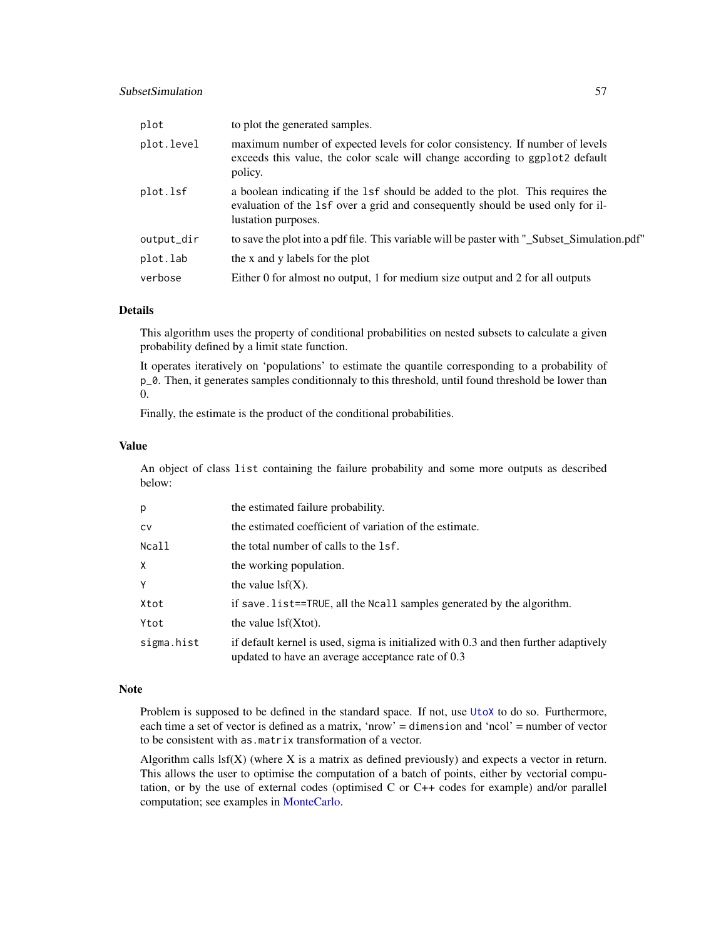# <span id="page-56-0"></span>SubsetSimulation 57

| plot       | to plot the generated samples.                                                                                                                                                          |
|------------|-----------------------------------------------------------------------------------------------------------------------------------------------------------------------------------------|
| plot.level | maximum number of expected levels for color consistency. If number of levels<br>exceeds this value, the color scale will change according to ggplot2 default<br>policy.                 |
| plot.lsf   | a boolean indicating if the 1sf should be added to the plot. This requires the<br>evaluation of the 1sf over a grid and consequently should be used only for il-<br>lustation purposes. |
| output_dir | to save the plot into a pdf file. This variable will be paster with "_Subset_Simulation.pdf"                                                                                            |
| plot.lab   | the x and y labels for the plot                                                                                                                                                         |
| verbose    | Either 0 for almost no output, 1 for medium size output and 2 for all outputs                                                                                                           |

#### Details

This algorithm uses the property of conditional probabilities on nested subsets to calculate a given probability defined by a limit state function.

It operates iteratively on 'populations' to estimate the quantile corresponding to a probability of p\_0. Then, it generates samples conditionnaly to this threshold, until found threshold be lower than 0.

Finally, the estimate is the product of the conditional probabilities.

#### Value

An object of class list containing the failure probability and some more outputs as described below:

| p          | the estimated failure probability.                                                                                                        |
|------------|-------------------------------------------------------------------------------------------------------------------------------------------|
| cv         | the estimated coefficient of variation of the estimate.                                                                                   |
| Ncall      | the total number of calls to the 1sf.                                                                                                     |
| X.         | the working population.                                                                                                                   |
| Y          | the value $\text{lsf}(X)$ .                                                                                                               |
| Xtot       | if save. list==TRUE, all the Ncall samples generated by the algorithm.                                                                    |
| Ytot       | the value $\text{lsf}(X\text{tot})$ .                                                                                                     |
| sigma.hist | if default kernel is used, sigma is initialized with 0.3 and then further adaptively<br>updated to have an average acceptance rate of 0.3 |

#### Note

Problem is supposed to be defined in the standard space. If not, use [UtoX](#page-63-1) to do so. Furthermore, each time a set of vector is defined as a matrix, 'nrow' = dimension and 'ncol' = number of vector to be consistent with as.matrix transformation of a vector.

Algorithm calls  $\text{lsf}(X)$  (where X is a matrix as defined previously) and expects a vector in return. This allows the user to optimise the computation of a batch of points, either by vectorial computation, or by the use of external codes (optimised C or C++ codes for example) and/or parallel computation; see examples in [MonteCarlo.](#page-35-1)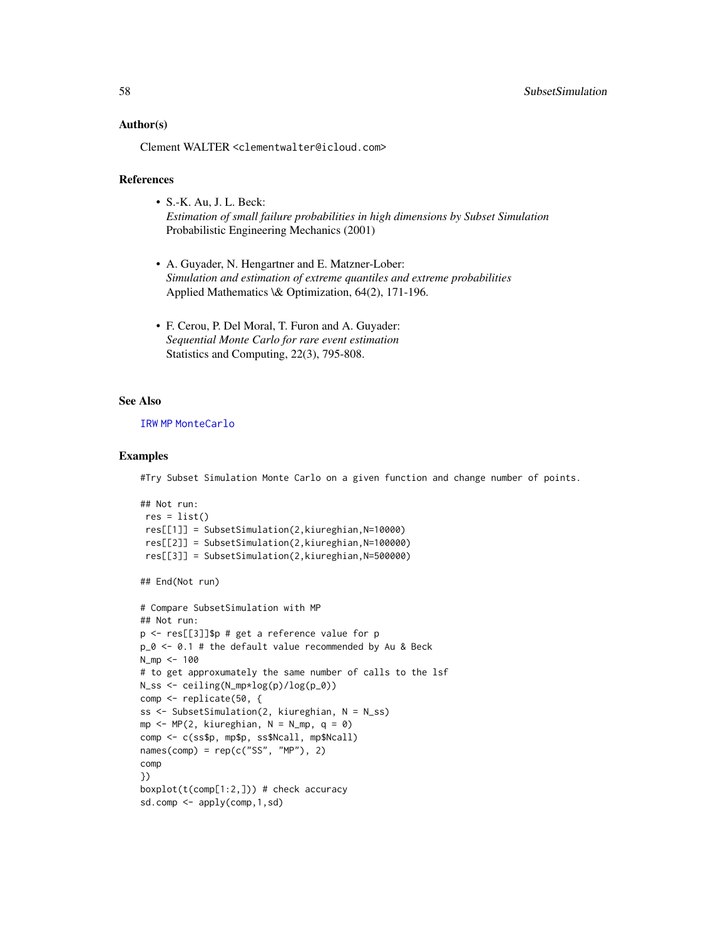#### <span id="page-57-0"></span>Author(s)

Clement WALTER <clementwalter@icloud.com>

#### References

- S.-K. Au, J. L. Beck: *Estimation of small failure probabilities in high dimensions by Subset Simulation* Probabilistic Engineering Mechanics (2001)
- A. Guyader, N. Hengartner and E. Matzner-Lober: *Simulation and estimation of extreme quantiles and extreme probabilities* Applied Mathematics \& Optimization, 64(2), 171-196.
- F. Cerou, P. Del Moral, T. Furon and A. Guyader: *Sequential Monte Carlo for rare event estimation* Statistics and Computing, 22(3), 795-808.

#### See Also

#### [IRW](#page-19-1) [MP](#page-37-1) [MonteCarlo](#page-35-1)

#### Examples

#Try Subset Simulation Monte Carlo on a given function and change number of points.

```
## Not run:
res = list()res[[1]] = SubsetSimulation(2,kiureghian,N=10000)
 res[[2]] = SubsetSimulation(2,kiureghian,N=100000)
 res[[3]] = SubsetSimulation(2,kiureghian,N=500000)
## End(Not run)
# Compare SubsetSimulation with MP
## Not run:
p <- res[[3]]$p # get a reference value for p
p_0 < -0.1 # the default value recommended by Au & Beck
N_mp <- 100
# to get approxumately the same number of calls to the lsf
N_ss <- ceiling(N_mp*log(p)/log(p_0))
comp <- replicate(50, {
ss <- SubsetSimulation(2, kiureghian, N = N_ss)
mp \leq -MP(2, kimer)hian, N = Nmp, q = 0comp <- c(ss$p, mp$p, ss$Ncall, mp$Ncall)
names(comp) = rep(c("SS", "MP"), 2)comp
})
boxplot(t(comp[1:2,])) # check accuracy
sd.comp <- apply(comp,1,sd)
```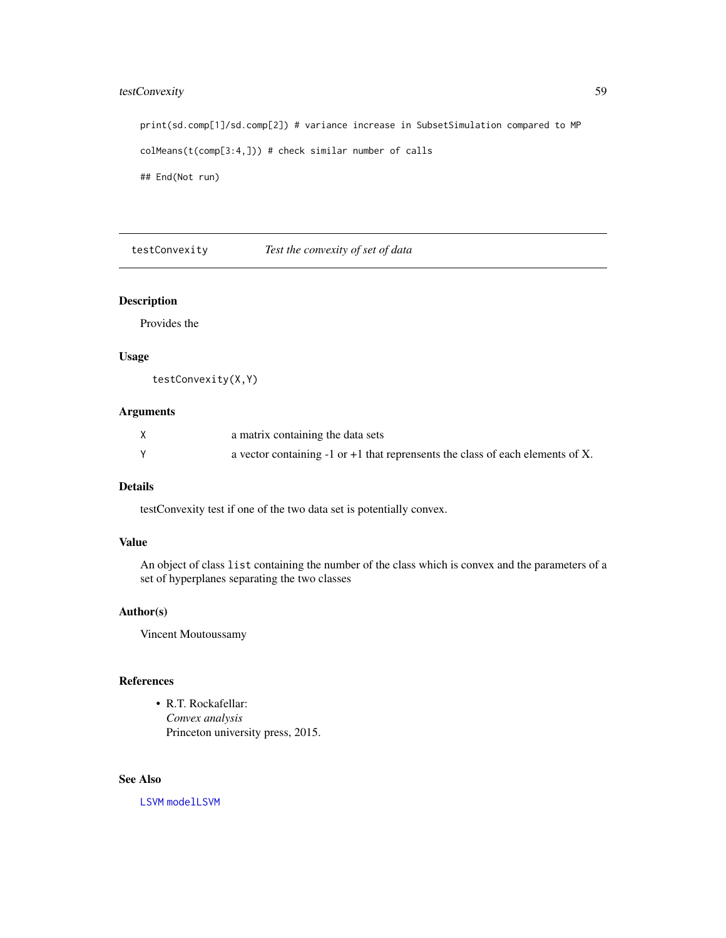# <span id="page-58-0"></span>testConvexity 59

print(sd.comp[1]/sd.comp[2]) # variance increase in SubsetSimulation compared to MP colMeans(t(comp[3:4,])) # check similar number of calls ## End(Not run)

testConvexity *Test the convexity of set of data*

# Description

Provides the

#### Usage

testConvexity(X,Y)

# Arguments

| a matrix containing the data sets                                                  |
|------------------------------------------------------------------------------------|
| a vector containing $-1$ or $+1$ that reprensents the class of each elements of X. |

#### Details

testConvexity test if one of the two data set is potentially convex.

#### Value

An object of class list containing the number of the class which is convex and the parameters of a set of hyperplanes separating the two classes

#### Author(s)

Vincent Moutoussamy

#### References

• R.T. Rockafellar: *Convex analysis* Princeton university press, 2015.

# See Also

[LSVM](#page-22-1) [modelLSVM](#page-30-1)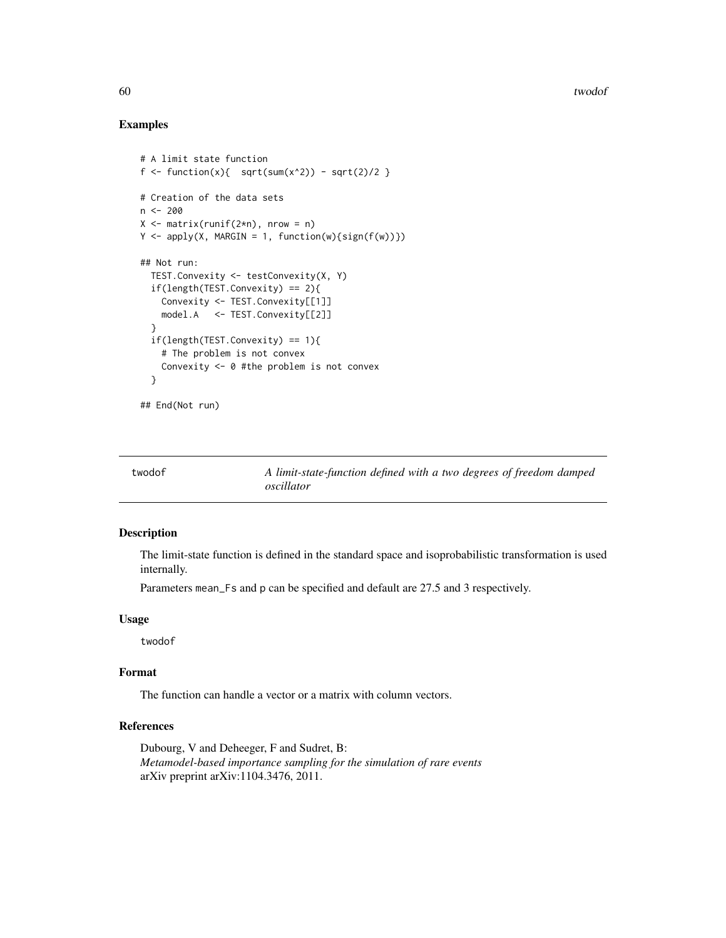<span id="page-59-0"></span>60 twodof

#### Examples

```
# A limit state function
f <- function(x){ sqrt(x^2) - sqrt(2)/2 }
# Creation of the data sets
n < -200X \leq - matrix(runif(2*n), nrow = n)
Y \leftarrow apply(X, MARGIN = 1, function(w) {sign(f(w))})## Not run:
  TEST.Convexity <- testConvexity(X, Y)
  if(length(TEST.Convexity) == 2){
   Convexity <- TEST.Convexity[[1]]
   model.A <- TEST.Convexity[[2]]
  }
  if(length(TEST.Convexity) == 1){
    # The problem is not convex
    Convexity <- 0 #the problem is not convex
  }
## End(Not run)
```

| twodof | A limit-state-function defined with a two degrees of freedom damped |
|--------|---------------------------------------------------------------------|
|        | oscillator                                                          |

# Description

The limit-state function is defined in the standard space and isoprobabilistic transformation is used internally.

Parameters mean\_Fs and p can be specified and default are 27.5 and 3 respectively.

#### Usage

twodof

# Format

The function can handle a vector or a matrix with column vectors.

# References

Dubourg, V and Deheeger, F and Sudret, B: *Metamodel-based importance sampling for the simulation of rare events* arXiv preprint arXiv:1104.3476, 2011.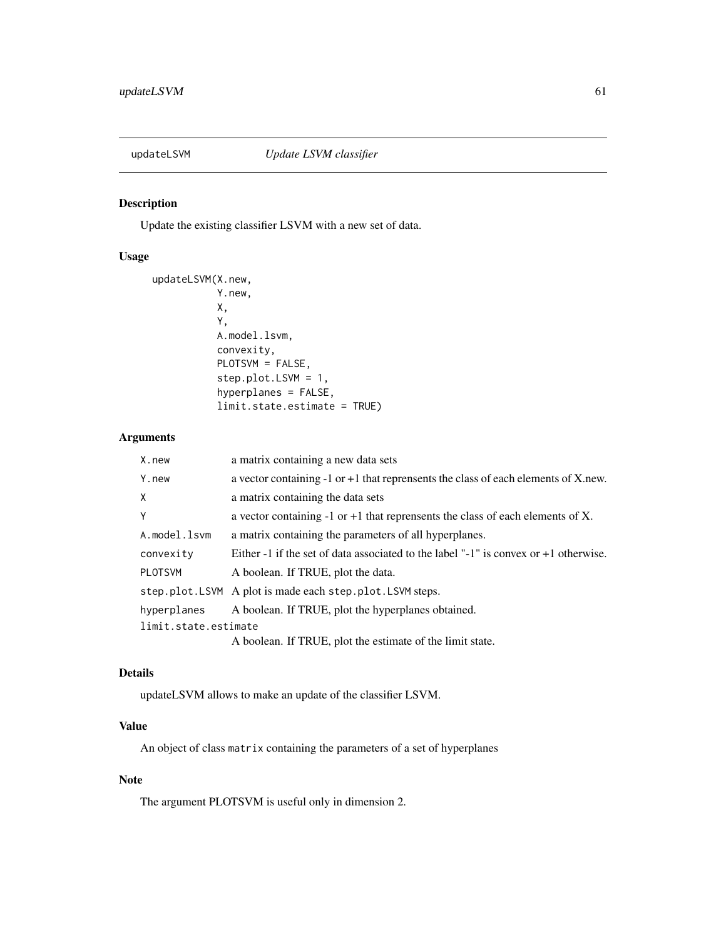<span id="page-60-0"></span>

# Description

Update the existing classifier LSVM with a new set of data.

# Usage

```
updateLSVM(X.new,
           Y.new,
           X,
           Y,
           A.model.lsvm,
           convexity,
           PLOTSVM = FALSE,
           step.plot.LSVM = 1,
           hyperplanes = FALSE,
           limit.state.estimate = TRUE)
```
# Arguments

| X.new                | a matrix containing a new data sets                                                    |
|----------------------|----------------------------------------------------------------------------------------|
| Y.new                | a vector containing $-1$ or $+1$ that reprensents the class of each elements of X.new. |
| Χ                    | a matrix containing the data sets                                                      |
| Y                    | a vector containing $-1$ or $+1$ that reprensents the class of each elements of X.     |
| A.model.lsvm         | a matrix containing the parameters of all hyperplanes.                                 |
| convexity            | Either -1 if the set of data associated to the label "-1" is convex or $+1$ otherwise. |
| <b>PLOTSVM</b>       | A boolean. If TRUE, plot the data.                                                     |
|                      | step.plot.LSVM A plot is made each step.plot.LSVM steps.                               |
| hyperplanes          | A boolean. If TRUE, plot the hyperplanes obtained.                                     |
| limit.state.estimate |                                                                                        |
|                      | A boolean. If TRUE, plot the estimate of the limit state.                              |

# Details

updateLSVM allows to make an update of the classifier LSVM.

# Value

An object of class matrix containing the parameters of a set of hyperplanes

# Note

The argument PLOTSVM is useful only in dimension 2.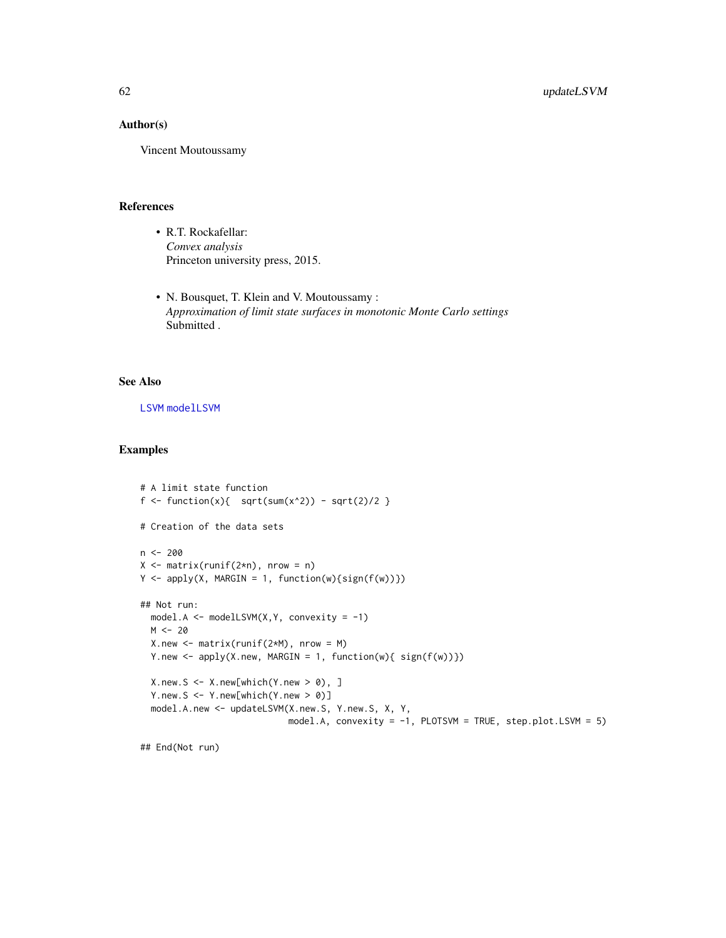# <span id="page-61-0"></span>Author(s)

Vincent Moutoussamy

#### References

- R.T. Rockafellar: *Convex analysis* Princeton university press, 2015.
- N. Bousquet, T. Klein and V. Moutoussamy : *Approximation of limit state surfaces in monotonic Monte Carlo settings* Submitted .

#### See Also

[LSVM](#page-22-1) [modelLSVM](#page-30-1)

# Examples

```
# A limit state function
f <- function(x){ sqrt(x^2) - sqrt(2)/2 }
# Creation of the data sets
n <- 200
X \leq - matrix(runif(2*n), nrow = n)
Y \leftarrow apply(X, MARGIN = 1, function(w) {sign(f(w))})## Not run:
  model.A <- modelLSVM(X,Y, convexity = -1)
  M < -20X.new < - matrix(runif(2*M), nrow = M)
  Y.new \leq apply(X.new, MARGIN = 1, function(w){ sign(f(w))})
  X.new.S < - X.new[which(Y.new > 0), ]Y.new.S <- Y.new[which(Y.new > 0)]
  model.A.new <- updateLSVM(X.new.S, Y.new.S, X, Y,
                            model.A, convexity = -1, PLOTSVM = TRUE, step.plot.LSVM = 5)
```
## End(Not run)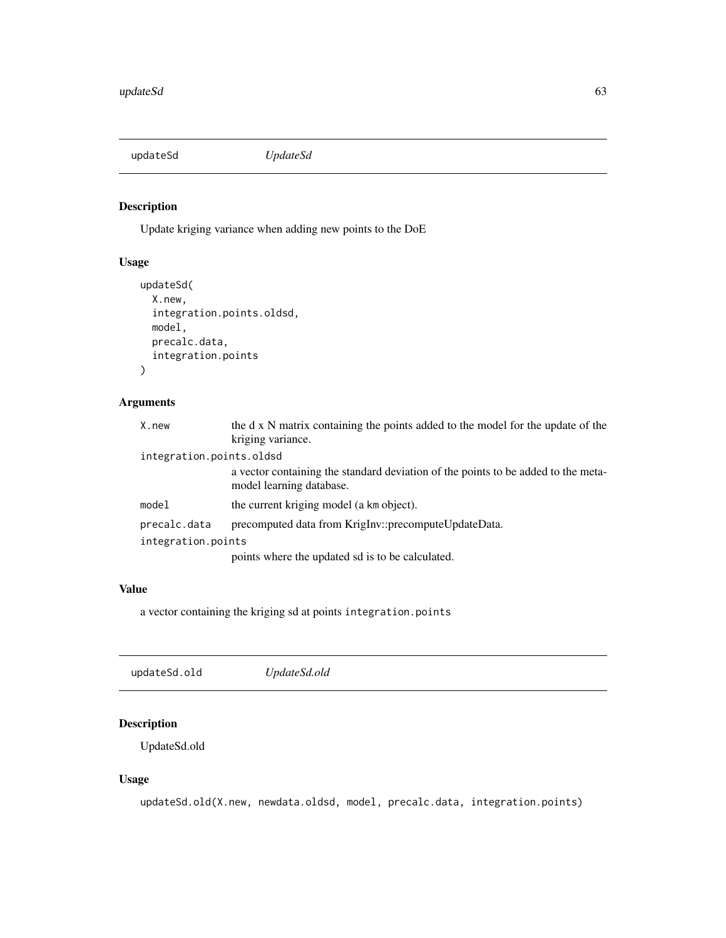<span id="page-62-0"></span>updateSd *UpdateSd*

# Description

Update kriging variance when adding new points to the DoE

# Usage

```
updateSd(
  X.new,
  integration.points.oldsd,
  model,
  precalc.data,
  integration.points
)
```
# Arguments

| X.new                    | the d x N matrix containing the points added to the model for the update of the                               |
|--------------------------|---------------------------------------------------------------------------------------------------------------|
|                          | kriging variance.                                                                                             |
| integration.points.oldsd |                                                                                                               |
|                          | a vector containing the standard deviation of the points to be added to the meta-<br>model learning database. |
| model                    | the current kriging model (a km object).                                                                      |
| precalc.data             | precomputed data from KrigInv::precomputeUpdateData.                                                          |
| integration.points       |                                                                                                               |
|                          | points where the updated sd is to be calculated.                                                              |

# Value

a vector containing the kriging sd at points integration.points

| updateSd.old | UpdateSd.old |  |  |
|--------------|--------------|--|--|
|--------------|--------------|--|--|

# Description

UpdateSd.old

# Usage

updateSd.old(X.new, newdata.oldsd, model, precalc.data, integration.points)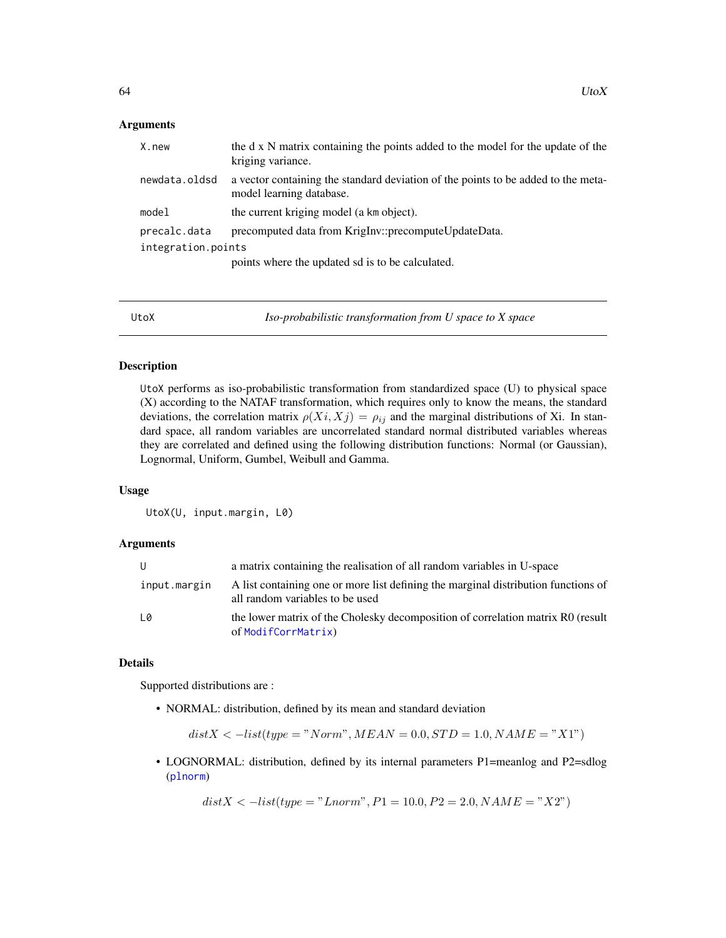#### <span id="page-63-0"></span>**Arguments**

| X.new              | the d x N matrix containing the points added to the model for the update of the<br>kriging variance.          |  |  |  |
|--------------------|---------------------------------------------------------------------------------------------------------------|--|--|--|
| newdata.oldsd      | a vector containing the standard deviation of the points to be added to the meta-<br>model learning database. |  |  |  |
| model              | the current kriging model (a km object).                                                                      |  |  |  |
| precalc.data       | precomputed data from KrigInv::precomputeUpdateData.                                                          |  |  |  |
| integration.points |                                                                                                               |  |  |  |
|                    | points where the updated sd is to be calculated.                                                              |  |  |  |
|                    |                                                                                                               |  |  |  |

<span id="page-63-1"></span>UtoX *Iso-probabilistic transformation from U space to X space*

# Description

UtoX performs as iso-probabilistic transformation from standardized space (U) to physical space (X) according to the NATAF transformation, which requires only to know the means, the standard deviations, the correlation matrix  $\rho(X_i, X_j) = \rho_{ij}$  and the marginal distributions of Xi. In standard space, all random variables are uncorrelated standard normal distributed variables whereas they are correlated and defined using the following distribution functions: Normal (or Gaussian), Lognormal, Uniform, Gumbel, Weibull and Gamma.

#### Usage

UtoX(U, input.margin, L0)

#### Arguments

|              | a matrix containing the realisation of all random variables in U-space                                                |
|--------------|-----------------------------------------------------------------------------------------------------------------------|
| input.margin | A list containing one or more list defining the marginal distribution functions of<br>all random variables to be used |
| L0           | the lower matrix of the Cholesky decomposition of correlation matrix R0 (result<br>of ModifCorrMatrix)                |

#### Details

Supported distributions are :

• NORMAL: distribution, defined by its mean and standard deviation

$$
distX < -list(type = "Norm", MEAN = 0.0, STD = 1.0, NAME = "X1")
$$

• LOGNORMAL: distribution, defined by its internal parameters P1=meanlog and P2=sdlog ([plnorm](#page-0-0))

 $distX < -list(type = "Lnorm", P1 = 10.0, P2 = 2.0, NAME = "X2")$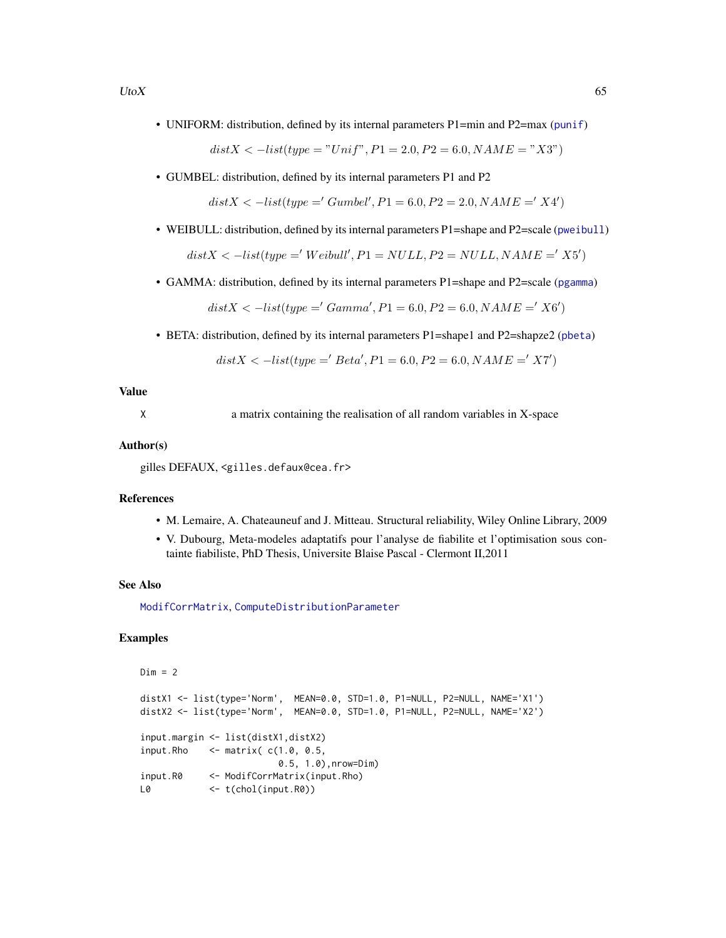<span id="page-64-0"></span>• UNIFORM: distribution, defined by its internal parameters P1=min and P2=max ([punif](#page-0-0))

 $distX < -list(type = "Unif", P1 = 2.0, P2 = 6.0, NAME = "X3")$ 

• GUMBEL: distribution, defined by its internal parameters P1 and P2

 $distX < -list(type = 'Gumbel', P1 = 6.0, P2 = 2.0, NAME = 'X4')$ 

• WEIBULL: distribution, defined by its internal parameters P1=shape and P2=scale ([pweibull](#page-0-0))

 $distX \le -list(type = 'Weibull', P1 = NULL, P2 = NULL, NAME = 'X5')$ 

• GAMMA: distribution, defined by its internal parameters P1=shape and P2=scale ([pgamma](#page-0-0))

 $distX < -list(type = 'Gamma', P1 = 6.0, P2 = 6.0, NAME = 'X6')$ 

• BETA: distribution, defined by its internal parameters P1=shape1 and P2=shapze2 ([pbeta](#page-0-0))

$$
distX < -list(type = 'Beta', P1 = 6.0, P2 = 6.0, NAME = 'X7')
$$

#### Value

X a matrix containing the realisation of all random variables in X-space

#### Author(s)

gilles DEFAUX, <gilles.defaux@cea.fr>

#### References

- M. Lemaire, A. Chateauneuf and J. Mitteau. Structural reliability, Wiley Online Library, 2009
- V. Dubourg, Meta-modeles adaptatifs pour l'analyse de fiabilite et l'optimisation sous containte fiabiliste, PhD Thesis, Universite Blaise Pascal - Clermont II,2011

#### See Also

[ModifCorrMatrix](#page-31-1), [ComputeDistributionParameter](#page-12-1)

# Examples

```
Dim = 2distX1 <- list(type='Norm', MEAN=0.0, STD=1.0, P1=NULL, P2=NULL, NAME='X1')
distX2 <- list(type='Norm', MEAN=0.0, STD=1.0, P1=NULL, P2=NULL, NAME='X2')
input.margin <- list(distX1,distX2)
input.Rho \le matrix(c(1.0, 0.5,0.5, 1.0),nrow=Dim)
input.R0 <- ModifCorrMatrix(input.Rho)
L0 <- t(chol(input.R0))
```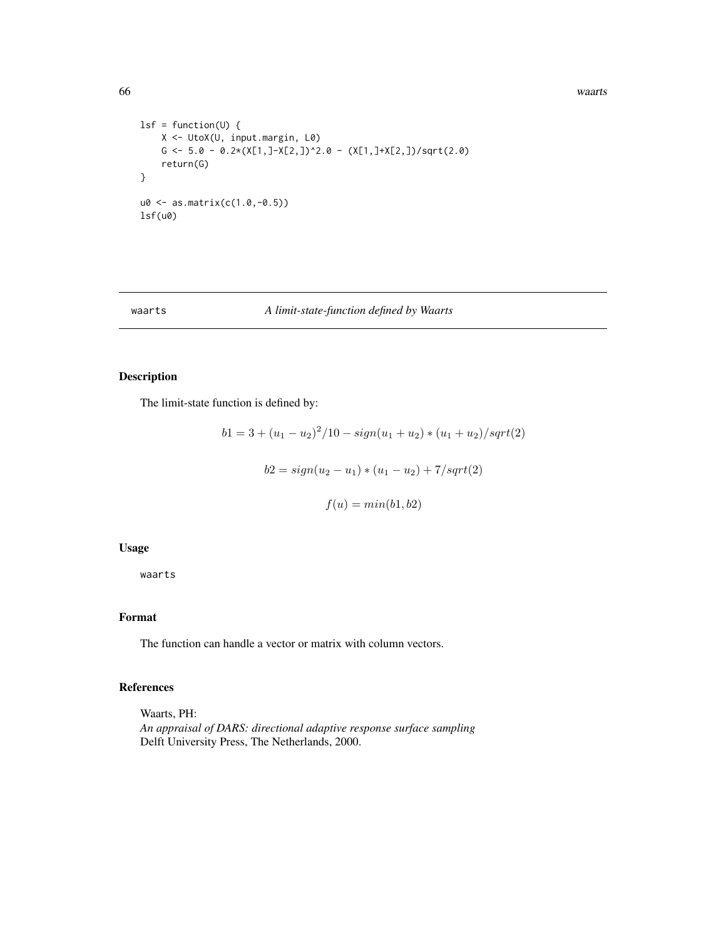66 waarts

```
lsf = function(U) {
    X <- UtoX(U, input.margin, L0)
    G <- 5.0 - 0.2*(X[1,]-X[2,])^2.0 - (X[1,]+X[2,])/sqrt(2.0)
    return(G)
}
u0 <- as.matrix(c(1.0,-0.5))
lsf(u0)
```
# waarts *A limit-state-function defined by Waarts*

# Description

The limit-state function is defined by:

$$
b1 = 3 + (u_1 - u_2)^2/10 - sign(u_1 + u_2) * (u_1 + u_2)/sqrt(2)
$$
  

$$
b2 = sign(u_2 - u_1) * (u_1 - u_2) + 7/sqrt(2)
$$
  

$$
f(u) = min(b1, b2)
$$

### Usage

waarts

# Format

The function can handle a vector or matrix with column vectors.

# References

Waarts, PH: *An appraisal of DARS: directional adaptive response surface sampling* Delft University Press, The Netherlands, 2000.

<span id="page-65-0"></span>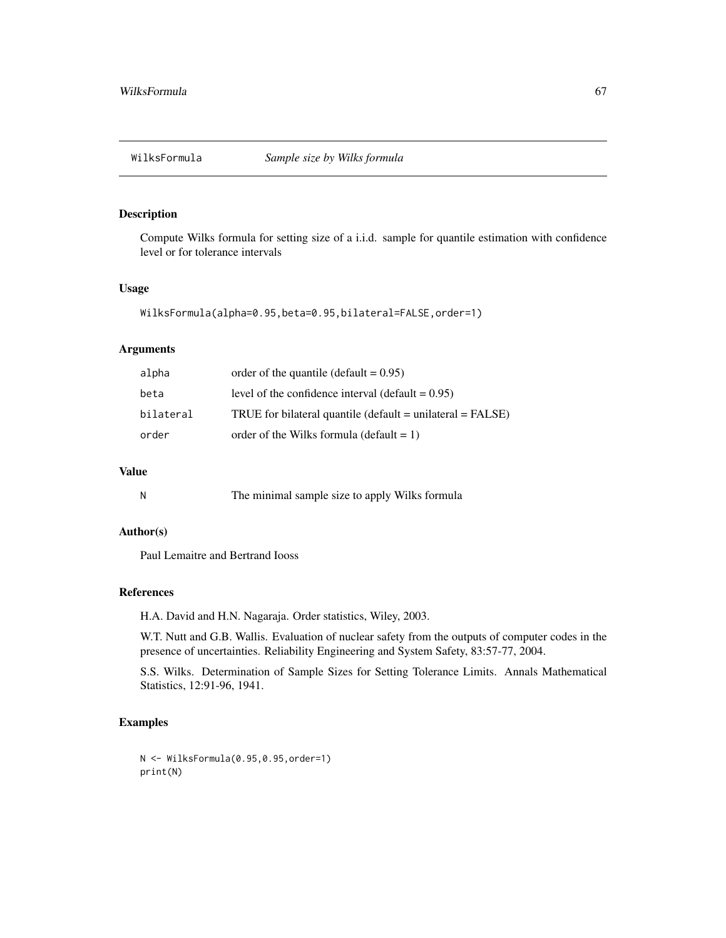<span id="page-66-0"></span>

# Description

Compute Wilks formula for setting size of a i.i.d. sample for quantile estimation with confidence level or for tolerance intervals

# Usage

```
WilksFormula(alpha=0.95,beta=0.95,bilateral=FALSE,order=1)
```
#### Arguments

| alpha     | order of the quantile (default $= 0.95$ )                      |
|-----------|----------------------------------------------------------------|
| beta      | level of the confidence interval (default $= 0.95$ )           |
| bilateral | TRUE for bilateral quantile ( $default = unilateral = FALSE$ ) |
| order     | order of the Wilks formula (default $= 1$ )                    |

# Value

|  | The minimal sample size to apply Wilks formula |  |  |  |  |
|--|------------------------------------------------|--|--|--|--|
|--|------------------------------------------------|--|--|--|--|

#### Author(s)

Paul Lemaitre and Bertrand Iooss

# References

H.A. David and H.N. Nagaraja. Order statistics, Wiley, 2003.

W.T. Nutt and G.B. Wallis. Evaluation of nuclear safety from the outputs of computer codes in the presence of uncertainties. Reliability Engineering and System Safety, 83:57-77, 2004.

S.S. Wilks. Determination of Sample Sizes for Setting Tolerance Limits. Annals Mathematical Statistics, 12:91-96, 1941.

# Examples

```
N <- WilksFormula(0.95,0.95,order=1)
print(N)
```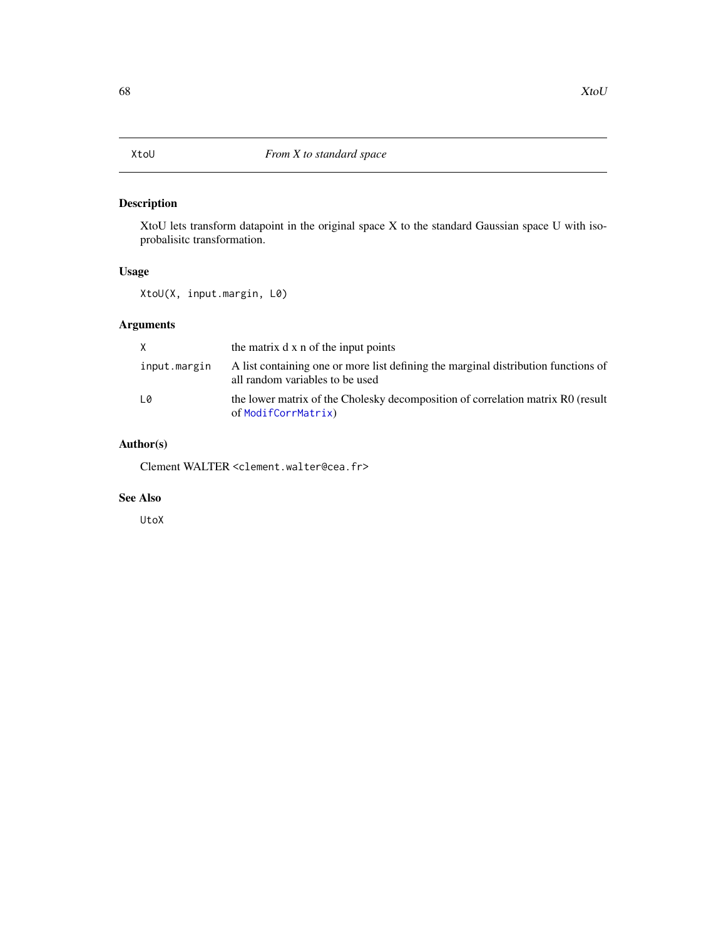<span id="page-67-0"></span>

# Description

XtoU lets transform datapoint in the original space X to the standard Gaussian space U with isoprobalisitc transformation.

# Usage

XtoU(X, input.margin, L0)

# Arguments

| X            | the matrix d x n of the input points                                                                                  |
|--------------|-----------------------------------------------------------------------------------------------------------------------|
| input.margin | A list containing one or more list defining the marginal distribution functions of<br>all random variables to be used |
| L0           | the lower matrix of the Cholesky decomposition of correlation matrix R0 (result<br>of ModifCorrMatrix)                |

# Author(s)

Clement WALTER <clement.walter@cea.fr>

# See Also

UtoX